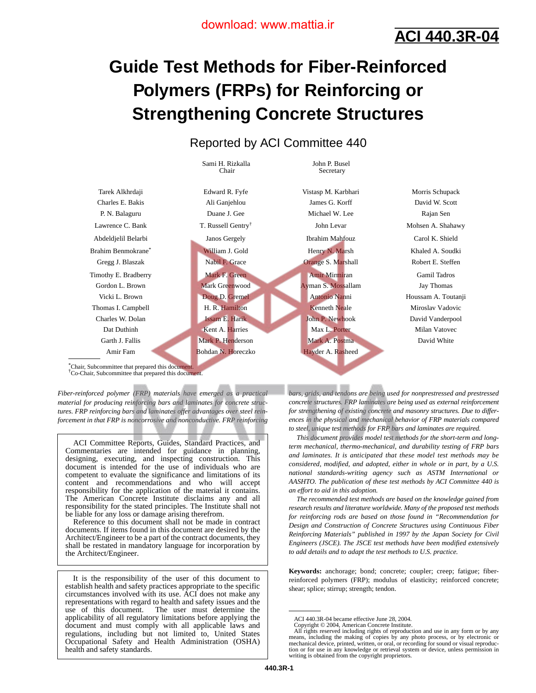# **ACI 440.3R-04**

# **Guide Test Methods for Fiber-Reinforced Polymers (FRPs) for Reinforcing or Strengthening Concrete Structures**

# Reported by ACI Committee 440

|                      | Sami H. Rizkalla<br>Chair      | John P. Busel<br>Secretary |                     |
|----------------------|--------------------------------|----------------------------|---------------------|
| Tarek Alkhrdaji      | Edward R. Fyfe                 | Vistasp M. Karbhari        | Morris Schupack     |
| Charles E. Bakis     | Ali Ganjehlou                  | James G. Korff             | David W. Scott      |
| P. N. Balaguru       | Duane J. Gee                   | Michael W. Lee             | Rajan Sen           |
| Lawrence C. Bank     | T. Russell Gentry <sup>†</sup> | John Levar                 | Mohsen A. Shahawy   |
| Abdeldjelil Belarbi  | Janos Gergely                  | Ibrahim Mahfouz            | Carol K. Shield     |
| Brahim Benmokrane*   | William J. Gold                | Henry N. Marsh             | Khaled A. Soudki    |
| Gregg J. Blaszak     | Nabil F. Grace                 | Orange S. Marshall         | Robert E. Steffen   |
| Timothy E. Bradberry | Mark F. Green                  | <b>Amir Mirmiran</b>       | Gamil Tadros        |
| Gordon L. Brown      | <b>Mark Greenwood</b>          | Ayman S. Mossallam         | Jay Thomas          |
| Vicki L. Brown       | Doug D. Gremel                 | <b>Antonio Nanni</b>       | Houssam A. Toutanji |
| Thomas I. Campbell   | H. R. Hamilton                 | <b>Kenneth Neale</b>       | Miroslav Vadovic    |
| Charles W. Dolan     | <b>Issam E. Harik</b>          | John P. Newhook            | David Vanderpool    |
| Dat Duthinh          | Kent A. Harries                | Max L. Porter              | Milan Vatovec       |
| Garth J. Fallis      | Mark P. Henderson              | Mark A. Postma             | David White         |
| Amir Fam             | Bohdan N. Horeczko             | Hayder A. Rasheed          |                     |

\* Chair, Subcommittee that prepared this document. † <sup>†</sup>Co-Chair, Subcommittee that prepared this document

*Fiber-reinforced polymer (FRP) materials have emerged as a practical material for producing reinforcing bars and laminates for concrete structures. FRP reinforcing bars and laminates offer advantages over steel reinforcement in that FRP is noncorrosive and nonconductive. FRP reinforcing*

ACI Committee Reports, Guides, Standard Practices, and Commentaries are intended for guidance in planning, designing, executing, and inspecting construction. This document is intended for the use of individuals who are competent to evaluate the significance and limitations of its content and recommendations and who will accept responsibility for the application of the material it contains. The American Concrete Institute disclaims any and all responsibility for the stated principles. The Institute shall not be liable for any loss or damage arising therefrom.

Reference to this document shall not be made in contract documents. If items found in this document are desired by the Architect/Engineer to be a part of the contract documents, they shall be restated in mandatory language for incorporation by the Architect/Engineer.

It is the responsibility of the user of this document to establish health and safety practices appropriate to the specific circumstances involved with its use. ACI does not make any representations with regard to health and safety issues and the The user must determine the applicability of all regulatory limitations before applying the document and must comply with all applicable laws and regulations, including but not limited to, United States Occupational Safety and Health Administration (OSHA) health and safety standards.

*bars, grids, and tendons are being used for nonprestressed and prestressed concrete structures. FRP laminates are being used as external reinforcement for strengthening of existing concrete and masonry structures. Due to differences in the physical and mechanical behavior of FRP materials compared to steel, unique test methods for FRP bars and laminates are required.*

*This document provides model test methods for the short-term and longterm mechanical, thermo-mechanical, and durability testing of FRP bars and laminates. It is anticipated that these model test methods may be considered, modified, and adopted, either in whole or in part, by a U.S. national standards-writing agency such as ASTM International or AASHTO. The publication of these test methods by ACI Committee 440 is an effort to aid in this adoption.*

*The recommended test methods are based on the knowledge gained from research results and literature worldwide. Many of the proposed test methods for reinforcing rods are based on those found in "Recommendation for Design and Construction of Concrete Structures using Continuous Fiber Reinforcing Materials" published in 1997 by the Japan Society for Civil Engineers (JSCE). The JSCE test methods have been modified extensively to add details and to adapt the test methods to U.S. practice.*

**Keywords:** anchorage; bond; concrete; coupler; creep; fatigue; fiberreinforced polymers (FRP); modulus of elasticity; reinforced concrete; shear; splice; stirrup; strength; tendon.

ACI 440.3R-04 became effective June 28, 2004.

Copyright © 2004, American Concrete Institute.<br>All rights reserved including rights of reproduction and use in any form or by any<br>means, including the making of copies by any photo process, or by electronic or mechanical device, printed, written, or oral, or recording for sound or visual reproduction or for use in any knowledge or retrieval system or device, unless permission in writing is obtained from the copyright proprietors.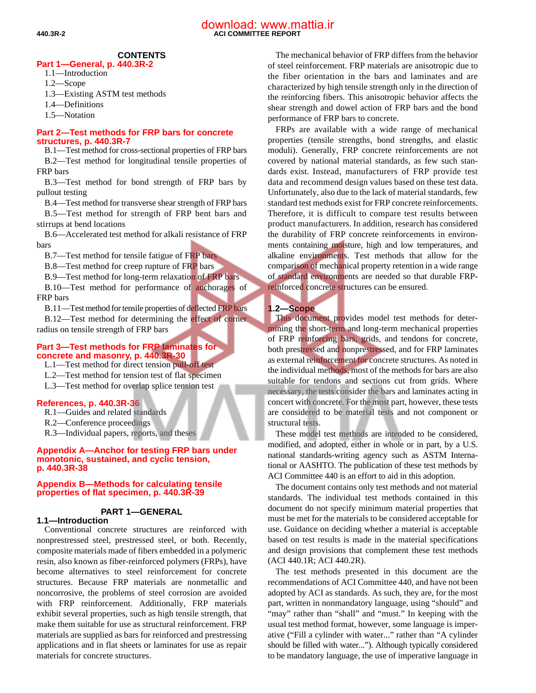# **440.3R-2 ACI COMMITTEE REPORT** download: [www.mattia.ir](http://www.mattia.ir)

# **CONTENTS**

**Part [1—General, p. 440.3R-2](#page-1-0)** 1.1—Introduction

- 1.2—Scope
- 1.3—Existing ASTM test methods
- 1.4—Definitions
- 1.5—Notation

## **Part [2—Test methods for FRP bars for concrete](#page-6-0)  structures, p. 440.3R-7**

B.1—Test method for cross-sectional properties of FRP bars B.2—Test method for longitudinal tensile properties of FRP bars

B.3—Test method for bond strength of FRP bars by pullout testing

B.4—Test method for transverse shear strength of FRP bars B.5—Test method for strength of FRP bent bars and stirrups at bend locations

B.6—Accelerated test method for alkali resistance of FRP bars

B.7—Test method for tensile fatigue of FRP bars

B.8—Test method for creep rupture of FRP bars

B.9—Test method for long-term relaxation of FRP bars

B.10—Test method for performance of anchorages of FRP bars

B.11—Test method for tensile properties of deflected FRP bars

B.12—Test method for determining the effect of corner radius on tensile strength of FRP bars

# **Part [3—Test methods for FRP laminates for](#page-29-0)  concrete and masonry, p. 440.3R-30**

- L.1—Test method for direct tension pull-off test
- L.2—Test method for tension test of flat specimen
- L.3—Test method for overlap splice tension test

# <span id="page-1-0"></span>**[References, p. 440.3R-36](#page-35-0)**

- R.1—Guides and related standards
- R.2—Conference proceedings
- R.3—Individual papers, reports, and theses

# **[Appendix A—Anchor for testing FRP bars under](#page-37-0)  monotonic, sustained, and cyclic tension, p. 440.3R-38**

# **[Appendix B—Methods for calculating tensile](#page-38-0)  properties of flat specimen, p. 440.3R-39**

# **PART 1—GENERAL**

# **1.1—Introduction**

Conventional concrete structures are reinforced with nonprestressed steel, prestressed steel, or both. Recently, composite materials made of fibers embedded in a polymeric resin, also known as fiber-reinforced polymers (FRPs), have become alternatives to steel reinforcement for concrete structures. Because FRP materials are nonmetallic and noncorrosive, the problems of steel corrosion are avoided with FRP reinforcement. Additionally, FRP materials exhibit several properties, such as high tensile strength, that make them suitable for use as structural reinforcement. FRP materials are supplied as bars for reinforced and prestressing applications and in flat sheets or laminates for use as repair materials for concrete structures.

The mechanical behavior of FRP differs from the behavior of steel reinforcement. FRP materials are anisotropic due to the fiber orientation in the bars and laminates and are characterized by high tensile strength only in the direction of the reinforcing fibers. This anisotropic behavior affects the shear strength and dowel action of FRP bars and the bond performance of FRP bars to concrete.

FRPs are available with a wide range of mechanical properties (tensile strengths, bond strengths, and elastic moduli). Generally, FRP concrete reinforcements are not covered by national material standards, as few such standards exist. Instead, manufacturers of FRP provide test data and recommend design values based on these test data. Unfortunately, also due to the lack of material standards, few standard test methods exist for FRP concrete reinforcements. Therefore, it is difficult to compare test results between product manufacturers. In addition, research has considered the durability of FRP concrete reinforcements in environments containing moisture, high and low temperatures, and alkaline environments. Test methods that allow for the comparison of mechanical property retention in a wide range of standard environments are needed so that durable FRPreinforced concrete structures can be ensured.

# **1.2—Scope**

This document provides model test methods for determining the short-term and long-term mechanical properties of FRP reinforcing bars, grids, and tendons for concrete, both prestressed and nonprestressed, and for FRP laminates as external reinforcement for concrete structures. As noted in the individual methods, most of the methods for bars are also suitable for tendons and sections cut from grids. Where necessary, the tests consider the bars and laminates acting in concert with concrete. For the most part, however, these tests are considered to be material tests and not component or structural tests.

These model test methods are intended to be considered, modified, and adopted, either in whole or in part, by a U.S. national standards-writing agency such as ASTM International or AASHTO. The publication of these test methods by ACI Committee 440 is an effort to aid in this adoption.

The document contains only test methods and not material standards. The individual test methods contained in this document do not specify minimum material properties that must be met for the materials to be considered acceptable for use. Guidance on deciding whether a material is acceptable based on test results is made in the material specifications and design provisions that complement these test methods (ACI 440.1R; ACI 440.2R).

The test methods presented in this document are the recommendations of ACI Committee 440, and have not been adopted by ACI as standards. As such, they are, for the most part, written in nonmandatory language, using "should" and "may" rather than "shall" and "must." In keeping with the usual test method format, however, some language is imperative ("Fill a cylinder with water..." rather than "A cylinder should be filled with water..."). Although typically considered to be mandatory language, the use of imperative language in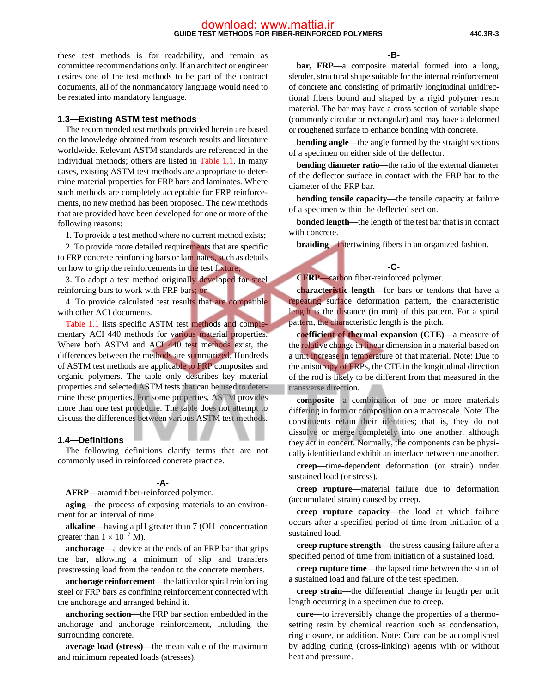these test methods is for readability, and remain as committee recommendations only. If an architect or engineer desires one of the test methods to be part of the contract documents, all of the nonmandatory language would need to be restated into mandatory language.

## **1.3—Existing ASTM test methods**

The recommended test methods provided herein are based on the knowledge obtained from research results and literature worldwide. Relevant ASTM standards are referenced in the individual methods; others are listed in [Table 1.1.](#page-3-0) In many cases, existing ASTM test methods are appropriate to determine material properties for FRP bars and laminates. Where such methods are completely acceptable for FRP reinforcements, no new method has been proposed. The new methods that are provided have been developed for one or more of the following reasons:

1. To provide a test method where no current method exists;

2. To provide more detailed requirements that are specific to FRP concrete reinforcing bars or laminates, such as details on how to grip the reinforcements in the test fixture;

3. To adapt a test method originally developed for steel reinforcing bars to work with FRP bars; or

4. To provide calculated test results that are compatible with other ACI documents.

Table 1.1 lists specific ASTM test methods and complementary ACI 440 methods for various material properties. Where both ASTM and ACI 440 test methods exist, the differences between the methods are summarized. Hundreds of ASTM test methods are applicable to FRP composites and organic polymers. The table only describes key material properties and selected ASTM tests that can be used to determine these properties. For some properties, ASTM provides more than one test procedure. The table does not attempt to discuss the differences between various ASTM test methods.

### **1.4—Definitions**

The following definitions clarify terms that are not commonly used in reinforced concrete practice.

## **-A-**

**AFRP**—aramid fiber-reinforced polymer.

**aging**—the process of exposing materials to an environment for an interval of time.

**alkaline**—having a pH greater than 7 (OH– concentration greater than  $1 \times 10^{-7}$  M).

**anchorage**—a device at the ends of an FRP bar that grips the bar, allowing a minimum of slip and transfers prestressing load from the tendon to the concrete members.

**anchorage reinforcement**—the latticed or spiral reinforcing steel or FRP bars as confining reinforcement connected with the anchorage and arranged behind it.

**anchoring section**—the FRP bar section embedded in the anchorage and anchorage reinforcement, including the surrounding concrete.

**average load (stress)**—the mean value of the maximum and minimum repeated loads (stresses).

**-B-**

**bar, FRP**—a composite material formed into a long, slender, structural shape suitable for the internal reinforcement of concrete and consisting of primarily longitudinal unidirectional fibers bound and shaped by a rigid polymer resin material. The bar may have a cross section of variable shape (commonly circular or rectangular) and may have a deformed or roughened surface to enhance bonding with concrete.

**bending angle**—the angle formed by the straight sections of a specimen on either side of the deflector.

**bending diameter ratio**—the ratio of the external diameter of the deflector surface in contact with the FRP bar to the diameter of the FRP bar.

**bending tensile capacity**—the tensile capacity at failure of a specimen within the deflected section.

**bonded length**—the length of the test bar that is in contact with concrete.

**braiding**—intertwining fibers in an organized fashion.

# **-C-**

**CFRP**—carbon fiber-reinforced polymer.

**characteristic length**—for bars or tendons that have a repeating surface deformation pattern, the characteristic length is the distance (in mm) of this pattern. For a spiral pattern, the characteristic length is the pitch.

**coefficient of thermal expansion (CTE)**—a measure of the relative change in linear dimension in a material based on a unit increase in temperature of that material. Note: Due to the anisotropy of FRPs, the CTE in the longitudinal direction of the rod is likely to be different from that measured in the transverse direction.

**composite**—a combination of one or more materials differing in form or composition on a macroscale. Note: The constituents retain their identities; that is, they do not dissolve or merge completely into one another, although they act in concert. Normally, the components can be physically identified and exhibit an interface between one another.

**creep**—time-dependent deformation (or strain) under sustained load (or stress).

**creep rupture**—material failure due to deformation (accumulated strain) caused by creep.

**creep rupture capacity**—the load at which failure occurs after a specified period of time from initiation of a sustained load.

**creep rupture strength**—the stress causing failure after a specified period of time from initiation of a sustained load.

**creep rupture time**—the lapsed time between the start of a sustained load and failure of the test specimen.

**creep strain**—the differential change in length per unit length occurring in a specimen due to creep.

**cure**—to irreversibly change the properties of a thermosetting resin by chemical reaction such as condensation, ring closure, or addition. Note: Cure can be accomplished by adding curing (cross-linking) agents with or without heat and pressure.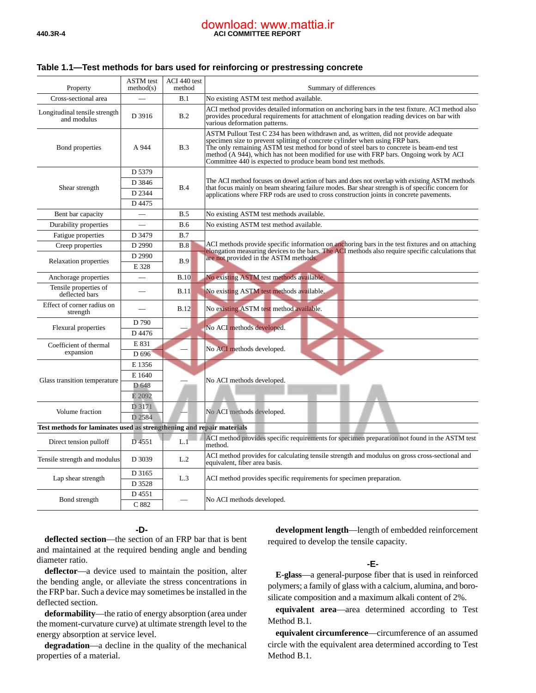## **440.3R-4 ACI COMMITTEE REPORT** download: [www.mattia.ir](http://www.mattia.ir)

# <span id="page-3-0"></span>**Table 1.1—Test methods for bars used for reinforcing or prestressing concrete**

| Property                                                              | <b>ASTM</b> test<br>method(s) | ACI 440 test<br>method | Summary of differences                                                                                                                                                                                                                                                                                                                                                                                                    |  |  |
|-----------------------------------------------------------------------|-------------------------------|------------------------|---------------------------------------------------------------------------------------------------------------------------------------------------------------------------------------------------------------------------------------------------------------------------------------------------------------------------------------------------------------------------------------------------------------------------|--|--|
| Cross-sectional area                                                  |                               | B.1                    | No existing ASTM test method available.                                                                                                                                                                                                                                                                                                                                                                                   |  |  |
| Longitudinal tensile strength<br>and modulus                          | D 3916                        | B.2                    | ACI method provides detailed information on anchoring bars in the test fixture. ACI method also<br>provides procedural requirements for attachment of elongation reading devices on bar with<br>various deformation patterns.                                                                                                                                                                                             |  |  |
| Bond properties                                                       | A 944                         | B.3                    | ASTM Pullout Test C 234 has been withdrawn and, as written, did not provide adequate<br>specimen size to prevent splitting of concrete cylinder when using FRP bars.<br>The only remaining ASTM test method for bond of steel bars to concrete is beam-end test<br>method (A 944), which has not been modified for use with FRP bars. Ongoing work by ACI<br>Committee 440 is expected to produce beam bond test methods. |  |  |
|                                                                       | D 5379                        |                        | The ACI method focuses on dowel action of bars and does not overlap with existing ASTM methods<br>that focus mainly on beam shearing failure modes. Bar shear strength is of specific concern for<br>applications where FRP rods are used to cross construction joints in concrete pavements.                                                                                                                             |  |  |
| Shear strength                                                        | D 3846                        | B.4                    |                                                                                                                                                                                                                                                                                                                                                                                                                           |  |  |
|                                                                       | D 2344                        |                        |                                                                                                                                                                                                                                                                                                                                                                                                                           |  |  |
|                                                                       | D 4475                        |                        |                                                                                                                                                                                                                                                                                                                                                                                                                           |  |  |
| Bent bar capacity                                                     |                               | B.5                    | No existing ASTM test methods available.                                                                                                                                                                                                                                                                                                                                                                                  |  |  |
| Durability properties                                                 |                               | <b>B.6</b>             | No existing ASTM test method available.                                                                                                                                                                                                                                                                                                                                                                                   |  |  |
| Fatigue properties                                                    | D 3479                        | B.7                    |                                                                                                                                                                                                                                                                                                                                                                                                                           |  |  |
| Creep properties                                                      | D 2990                        | B.8                    | ACI methods provide specific information on anchoring bars in the test fixtures and on attaching<br>elongation measuring devices to the bars. The ACI methods also require specific calculations that                                                                                                                                                                                                                     |  |  |
| <b>Relaxation</b> properties                                          | D 2990                        | B.9                    | are not provided in the ASTM methods.                                                                                                                                                                                                                                                                                                                                                                                     |  |  |
|                                                                       | E 328                         |                        |                                                                                                                                                                                                                                                                                                                                                                                                                           |  |  |
| Anchorage properties                                                  |                               | B.10                   | No existing ASTM test methods available.                                                                                                                                                                                                                                                                                                                                                                                  |  |  |
| Tensile properties of<br>deflected bars                               |                               | <b>B.11</b>            | No existing ASTM test methods available.                                                                                                                                                                                                                                                                                                                                                                                  |  |  |
| Effect of corner radius on<br>strength                                |                               | B.12                   | No existing ASTM test method available.                                                                                                                                                                                                                                                                                                                                                                                   |  |  |
|                                                                       | D 790                         |                        | No ACI methods developed.                                                                                                                                                                                                                                                                                                                                                                                                 |  |  |
| Flexural properties                                                   | D 4476                        |                        |                                                                                                                                                                                                                                                                                                                                                                                                                           |  |  |
| Coefficient of thermal                                                | E 831                         |                        | No ACI methods developed.                                                                                                                                                                                                                                                                                                                                                                                                 |  |  |
| expansion                                                             | D 696                         |                        |                                                                                                                                                                                                                                                                                                                                                                                                                           |  |  |
|                                                                       | E 1356                        |                        |                                                                                                                                                                                                                                                                                                                                                                                                                           |  |  |
| Glass transition temperature                                          | E 1640                        |                        | No ACI methods developed.                                                                                                                                                                                                                                                                                                                                                                                                 |  |  |
|                                                                       | D 648                         |                        |                                                                                                                                                                                                                                                                                                                                                                                                                           |  |  |
|                                                                       | E 2092                        |                        |                                                                                                                                                                                                                                                                                                                                                                                                                           |  |  |
| Volume fraction                                                       | D 3171                        |                        | No ACI methods developed.                                                                                                                                                                                                                                                                                                                                                                                                 |  |  |
|                                                                       | D 2584                        |                        |                                                                                                                                                                                                                                                                                                                                                                                                                           |  |  |
| Test methods for laminates used as strengthening and repair materials |                               |                        |                                                                                                                                                                                                                                                                                                                                                                                                                           |  |  |
| Direct tension pulloff                                                | D4551                         | L.1                    | ACI method provides specific requirements for specimen preparation not found in the ASTM test<br>method.                                                                                                                                                                                                                                                                                                                  |  |  |
| Tensile strength and modulus                                          | D 3039                        | L.2                    | ACI method provides for calculating tensile strength and modulus on gross cross-sectional and<br>equivalent, fiber area basis.                                                                                                                                                                                                                                                                                            |  |  |
| Lap shear strength                                                    | D 3165                        | L.3                    | ACI method provides specific requirements for specimen preparation.                                                                                                                                                                                                                                                                                                                                                       |  |  |
|                                                                       | D 3528                        |                        |                                                                                                                                                                                                                                                                                                                                                                                                                           |  |  |
| Bond strength                                                         | D 4551                        |                        | No ACI methods developed.                                                                                                                                                                                                                                                                                                                                                                                                 |  |  |
|                                                                       | C 882                         |                        |                                                                                                                                                                                                                                                                                                                                                                                                                           |  |  |

# **-D-**

**deflected section**—the section of an FRP bar that is bent and maintained at the required bending angle and bending diameter ratio.

**deflector**—a device used to maintain the position, alter the bending angle, or alleviate the stress concentrations in the FRP bar. Such a device may sometimes be installed in the deflected section.

**deformability**—the ratio of energy absorption (area under the moment-curvature curve) at ultimate strength level to the energy absorption at service level.

**degradation**—a decline in the quality of the mechanical properties of a material.

**development length**—length of embedded reinforcement required to develop the tensile capacity.

# **-E-**

**E-glass**—a general-purpose fiber that is used in reinforced polymers; a family of glass with a calcium, alumina, and borosilicate composition and a maximum alkali content of 2%.

**equivalent area**—area determined according to Test Method B.1.

**equivalent circumference**—circumference of an assumed circle with the equivalent area determined according to Test Method B.1.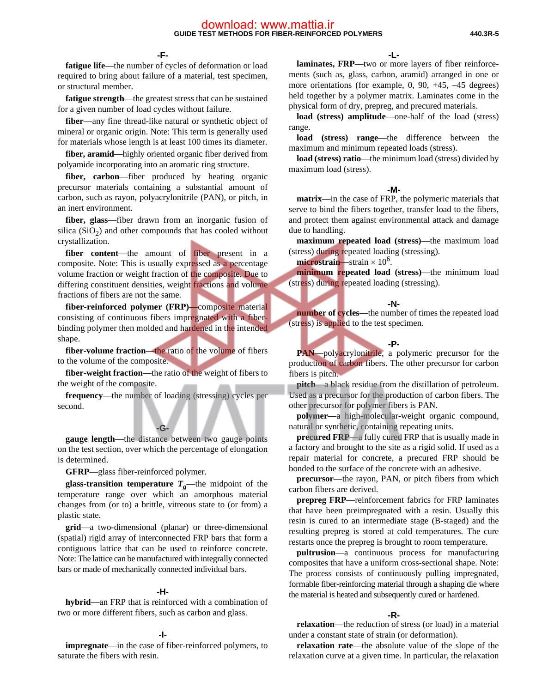**fatigue life**—the number of cycles of deformation or load required to bring about failure of a material, test specimen, or structural member.

**fatigue strength**—the greatest stress that can be sustained for a given number of load cycles without failure.

**fiber**—any fine thread-like natural or synthetic object of mineral or organic origin. Note: This term is generally used for materials whose length is at least 100 times its diameter.

**fiber, aramid**—highly oriented organic fiber derived from polyamide incorporating into an aromatic ring structure.

**fiber, carbon**—fiber produced by heating organic precursor materials containing a substantial amount of carbon, such as rayon, polyacrylonitrile (PAN), or pitch, in an inert environment.

**fiber, glass**—fiber drawn from an inorganic fusion of silica  $(SiO<sub>2</sub>)$  and other compounds that has cooled without crystallization.

fiber content—the amount of fiber present in a composite. Note: This is usually expressed as a percentage volume fraction or weight fraction of the composite. Due to differing constituent densities, weight fractions and volume fractions of fibers are not the same.

**fiber-reinforced polymer (FRP)**—composite material consisting of continuous fibers impregnated with a fiberbinding polymer then molded and hardened in the intended shape.

**fiber-volume fraction**—the ratio of the volume of fibers to the volume of the composite.

**fiber-weight fraction**—the ratio of the weight of fibers to the weight of the composite.

**frequency**—the number of loading (stressing) cycles per second.

**gauge length**—the distance between two gauge points on the test section, over which the percentage of elongation is determined.

**-G-**

**GFRP**—glass fiber-reinforced polymer.

**glass-transition temperature**  $T_g$ **—the midpoint of the** temperature range over which an amorphous material changes from (or to) a brittle, vitreous state to (or from) a plastic state.

**grid**—a two-dimensional (planar) or three-dimensional (spatial) rigid array of interconnected FRP bars that form a contiguous lattice that can be used to reinforce concrete. Note: The lattice can be manufactured with integrally connected bars or made of mechanically connected individual bars.

## **-H-**

**hybrid**—an FRP that is reinforced with a combination of two or more different fibers, such as carbon and glass.

## **-I-**

**impregnate**—in the case of fiber-reinforced polymers, to saturate the fibers with resin.

**laminates, FRP**—two or more layers of fiber reinforcements (such as, glass, carbon, aramid) arranged in one or more orientations (for example, 0, 90, +45, –45 degrees) held together by a polymer matrix. Laminates come in the physical form of dry, prepreg, and precured materials.

**load (stress) amplitude**—one-half of the load (stress) range.

**load (stress) range**—the difference between the maximum and minimum repeated loads (stress).

**load (stress) ratio**—the minimum load (stress) divided by maximum load (stress).

## **-M-**

**matrix**—in the case of FRP, the polymeric materials that serve to bind the fibers together, transfer load to the fibers, and protect them against environmental attack and damage due to handling.

**maximum repeated load (stress)**—the maximum load (stress) during repeated loading (stressing).

microstrain—strain × 10<sup>6</sup>.

**minimum repeated load (stress)**—the minimum load (stress) during repeated loading (stressing).

## **-N-**

**number of cycles**—the number of times the repeated load (stress) is applied to the test specimen.

**-P-**

**PAN**—polyacrylonitrile, a polymeric precursor for the production of carbon fibers. The other precursor for carbon fibers is pitch.

**pitch**—a black residue from the distillation of petroleum. Used as a precursor for the production of carbon fibers. The other precursor for polymer fibers is PAN.

**polymer**—a high-molecular-weight organic compound, natural or synthetic, containing repeating units.

**precured FRP**—a fully cured FRP that is usually made in a factory and brought to the site as a rigid solid. If used as a repair material for concrete, a precured FRP should be bonded to the surface of the concrete with an adhesive.

**precursor**—the rayon, PAN, or pitch fibers from which carbon fibers are derived.

**prepreg FRP**—reinforcement fabrics for FRP laminates that have been preimpregnated with a resin. Usually this resin is cured to an intermediate stage (B-staged) and the resulting prepreg is stored at cold temperatures. The cure restarts once the prepreg is brought to room temperature.

**pultrusion**—a continuous process for manufacturing composites that have a uniform cross-sectional shape. Note: The process consists of continuously pulling impregnated, formable fiber-reinforcing material through a shaping die where the material is heated and subsequently cured or hardened.

## **-R-**

**relaxation**—the reduction of stress (or load) in a material under a constant state of strain (or deformation).

**relaxation rate**—the absolute value of the slope of the relaxation curve at a given time. In particular, the relaxation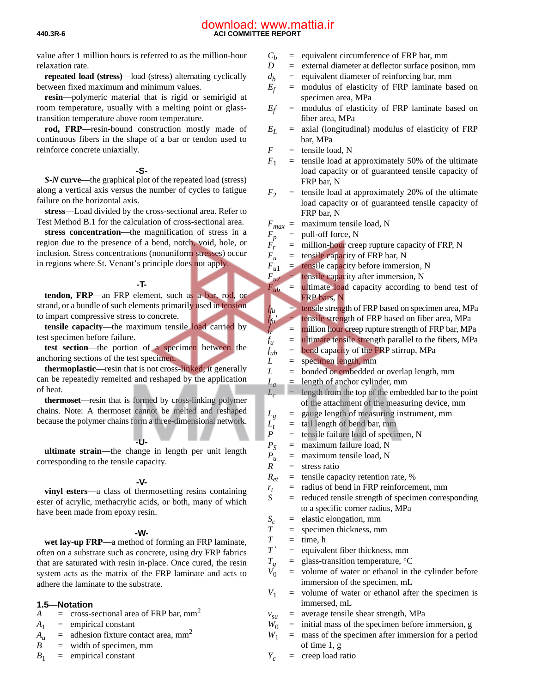*f*

value after 1 million hours is referred to as the million-hour relaxation rate.

**repeated load (stress)**—load (stress) alternating cyclically between fixed maximum and minimum values.

**resin**—polymeric material that is rigid or semirigid at room temperature, usually with a melting point or glasstransition temperature above room temperature.

**rod, FRP**—resin-bound construction mostly made of continuous fibers in the shape of a bar or tendon used to reinforce concrete uniaxially.

**-S-**

*S***-***N* **curve**—the graphical plot of the repeated load (stress) along a vertical axis versus the number of cycles to fatigue failure on the horizontal axis.

**stress**—Load divided by the cross-sectional area. Refer to Test Method B.1 for the calculation of cross-sectional area.

**stress concentration**—the magnification of stress in a region due to the presence of a bend, notch, void, hole, or inclusion. Stress concentrations (nonuniform stresses) occur in regions where St. Venant's principle does not apply.

# **-T-**

**tendon, FRP**—an FRP element, such as a bar, rod, or strand, or a bundle of such elements primarily used in tension to impart compressive stress to concrete.

**tensile capacity**—the maximum tensile load carried by test specimen before failure.

**test section**—the portion of a specimen between the anchoring sections of the test specimen.

**thermoplastic**—resin that is not cross-linked; it generally can be repeatedly remelted and reshaped by the application of heat.

**thermoset**—resin that is formed by cross-linking polymer chains. Note: A thermoset cannot be melted and reshaped because the polymer chains form a three-dimensional network.

## **-U-**

**ultimate strain**—the change in length per unit length corresponding to the tensile capacity.

## **-V-**

**vinyl esters**—a class of thermosetting resins containing ester of acrylic, methacrylic acids, or both, many of which have been made from epoxy resin.

# **-W-**

**wet lay-up FRP**—a method of forming an FRP laminate, often on a substrate such as concrete, using dry FRP fabrics that are saturated with resin in-place. Once cured, the resin system acts as the matrix of the FRP laminate and acts to adhere the laminate to the substrate.

# **1.5—Notation**

- $A = \csc$  = cross-sectional area of FRP bar, mm<sup>2</sup>
- $A_1$  = empirical constant
- $A_a$  = adhesion fixture contact area, mm<sup>2</sup>
- $B =$  width of specimen, mm
- $B_1$  = empirical constant
- $C_b$  = equivalent circumference of FRP bar, mm<br> $D$  = external diameter at deflector surface positi
	- = external diameter at deflector surface position, mm
- $d_b$  = equivalent diameter of reinforcing bar, mm<br> $E_f$  = modulus of elasticity of FRP laminate ba
	- $=$  modulus of elasticity of FRP laminate based on specimen area, MPa
- *Ef* = modulus of elasticity of FRP laminate based on fiber area, MPa
- $E_I$  = axial (longitudinal) modulus of elasticity of FRP bar, MPa
- $F =$  tensile load, N
- $F_1$  = tensile load at approximately 50% of the ultimate load capacity or of guaranteed tensile capacity of FRP bar, N
- $F<sub>2</sub>$  = tensile load at approximately 20% of the ultimate load capacity or of guaranteed tensile capacity of FRP bar, N
- $F_{max}$  = maximum tensile load, N<br> $F_n$  = pull-off force, N
	-
- $F_p$  = pull-off force, N<br> $F_r$  = million-hour cree  $\vec{F}_r$  = million-hour creep rupture capacity of FRP, N<br> $F_u$  = tensile capacity of FRP bar, N
	-
- $F_u$  = tensile capacity of FRP bar, N<br> $F_{u1}$  = tensile capacity before immers  $F_{u1}$  = tensile capacity before immersion, N<br> $F_{u2}$  = tensile capacity after immersion, N
	- *Furnalle capacity after immersion, N*<br> *Furnalle load capacity according times*
- $F_{ub}$  = ultimate load capacity according to bend test of FRP bars, N
- tensile strength of FRP based on specimen area, MPa *ffu*′ = tensile strength of FRP based on fiber area, MPa
	- $f =$  million hour creep rupture strength of FRP bar, MPa
- $f_u$  = ultimate tensile strength parallel to the fibers, MPa
- $f_{ub}$  = bend capacity of the FRP stirrup, MPa<br> $L$  = specimen length, mm
	- *L* = specimen length, mm
- $L =$  bonded or embedded or overlap length, mm
	-
- $L_a$  = length of anchor cylinder, mm<br> $L_c$  = length from the top of the ember length from the top of the embedded bar to the point of the attachment of the measuring device, mm
- $L_g$  = gauge length of measuring instrument, mm<br> $L_t$  = tail length of bend bar, mm
- $L_t^{\checkmark}$  = tail length of bend bar, mm<br> $P$  = tensile failure load of special
	- $=$  tensile failure load of specimen, N
- $P_S$  = maximum failure load, N<br> $P_u$  = maximum tensile load, N
- $P_u$  = maximum tensile load, N<br> $R$  = stress ratio
	- stress ratio
- $R_{et}$  = tensile capacity retention rate, %
- $r_t$  = radius of bend in FRP reinforcement, mm<br> $S$  = reduced tensile strength of specimen corres
	- = reduced tensile strength of specimen corresponding to a specific corner radius, MPa
- $S_c$  = elastic elongation, mm<br> $T$  = specimen thickness, mm
- $T =$  specimen thickness, mm<br> $T =$  time, h
- $T = \text{time, h}$ <br> $T' = \text{equival}$ 
	-
- $T'$  = equivalent fiber thickness, mm<br>  $T_g$  = glass-transition temperature, °C<br>  $V_0$  = volume of water or ethanol in = glass-transition temperature, °C<br>= volume of water or ethanol in t
	- volume of water or ethanol in the cylinder before immersion of the specimen, mL
- $V_1$  = volume of water or ethanol after the specimen is immersed, mL
- $v_{su}$  = average tensile shear strength, MPa<br> $W_0$  = initial mass of the specimen before
- $W_0$  = initial mass of the specimen before immersion, g<br> $W_1$  = mass of the specimen after immersion for a perio
	- = mass of the specimen after immersion for a period of time 1, g
- *Yc* = creep load ratio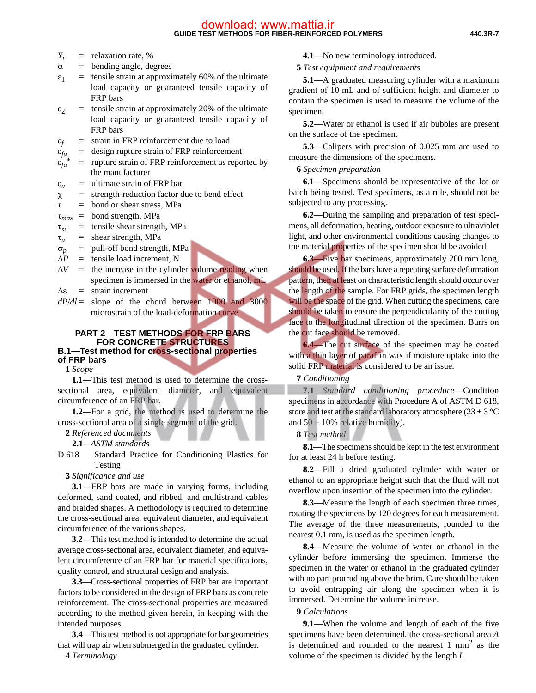# **GUIDE TEST METHODS FOR FIBER-REINFORCED POLYMERS 440.3R-7** download: [www.mattia.ir](http://www.mattia.ir)

- $Y_r$  = relaxation rate, %
- $\alpha$  = bending angle, degrees
- $\varepsilon_1$  = tensile strain at approximately 60% of the ultimate load capacity or guaranteed tensile capacity of FRP bars
- $\varepsilon_2$  = tensile strain at approximately 20% of the ultimate load capacity or guaranteed tensile capacity of FRP bars
- $\varepsilon_f$  = strain in FRP reinforcement due to load
- $\varepsilon_{\text{f}u}$  = design rupture strain of FRP reinforcement
- $\varepsilon_{fu}^*$  = rupture strain of FRP reinforcement as reported by the manufacturer
- $\varepsilon_u$  = ultimate strain of FRP bar
- $\chi$  = strength-reduction factor due to bend effect
- $\tau$  = bond or shear stress, MPa
- $\tau_{max}$  = bond strength, MPa
- τ*su* = tensile shear strength, MPa
- τ*<sup>u</sup>* = shear strength, MPa
- $\sigma_p$  = pull-off bond strength, MPa<br>  $\Delta P$  = tensile load increment. N
- ∆*P* = tensile load increment, N
- $\Delta V$  = the increase in the cylinder volume reading when specimen is immersed in the water or ethanol, mL

 $Δε = strain increment$ 

*dP*/*dl* = slope of the chord between 1000 and 3000 microstrain of the load-deformation curve

## <span id="page-6-0"></span>**PART 2—TEST METHODS FOR FRP BARS FOR CONCRETE STRUCTURES B.1—Test method for cross-sectional properties**

# **of FRP bars**

**1** *Scope*

**1.1**—This test method is used to determine the crosssectional area, equivalent diameter, and equivalent circumference of an FRP bar.

**1.2**—For a grid, the method is used to determine the cross-sectional area of a single segment of the grid.

**2** *Referenced documents*

**2.1***—ASTM standards*

D 618 Standard Practice for Conditioning Plastics for Testing

**3** *Significance and use*

**3.1**—FRP bars are made in varying forms, including deformed, sand coated, and ribbed, and multistrand cables and braided shapes. A methodology is required to determine the cross-sectional area, equivalent diameter, and equivalent circumference of the various shapes.

**3.2**—This test method is intended to determine the actual average cross-sectional area, equivalent diameter, and equivalent circumference of an FRP bar for material specifications, quality control, and structural design and analysis.

**3.3**—Cross-sectional properties of FRP bar are important factors to be considered in the design of FRP bars as concrete reinforcement. The cross-sectional properties are measured according to the method given herein, in keeping with the intended purposes.

**3.4**—This test method is not appropriate for bar geometries that will trap air when submerged in the graduated cylinder.

**4** *Terminology*

**4.1**—No new terminology introduced.

# **5** *Test equipment and requirements*

**5.1**—A graduated measuring cylinder with a maximum gradient of 10 mL and of sufficient height and diameter to contain the specimen is used to measure the volume of the specimen.

**5.2**—Water or ethanol is used if air bubbles are present on the surface of the specimen.

**5.3**—Calipers with precision of 0.025 mm are used to measure the dimensions of the specimens.

## **6** *Specimen preparation*

**6.1**—Specimens should be representative of the lot or batch being tested. Test specimens, as a rule, should not be subjected to any processing.

**6.2**—During the sampling and preparation of test specimens, all deformation, heating, outdoor exposure to ultraviolet light, and other environmental conditions causing changes to the material properties of the specimen should be avoided.

**6.3**—Five bar specimens, approximately 200 mm long, should be used. If the bars have a repeating surface deformation pattern, then at least on characteristic length should occur over the length of the sample. For FRP grids, the specimen length will be the space of the grid. When cutting the specimens, care should be taken to ensure the perpendicularity of the cutting face to the longitudinal direction of the specimen. Burrs on the cut face should be removed.

**6.4**—The cut surface of the specimen may be coated with a thin layer of paraffin wax if moisture uptake into the solid FRP material is considered to be an issue.

## **7** *Conditioning*

**7.1** *Standard conditioning procedure*—Condition specimens in accordance with Procedure A of ASTM D 618, store and test at the standard laboratory atmosphere  $(23 \pm 3 \degree C)$ and  $50 \pm 10\%$  relative humidity).

## **8** *Test method*

**8.1**—The specimens should be kept in the test environment for at least 24 h before testing.

**8.2**—Fill a dried graduated cylinder with water or ethanol to an appropriate height such that the fluid will not overflow upon insertion of the specimen into the cylinder.

**8.3**—Measure the length of each specimen three times, rotating the specimens by 120 degrees for each measurement. The average of the three measurements, rounded to the nearest 0.1 mm, is used as the specimen length.

**8.4**—Measure the volume of water or ethanol in the cylinder before immersing the specimen. Immerse the specimen in the water or ethanol in the graduated cylinder with no part protruding above the brim. Care should be taken to avoid entrapping air along the specimen when it is immersed. Determine the volume increase.

## **9** *Calculations*

**9.1**—When the volume and length of each of the five specimens have been determined, the cross-sectional area *A* is determined and rounded to the nearest  $1 \text{ mm}^2$  as the volume of the specimen is divided by the length *L*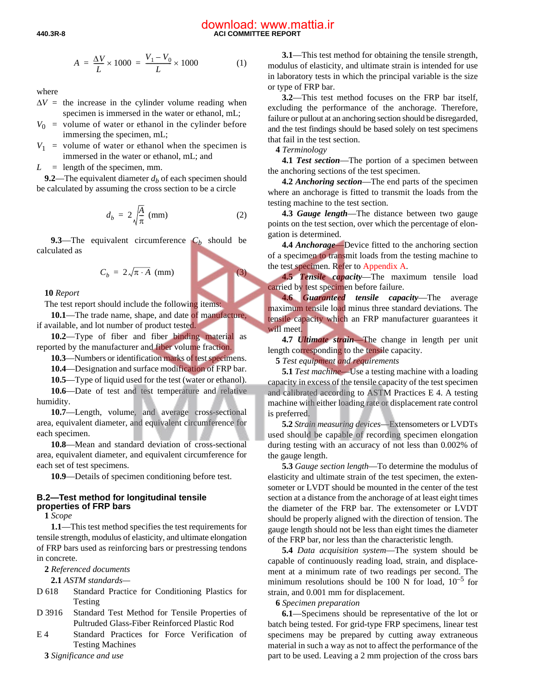## **440.3R-8 ACI COMMITTEE REPORT** download: [www.mattia.ir](http://www.mattia.ir)

$$
A = \frac{\Delta V}{L} \times 1000 = \frac{V_1 - V_0}{L} \times 1000
$$
 (1)

where

- $\Delta V$  = the increase in the cylinder volume reading when specimen is immersed in the water or ethanol, mL;
- $V_0$  = volume of water or ethanol in the cylinder before immersing the specimen, mL;
- $V_1$  = volume of water or ethanol when the specimen is immersed in the water or ethanol, mL; and
- $L =$  length of the specimen, mm.

**9.2**—The equivalent diameter  $d<sub>b</sub>$  of each specimen should be calculated by assuming the cross section to be a circle

$$
d_b = 2\sqrt{\frac{A}{\pi}} \text{ (mm)} \tag{2}
$$

**9.3**—The equivalent circumference  $C_b$  should be calculated as

$$
C_b = 2\sqrt{\pi \cdot A} \text{ (mm)} \tag{3}
$$

**10** *Report*

The test report should include the following items: 10.1—The trade name, shape, and date of manufacture, if available, and lot number of product tested.

**10.2**—Type of fiber and fiber binding material as reported by the manufacturer and fiber volume fraction.

**10.3**—Numbers or identification marks of test specimens.

**10.4**—Designation and surface modification of FRP bar.

**10.5**—Type of liquid used for the test (water or ethanol).

**10.6**—Date of test and test temperature and relative humidity.

**10.7**—Length, volume, and average cross-sectional area, equivalent diameter, and equivalent circumference for each specimen.

**10.8**—Mean and standard deviation of cross-sectional area, equivalent diameter, and equivalent circumference for each set of test specimens.

**10.9**—Details of specimen conditioning before test.

#### **B.2—Test method for longitudinal tensile properties of FRP bars**

**1** *Scope*

**1.1**—This test method specifies the test requirements for tensile strength, modulus of elasticity, and ultimate elongation of FRP bars used as reinforcing bars or prestressing tendons in concrete.

**2** *Referenced documents*

**2.1** *ASTM standards—*

- D 618 Standard Practice for Conditioning Plastics for Testing
- D 3916 Standard Test Method for Tensile Properties of Pultruded Glass-Fiber Reinforced Plastic Rod
- E 4 Standard Practices for Force Verification of Testing Machines

**3** *Significance and use*

**3.1**—This test method for obtaining the tensile strength, modulus of elasticity, and ultimate strain is intended for use in laboratory tests in which the principal variable is the size or type of FRP bar.

**3.2**—This test method focuses on the FRP bar itself, excluding the performance of the anchorage. Therefore, failure or pullout at an anchoring section should be disregarded, and the test findings should be based solely on test specimens that fail in the test section.

**4** *Terminology*

**4.1** *Test section*—The portion of a specimen between the anchoring sections of the test specimen.

**4.2** *Anchoring section*—The end parts of the specimen where an anchorage is fitted to transmit the loads from the testing machine to the test section.

**4.3** *Gauge length*—The distance between two gauge points on the test section, over which the percentage of elongation is determined.

**4.4** *Anchorage*—Device fitted to the anchoring section of a specimen to transmit loads from the testing machine to the test specimen. Refer t[o Appendix A.](#page-37-0)

**4.5** *Tensile capacity*—The maximum tensile load carried by test specimen before failure.

**4.6** *Guaranteed tensile capacity*—The average maximum tensile load minus three standard deviations. The tensile capacity which an FRP manufacturer guarantees it will meet.

**4.7** *Ultimate strain*—The change in length per unit length corresponding to the tensile capacity.

**5** *Test equipment and requirements*

**5.1** *Test machine*—Use a testing machine with a loading capacity in excess of the tensile capacity of the test specimen and calibrated according to ASTM Practices E 4. A testing machine with either loading rate or displacement rate control is preferred.

**5.2** *Strain measuring devices*—Extensometers or LVDTs used should be capable of recording specimen elongation during testing with an accuracy of not less than 0.002% of the gauge length.

**5.3** *Gauge section length*—To determine the modulus of elasticity and ultimate strain of the test specimen, the extensometer or LVDT should be mounted in the center of the test section at a distance from the anchorage of at least eight times the diameter of the FRP bar. The extensometer or LVDT should be properly aligned with the direction of tension. The gauge length should not be less than eight times the diameter of the FRP bar, nor less than the characteristic length.

**5.4** *Data acquisition system*—The system should be capable of continuously reading load, strain, and displacement at a minimum rate of two readings per second. The minimum resolutions should be 100 N for load,  $10^{-5}$  for strain, and 0.001 mm for displacement.

**6** *Specimen preparation*

**6.1**—Specimens should be representative of the lot or batch being tested. For grid-type FRP specimens, linear test specimens may be prepared by cutting away extraneous material in such a way as not to affect the performance of the part to be used. Leaving a 2 mm projection of the cross bars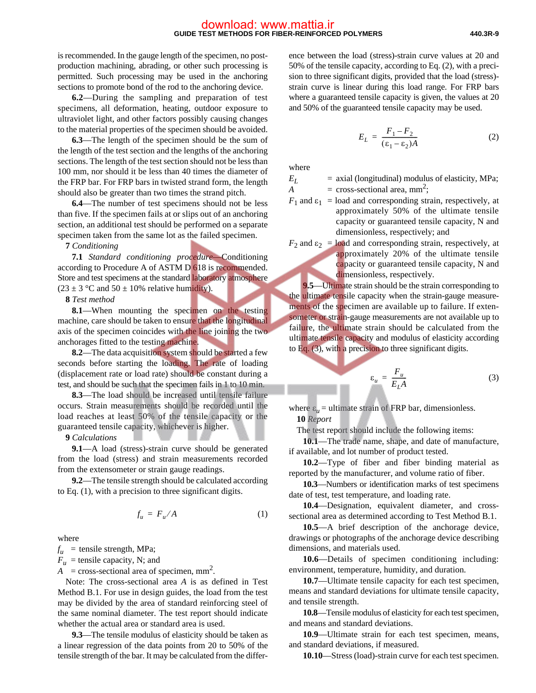is recommended. In the gauge length of the specimen, no postproduction machining, abrading, or other such processing is permitted. Such processing may be used in the anchoring sections to promote bond of the rod to the anchoring device.

**6.2**—During the sampling and preparation of test specimens, all deformation, heating, outdoor exposure to ultraviolet light, and other factors possibly causing changes to the material properties of the specimen should be avoided.

**6.3**—The length of the specimen should be the sum of the length of the test section and the lengths of the anchoring sections. The length of the test section should not be less than 100 mm, nor should it be less than 40 times the diameter of the FRP bar. For FRP bars in twisted strand form, the length should also be greater than two times the strand pitch.

**6.4**—The number of test specimens should not be less than five. If the specimen fails at or slips out of an anchoring section, an additional test should be performed on a separate specimen taken from the same lot as the failed specimen.

## **7** *Conditioning*

**7.1** *Standard conditioning procedure*—Conditioning according to Procedure A of ASTM D 618 is recommended. Store and test specimens at the standard laboratory atmosphere  $(23 \pm 3 \degree C \text{ and } 50 \pm 10\% \text{ relative humidity}).$ 

#### **8** *Test method*

**8.1**—When mounting the specimen on the testing machine, care should be taken to ensure that the longitudinal axis of the specimen coincides with the line joining the two anchorages fitted to the testing machine.

**8.2**—The data acquisition system should be started a few seconds before starting the loading. The rate of loading (displacement rate or load rate) should be constant during a test, and should be such that the specimen fails in 1 to 10 min.

**8.3**—The load should be increased until tensile failure occurs. Strain measurements should be recorded until the load reaches at least 50% of the tensile capacity or the guaranteed tensile capacity, whichever is higher.

**9** *Calculations*

**9.1**—A load (stress)-strain curve should be generated from the load (stress) and strain measurements recorded from the extensometer or strain gauge readings.

**9.2**—The tensile strength should be calculated according to Eq. (1), with a precision to three significant digits.

$$
f_u = F_u / A \tag{1}
$$

where

 $f_u$  = tensile strength, MPa;

 $F_u$  = tensile capacity, N; and

 $\hat{A}$  = cross-sectional area of specimen, mm<sup>2</sup>.

Note: The cross-sectional area *A* is as defined in Test Method B.1. For use in design guides, the load from the test may be divided by the area of standard reinforcing steel of the same nominal diameter. The test report should indicate whether the actual area or standard area is used.

**9.3**—The tensile modulus of elasticity should be taken as a linear regression of the data points from 20 to 50% of the tensile strength of the bar. It may be calculated from the difference between the load (stress)-strain curve values at 20 and 50% of the tensile capacity, according to Eq. (2), with a precision to three significant digits, provided that the load (stress) strain curve is linear during this load range. For FRP bars where a guaranteed tensile capacity is given, the values at 20 and 50% of the guaranteed tensile capacity may be used.

$$
E_L = \frac{F_1 - F_2}{(\varepsilon_1 - \varepsilon_2)A} \tag{2}
$$

where

- $E_L$  = axial (longitudinal) modulus of elasticity, MPa;<br>  $A$  = cross-sectional area. mm<sup>2</sup>:  $=$  cross-sectional area, mm<sup>2</sup>;
- $F_1$  and  $\varepsilon_1$  = load and corresponding strain, respectively, at approximately 50% of the ultimate tensile capacity or guaranteed tensile capacity, N and
- dimensionless, respectively; and  $F_2$  and  $\varepsilon_2$  = load and corresponding strain, respectively, at approximately 20% of the ultimate tensile capacity or guaranteed tensile capacity, N and dimensionless, respectively.

**9.5**—Ultimate strain should be the strain corresponding to the ultimate tensile capacity when the strain-gauge measurements of the specimen are available up to failure. If extensometer or strain-gauge measurements are not available up to failure, the ultimate strain should be calculated from the ultimate tensile capacity and modulus of elasticity according to Eq. (3), with a precision to three significant digits.

$$
L_{\iota} = \frac{F_u}{E_L A} \tag{3}
$$

where  $\varepsilon_u$  = ultimate strain of FRP bar, dimensionless. **10** *Report*

ε*u*

The test report should include the following items:

**10.1**—The trade name, shape, and date of manufacture, if available, and lot number of product tested.

**10.2**—Type of fiber and fiber binding material as reported by the manufacturer, and volume ratio of fiber.

**10.3**—Numbers or identification marks of test specimens date of test, test temperature, and loading rate.

**10.4**—Designation, equivalent diameter, and crosssectional area as determined according to Test Method B.1.

**10.5**—A brief description of the anchorage device, drawings or photographs of the anchorage device describing dimensions, and materials used.

**10.6**—Details of specimen conditioning including: environment, temperature, humidity, and duration.

**10.7**—Ultimate tensile capacity for each test specimen, means and standard deviations for ultimate tensile capacity, and tensile strength.

**10.8**—Tensile modulus of elasticity for each test specimen, and means and standard deviations.

**10.9**—Ultimate strain for each test specimen, means, and standard deviations, if measured.

**10.10**—Stress (load)-strain curve for each test specimen.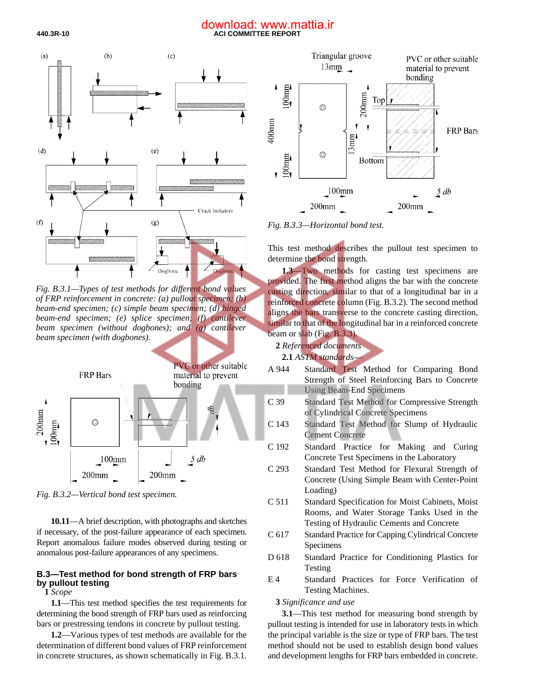# **440.3R-10 ACI COMMITTEE REPORT** download: [www.mattia.ir](http://www.mattia.ir)

<span id="page-9-1"></span>

*Fig. B.3.1—Types of test methods for different bond values of FRP reinforcement in concrete: (a) pullout specimen; (b) beam-end specimen; (c) simple beam specimen; (d) hinged beam-end specimen; (e) splice specimen; (f) cantilever beam specimen (without dogbones); and (g) cantilever beam specimen (with dogbones).*

<span id="page-9-0"></span>

*Fig. B.3.2—Vertical bond test specimen.*

**10.11**—A brief description, with photographs and sketches if necessary, of the post-failure appearance of each specimen. Report anomalous failure modes observed during testing or anomalous post-failure appearances of any specimens.

# **B.3—Test method for bond strength of FRP bars by pullout testing**

**1** *Scope*

**1.1**—This test method specifies the test requirements for determining the bond strength of FRP bars used as reinforcing bars or prestressing tendons in concrete by pullout testing.

**1.2**—Various types of test methods are available for the determination of different bond values of FRP reinforcement in concrete structures, as shown schematically in Fig. B.3.1.



*Fig. B.3.3—Horizontal bond test.*

This test method describes the pullout test specimen to determine the bond strength.

**1.3**—Two methods for casting test specimens are provided. The first method aligns the bar with the concrete casting direction, similar to that of a longitudinal bar in a reinforced concrete column (Fig. B.3.2). The second method aligns the bars transverse to the concrete casting direction, similar to that of the longitudinal bar in a reinforced concrete beam or slab (Fig. B.3.3).

# **2** *Referenced documents* **2.1** *ASTM standards*—

- A 944 Standard Test Method for Comparing Bond
- Strength of Steel Reinforcing Bars to Concrete Using Beam-End Specimens C 39 Standard Test Method for Compressive Strength
- of Cylindrical Concrete Specimens
- C 143 Standard Test Method for Slump of Hydraulic Cement Concrete
- C 192 Standard Practice for Making and Curing Concrete Test Specimens in the Laboratory
- C 293 Standard Test Method for Flexural Strength of Concrete (Using Simple Beam with Center-Point Loading)
- C 511 Standard Specification for Moist Cabinets, Moist Rooms, and Water Storage Tanks Used in the Testing of Hydraulic Cements and Concrete
- C 617 Standard Practice for Capping Cylindrical Concrete Specimens
- D 618 Standard Practice for Conditioning Plastics for Testing
- E 4 Standard Practices for Force Verification of Testing Machines.

# **3** *Significance and use*

**3.1**—This test method for measuring bond strength by pullout testing is intended for use in laboratory tests in which the principal variable is the size or type of FRP bars. The test method should not be used to establish design bond values and development lengths for FRP bars embedded in concrete.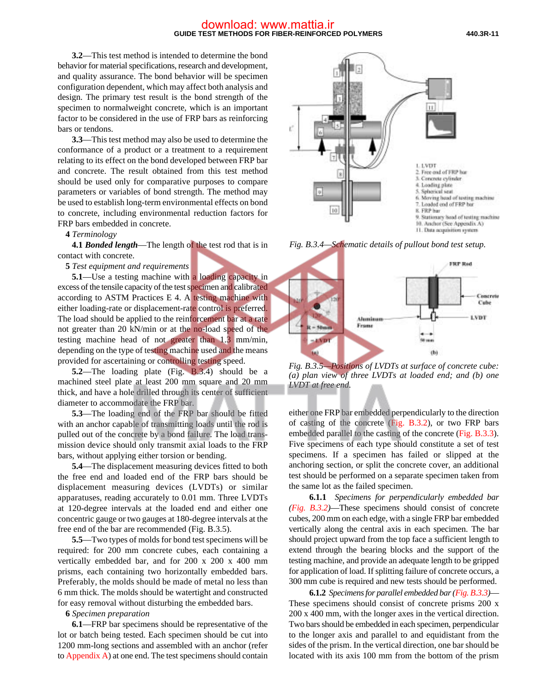## **GUIDE TEST METHODS FOR FIBER-REINFORCED POLYMERS 440.3R-11** download: [www.mattia.ir](http://www.mattia.ir)

<span id="page-10-1"></span>**3.2**—This test method is intended to determine the bond behavior for material specifications, research and development, and quality assurance. The bond behavior will be specimen configuration dependent, which may affect both analysis and design. The primary test result is the bond strength of the specimen to normalweight concrete, which is an important factor to be considered in the use of FRP bars as reinforcing bars or tendons.

**3.3**—This test method may also be used to determine the conformance of a product or a treatment to a requirement relating to its effect on the bond developed between FRP bar and concrete. The result obtained from this test method should be used only for comparative purposes to compare parameters or variables of bond strength. The method may be used to establish long-term environmental effects on bond to concrete, including environmental reduction factors for FRP bars embedded in concrete.

## **4** *Terminology*

<span id="page-10-0"></span>**4.1** *Bonded length*—The length of the test rod that is in contact with concrete.

## **5** *Test equipment and requirements*

**5.1**—Use a testing machine with a loading capacity in excess of the tensile capacity of the test specimen and calibrated according to ASTM Practices E 4. A testing machine with either loading-rate or displacement-rate control is preferred. The load should be applied to the reinforcement bar at a rate not greater than 20 kN/min or at the no-load speed of the testing machine head of not greater than 1.3 mm/min, depending on the type of testing machine used and the means provided for ascertaining or controlling testing speed.

**5.2**—The loading plate (Fig. B.3.4) should be a machined steel plate at least 200 mm square and 20 mm thick, and have a hole drilled through its center of sufficient diameter to accommodate the FRP bar.

**5.3**—The loading end of the FRP bar should be fitted with an anchor capable of transmitting loads until the rod is pulled out of the concrete by a bond failure. The load transmission device should only transmit axial loads to the FRP bars, without applying either torsion or bending.

**5.4**—The displacement measuring devices fitted to both the free end and loaded end of the FRP bars should be displacement measuring devices (LVDTs) or similar apparatuses, reading accurately to 0.01 mm. Three LVDTs at 120-degree intervals at the loaded end and either one concentric gauge or two gauges at 180-degree intervals at the free end of the bar are recommended (Fig. B.3.5).

**5.5**—Two types of molds for bond test specimens will be required: for 200 mm concrete cubes, each containing a vertically embedded bar, and for 200 x 200 x 400 mm prisms, each containing two horizontally embedded bars. Preferably, the molds should be made of metal no less than 6 mm thick. The molds should be watertight and constructed for easy removal without disturbing the embedded bars.

#### **6** *Specimen preparation*

**6.1**—FRP bar specimens should be representative of the lot or batch being tested. Each specimen should be cut into 1200 mm-long sections and assembled with an anchor (refer t[o Appendix A\) a](#page-37-0)t one end. The test specimens should contain







*Fig. B.3.5—Positions of LVDTs at surface of concrete cube: (a) plan view of three LVDTs at loaded end; and (b) one LVDT at free end.*

either one FRP bar embedded perpendicularly to the direction of casting of the concrete [\(Fig. B.3.2\),](#page-9-0) or two FRP bars embedded parallel to the casting of the concrete [\(Fig. B.3.3\).](#page-9-1) Five specimens of each type should constitute a set of test specimens. If a specimen has failed or slipped at the anchoring section, or split the concrete cover, an additional test should be performed on a separate specimen taken from the same lot as the failed specimen.

**6.1.1** *Specimens for perpendicularly embedded bar [\(Fig. B.3.2\)](#page-9-0)*—These specimens should consist of concrete cubes, 200 mm on each edge, with a single FRP bar embedded vertically along the central axis in each specimen. The bar should project upward from the top face a sufficient length to extend through the bearing blocks and the support of the testing machine, and provide an adequate length to be gripped for application of load. If splitting failure of concrete occurs, a 300 mm cube is required and new tests should be performed.

**6.1.2** *Specimens for parallel embedded bar[\(Fig. B.3.3\)](#page-9-1)*— These specimens should consist of concrete prisms 200 x 200 x 400 mm, with the longer axes in the vertical direction. Two bars should be embedded in each specimen, perpendicular to the longer axis and parallel to and equidistant from the sides of the prism. In the vertical direction, one bar should be located with its axis 100 mm from the bottom of the prism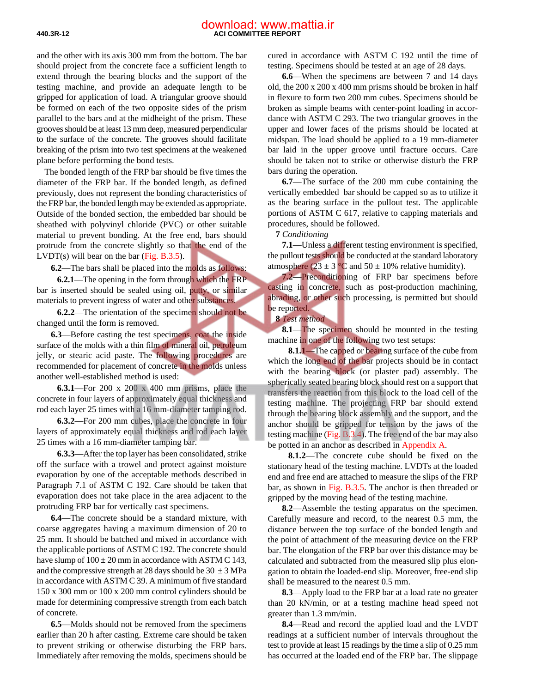and the other with its axis 300 mm from the bottom. The bar should project from the concrete face a sufficient length to extend through the bearing blocks and the support of the testing machine, and provide an adequate length to be gripped for application of load. A triangular groove should be formed on each of the two opposite sides of the prism parallel to the bars and at the midheight of the prism. These grooves should be at least 13 mm deep, measured perpendicular to the surface of the concrete. The grooves should facilitate breaking of the prism into two test specimens at the weakened plane before performing the bond tests.

The bonded length of the FRP bar should be five times the diameter of the FRP bar. If the bonded length, as defined previously, does not represent the bonding characteristics of the FRP bar, the bonded length may be extended as appropriate. Outside of the bonded section, the embedded bar should be sheathed with polyvinyl chloride (PVC) or other suitable material to prevent bonding. At the free end, bars should protrude from the concrete slightly so that the end of the LVDT(s) will bear on the bar (Fig.  $B.3.5$ ).

**6.2**—The bars shall be placed into the molds as follows:

**6.2.1**—The opening in the form through which the FRP bar is inserted should be sealed using oil, putty, or similar materials to prevent ingress of water and other substances.

**6.2.2**—The orientation of the specimen should not be changed until the form is removed.

**6.3**—Before casting the test specimens, coat the inside surface of the molds with a thin film of mineral oil, petroleum jelly, or stearic acid paste. The following procedures are recommended for placement of concrete in the molds unless another well-established method is used:

**6.3.1**—For 200 x 200 x 400 mm prisms, place the concrete in four layers of approximately equal thickness and rod each layer 25 times with a 16 mm-diameter tamping rod.

**6.3.2**—For 200 mm cubes, place the concrete in four layers of approximately equal thickness and rod each layer 25 times with a 16 mm-diameter tamping bar.

**6.3.3**—After the top layer has been consolidated, strike off the surface with a trowel and protect against moisture evaporation by one of the acceptable methods described in Paragraph 7.1 of ASTM C 192. Care should be taken that evaporation does not take place in the area adjacent to the protruding FRP bar for vertically cast specimens.

**6.4**—The concrete should be a standard mixture, with coarse aggregates having a maximum dimension of 20 to 25 mm. It should be batched and mixed in accordance with the applicable portions of ASTM C 192. The concrete should have slump of  $100 \pm 20$  mm in accordance with ASTM C 143, and the compressive strength at 28 days should be  $30 \pm 3 \text{ MPa}$ in accordance with ASTM C 39. A minimum of five standard 150 x 300 mm or 100 x 200 mm control cylinders should be made for determining compressive strength from each batch of concrete.

**6.5**—Molds should not be removed from the specimens earlier than 20 h after casting. Extreme care should be taken to prevent striking or otherwise disturbing the FRP bars. Immediately after removing the molds, specimens should be cured in accordance with ASTM C 192 until the time of testing. Specimens should be tested at an age of 28 days.

**6.6**—When the specimens are between 7 and 14 days old, the 200 x 200 x 400 mm prisms should be broken in half in flexure to form two 200 mm cubes. Specimens should be broken as simple beams with center-point loading in accordance with ASTM C 293. The two triangular grooves in the upper and lower faces of the prisms should be located at midspan. The load should be applied to a 19 mm-diameter bar laid in the upper groove until fracture occurs. Care should be taken not to strike or otherwise disturb the FRP bars during the operation.

**6.7**—The surface of the 200 mm cube containing the vertically embedded bar should be capped so as to utilize it as the bearing surface in the pullout test. The applicable portions of ASTM C 617, relative to capping materials and procedures, should be followed.

## **7** *Conditioning*

**7.1**—Unless a different testing environment is specified, the pullout tests should be conducted at the standard laboratory atmosphere (23  $\pm$  3 °C and 50  $\pm$  10% relative humidity).

**7.2**—Preconditioning of FRP bar specimens before casting in concrete, such as post-production machining, abrading, or other such processing, is permitted but should be reported.

**8** *Test method*

**8.1**—The specimen should be mounted in the testing machine in one of the following two test setups:

**8.1.1**—The capped or bearing surface of the cube from which the long end of the bar projects should be in contact with the bearing block (or plaster pad) assembly. The spherically seated bearing block should rest on a support that transfers the reaction from this block to the load cell of the testing machine. The projecting FRP bar should extend through the bearing block assembly and the support, and the anchor should be gripped for tension by the jaws of the testing machin[e \(Fig. B.3.4\)](#page-10-1). The free end of the bar may also be potted in an anchor as described in Appendix A.

**8.1.2**—The concrete cube should be fixed on the stationary head of the testing machine. LVDTs at the loaded end and free end are attached to measure the slips of the FRP bar, as shown i[n Fig. B.3.5. T](#page-10-0)he anchor is then threaded or gripped by the moving head of the testing machine.

**8.2**—Assemble the testing apparatus on the specimen. Carefully measure and record, to the nearest 0.5 mm, the distance between the top surface of the bonded length and the point of attachment of the measuring device on the FRP bar. The elongation of the FRP bar over this distance may be calculated and subtracted from the measured slip plus elongation to obtain the loaded-end slip. Moreover, free-end slip shall be measured to the nearest 0.5 mm.

**8.3**—Apply load to the FRP bar at a load rate no greater than 20 kN/min, or at a testing machine head speed not greater than 1.3 mm/min.

**8.4**—Read and record the applied load and the LVDT readings at a sufficient number of intervals throughout the test to provide at least 15 readings by the time a slip of 0.25 mm has occurred at the loaded end of the FRP bar. The slippage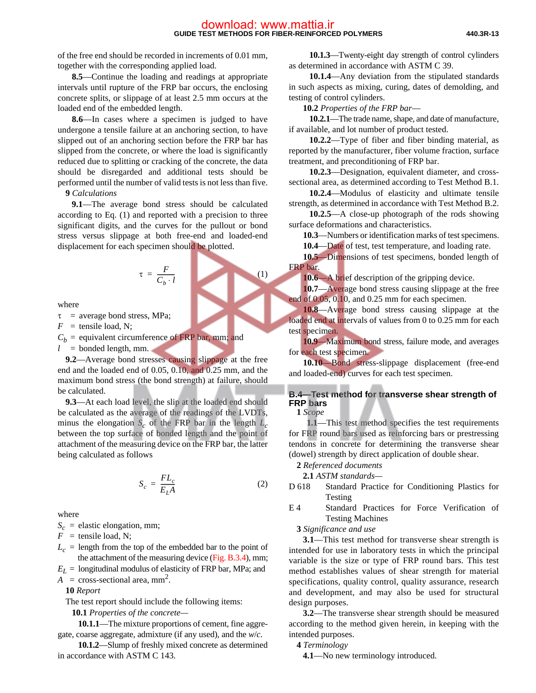(1)

of the free end should be recorded in increments of 0.01 mm, together with the corresponding applied load.

**8.5**—Continue the loading and readings at appropriate intervals until rupture of the FRP bar occurs, the enclosing concrete splits, or slippage of at least 2.5 mm occurs at the loaded end of the embedded length.

**8.6**—In cases where a specimen is judged to have undergone a tensile failure at an anchoring section, to have slipped out of an anchoring section before the FRP bar has slipped from the concrete, or where the load is significantly reduced due to splitting or cracking of the concrete, the data should be disregarded and additional tests should be performed until the number of valid tests is not less than five.

**9** *Calculations*

**9.1**—The average bond stress should be calculated according to Eq. (1) and reported with a precision to three significant digits, and the curves for the pullout or bond stress versus slippage at both free-end and loaded-end displacement for each specimen should be plotted.

$$
\tau = \frac{F}{C_b \cdot l}
$$

where

 $\tau$  = average bond stress, MPa;

 $F =$  tensile load, N;

 $C_b$  = equivalent circumference of FRP bar, mm; and

 $l =$  bonded length, mm.

**9.2**—Average bond stresses causing slippage at the free end and the loaded end of 0.05, 0.10, and 0.25 mm, and the maximum bond stress (the bond strength) at failure, should be calculated.

**9.3**—At each load level, the slip at the loaded end should be calculated as the average of the readings of the LVDTs, minus the elongation  $S_c$  of the FRP bar in the length  $L_c$ between the top surface of bonded length and the point of attachment of the measuring device on the FRP bar, the latter being calculated as follows

$$
S_c = \frac{FL_c}{E_L A} \tag{2}
$$

where

 $S_c$  = elastic elongation, mm;

 $F =$  tensile load, N:

 $L_c$  = length from the top of the embedded bar to the point of the attachment of the measuring devic[e \(Fig. B.3.4\),](#page-10-1) mm;

 $E_L$  = longitudinal modulus of elasticity of FRP bar, MPa; and

 $A = \text{cross-sectional area}, \text{mm}^2$ .

**10** *Report*

The test report should include the following items:

**10.1** *Properties of the concrete—*

10.1.1—The mixture proportions of cement, fine aggregate, coarse aggregate, admixture (if any used), and the *w*/*c*.

**10.1.2**—Slump of freshly mixed concrete as determined in accordance with ASTM C 143.

**10.1.3**—Twenty-eight day strength of control cylinders as determined in accordance with ASTM C 39.

**10.1.4**—Any deviation from the stipulated standards in such aspects as mixing, curing, dates of demolding, and testing of control cylinders.

**10.2** *Properties of the FRP bar*—

**10.2.1**—The trade name, shape, and date of manufacture, if available, and lot number of product tested.

**10.2.2**—Type of fiber and fiber binding material, as reported by the manufacturer, fiber volume fraction, surface treatment, and preconditioning of FRP bar.

**10.2.3**—Designation, equivalent diameter, and crosssectional area, as determined according to Test Method B.1.

**10.2.4**—Modulus of elasticity and ultimate tensile strength, as determined in accordance with Test Method B.2.

**10.2.5**—A close-up photograph of the rods showing surface deformations and characteristics.

**10.3**—Numbers or identification marks of test specimens.

**10.4**—Date of test, test temperature, and loading rate.

**10.5**—Dimensions of test specimens, bonded length of FRP bar.

**10.6**—A brief description of the gripping device.

**10.7**—Average bond stress causing slippage at the free end of 0.05, 0.10, and 0.25 mm for each specimen.

**10.8**—Average bond stress causing slippage at the loaded end at intervals of values from 0 to 0.25 mm for each test specimen.

**10.9**—Maximum bond stress, failure mode, and averages for each test specimen.

**10.10**—Bond stress-slippage displacement (free-end and loaded-end) curves for each test specimen.

## **B.4—Test method for transverse shear strength of FRP bars 1** *Scope*

**1.1**—This test method specifies the test requirements for FRP round bars used as reinforcing bars or prestressing tendons in concrete for determining the transverse shear (dowel) strength by direct application of double shear.

**2** *Referenced documents*

**2.1** *ASTM standards—*

- D 618 Standard Practice for Conditioning Plastics for Testing
- E 4 Standard Practices for Force Verification of Testing Machines

## **3** *Significance and use*

**3.1**—This test method for transverse shear strength is intended for use in laboratory tests in which the principal variable is the size or type of FRP round bars. This test method establishes values of shear strength for material specifications, quality control, quality assurance, research and development, and may also be used for structural design purposes.

**3.2**—The transverse shear strength should be measured according to the method given herein, in keeping with the intended purposes.

**4** *Terminology*

**4.1**—No new terminology introduced.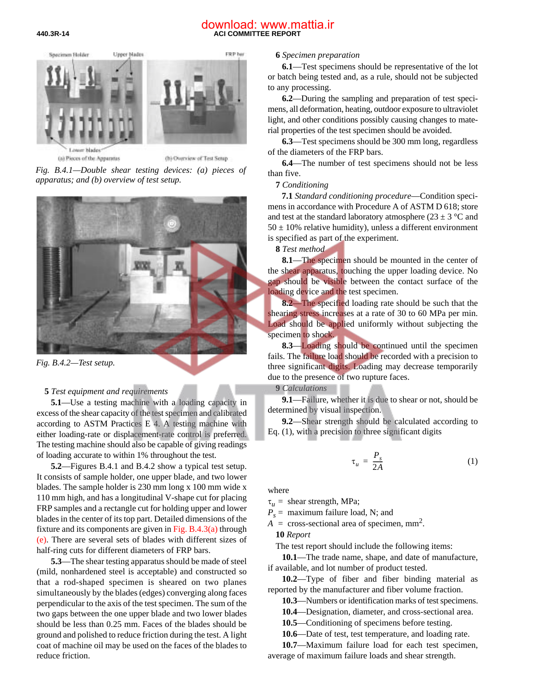# **440.3R-14 ACI COMMITTEE REPORT** download: [www.mattia.ir](http://www.mattia.ir)



Lower blades (a) Pieces of the Apparatus

(b) Overview of Test Setup

*Fig. B.4.1—Double shear testing devices: (a) pieces of apparatus; and (b) overview of test setup.*



*Fig. B.4.2—Test setup.*

## **5** *Test equipment and requirements*

**5.1**—Use a testing machine with a loading capacity in excess of the shear capacity of the test specimen and calibrated according to ASTM Practices E 4. A testing machine with either loading-rate or displacement-rate control is preferred. The testing machine should also be capable of giving readings of loading accurate to within 1% throughout the test.

**5.2**—Figures B.4.1 and B.4.2 show a typical test setup. It consists of sample holder, one upper blade, and two lower blades. The sample holder is 230 mm long x 100 mm wide x 110 mm high, and has a longitudinal V-shape cut for placing FRP samples and a rectangle cut for holding upper and lower blades in the center of its top part. Detailed dimensions of the fixture and its components are given in Fig.  $B.4.3(a)$  through [\(e\).](#page-14-1) There are several sets of blades with different sizes of half-ring cuts for different diameters of FRP bars.

**5.3**—The shear testing apparatus should be made of steel (mild, nonhardened steel is acceptable) and constructed so that a rod-shaped specimen is sheared on two planes simultaneously by the blades (edges) converging along faces perpendicular to the axis of the test specimen. The sum of the two gaps between the one upper blade and two lower blades should be less than 0.25 mm. Faces of the blades should be ground and polished to reduce friction during the test. A light coat of machine oil may be used on the faces of the blades to reduce friction.

## **6** *Specimen preparation*

**6.1**—Test specimens should be representative of the lot or batch being tested and, as a rule, should not be subjected to any processing.

**6.2**—During the sampling and preparation of test specimens, all deformation, heating, outdoor exposure to ultraviolet light, and other conditions possibly causing changes to material properties of the test specimen should be avoided.

**6.3**—Test specimens should be 300 mm long, regardless of the diameters of the FRP bars.

**6.4**—The number of test specimens should not be less than five.

## **7** *Conditioning*

**7.1** *Standard conditioning procedure*—Condition specimens in accordance with Procedure A of ASTM D 618; store and test at the standard laboratory atmosphere ( $23 \pm 3$  °C and  $50 \pm 10\%$  relative humidity), unless a different environment is specified as part of the experiment.

**8** *Test method*

**8.1**—The specimen should be mounted in the center of the shear apparatus, touching the upper loading device. No gap should be visible between the contact surface of the loading device and the test specimen.

**8.2**—The specified loading rate should be such that the shearing stress increases at a rate of 30 to 60 MPa per min. Load should be applied uniformly without subjecting the specimen to shock.

**8.3**—Loading should be continued until the specimen fails. The failure load should be recorded with a precision to three significant digits. Loading may decrease temporarily due to the presence of two rupture faces.

**9** *Calculations*

**9.1**—Failure, whether it is due to shear or not, should be determined by visual inspection.

**9.2**—Shear strength should be calculated according to Eq. (1), with a precision to three significant digits

$$
\tau_u = \frac{P_s}{2A} \tag{1}
$$

where

 $\tau_u$  = shear strength, MPa;

 $P_s$  = maximum failure load, N; and

 $A = \text{cross-sectional area of specimen, mm}^2$ .

**10** *Report*

The test report should include the following items:

**10.1**—The trade name, shape, and date of manufacture, if available, and lot number of product tested.

**10.2**—Type of fiber and fiber binding material as reported by the manufacturer and fiber volume fraction.

**10.3**—Numbers or identification marks of test specimens.

**10.4**—Designation, diameter, and cross-sectional area.

**10.5**—Conditioning of specimens before testing.

**10.6**—Date of test, test temperature, and loading rate.

**10.7**—Maximum failure load for each test specimen, average of maximum failure loads and shear strength.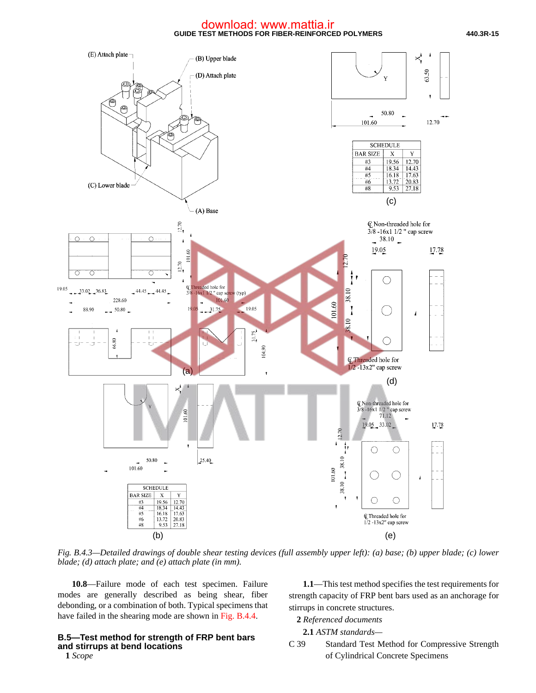# **GUIDE TEST METHODS FOR FIBER-REINFORCED POLYMERS 440.3R-15** download: [www.mattia.ir](http://www.mattia.ir)

<span id="page-14-1"></span><span id="page-14-0"></span>(E) Attach plate-⊀ (B) Upper blade 63.50 (D) Attach plate Ÿ  $^{\circledR}$ ρ 50.80 101.60 12.70 **SCHEDULE BAR SIZE**  $\mathbf X$ Y #3 19.56 12.70 18.34 14.43 #4  $#5$  $16.18$ 17.63  $\#$ 6 13.72 20.83 (C) Lower blade  $#8$  $9.53$ 27.18 (c) (A) Base  $12.70$ **C** Non-threaded hole for  $3/8$  -16x1 1/2 " cap screw C  $\bigcap$  $\bigcirc$  $-38.10$ 19.05 17.78 101.60  $12.70$ Č C **C**Threaded hole for 19.05  $33.02 - 36.83$ 44.45 44.45 38.10 16x1 1/2 " cap ser (typ) 228.60  $101.60$ 101.60 19.05 88.90  $-50.80$ 31.75 J  $\supseteq$ ×  $\mathcal{L}$ 66.80 ಸ್ತ  $104.90$ *C* Threaded hole for  $\frac{1}{2}$ -13x2" cap screw (a) (d)  $Q$  Non-threaded hole for<br>3/8 -16x1 1/2 " cap screw 101.60 71.12  $19.05 - 33.02$ 17.78  $12.70$ À Ŷ Þ  $\bigcirc$  $\bigcirc$ 38.10 50.80  $25.40$ ÷,  $101.60$  $101.60$  $38.10$ € **SCHEDULE BAR SIZE**  $\mathbf{x}$ Y  $\frac{12.70}{14.43}$ <br>17.63 О  $\bigcirc$  $\frac{19.56}{18.34}$ <br>16.18 #3  $#4 + 5$ <br>  $#6$ <br>  $#8$ Ŧ **E** Threaded hole for  $\frac{13.72}{9.53}$  $\frac{20.83}{27.18}$  $1/2 - 13x2$ " cap screw (b) (e)

*Fig. B.4.3—Detailed drawings of double shear testing devices (full assembly upper left): (a) base; (b) upper blade; (c) lower blade; (d) attach plate; and (e) attach plate (in mm).*

**10.8**—Failure mode of each test specimen. Failure modes are generally described as being shear, fiber debonding, or a combination of both. Typical specimens that have failed in the shearing mode are shown i[n Fig. B.4.4.](#page-15-0)

## **B.5—Test method for strength of FRP bent bars and stirrups at bend locations**

**1** *Scope*

**1.1**—This test method specifies the test requirements for strength capacity of FRP bent bars used as an anchorage for stirrups in concrete structures.

# **2** *Referenced documents*

**2.1** *ASTM standards—*

C 39 Standard Test Method for Compressive Strength of Cylindrical Concrete Specimens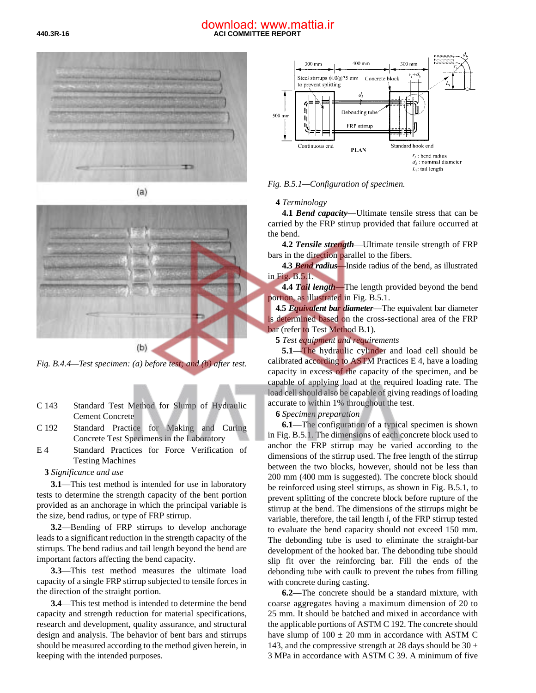<span id="page-15-0"></span>



*Fig. B.4.4—Test specimen: (a) before test; and (b) after test.*

- C 143 Standard Test Method for Slump of Hydraulic Cement Concrete
- C 192 Standard Practice for Making and Curing Concrete Test Specimens in the Laboratory
- E 4 Standard Practices for Force Verification of Testing Machines

# **3** *Significance and use*

**3.1**—This test method is intended for use in laboratory tests to determine the strength capacity of the bent portion provided as an anchorage in which the principal variable is the size, bend radius, or type of FRP stirrup.

**3.2**—Bending of FRP stirrups to develop anchorage leads to a significant reduction in the strength capacity of the stirrups. The bend radius and tail length beyond the bend are important factors affecting the bend capacity.

**3.3**—This test method measures the ultimate load capacity of a single FRP stirrup subjected to tensile forces in the direction of the straight portion.

**3.4**—This test method is intended to determine the bend capacity and strength reduction for material specifications, research and development, quality assurance, and structural design and analysis. The behavior of bent bars and stirrups should be measured according to the method given herein, in keeping with the intended purposes.



*Fig. B.5.1—Configuration of specimen.*

## **4** *Terminology*

**4.1** *Bend capacity*—Ultimate tensile stress that can be carried by the FRP stirrup provided that failure occurred at the bend.

**4.2** *Tensile strength*—Ultimate tensile strength of FRP bars in the direction parallel to the fibers.

**4.3** *Bend radius*—Inside radius of the bend, as illustrated in Fig. B.5.1.

**4.4** *Tail length*—The length provided beyond the bend portion, as illustrated in Fig. B.5.1.

**4.5** *Equivalent bar diameter*—The equivalent bar diameter is determined based on the cross-sectional area of the FRP bar (refer to Test Method B.1).

**5** *Test equipment and requirements*

**5.1**—The hydraulic cylinder and load cell should be calibrated according to ASTM Practices E 4, have a loading capacity in excess of the capacity of the specimen, and be capable of applying load at the required loading rate. The load cell should also be capable of giving readings of loading accurate to within 1% throughout the test.

**6** *Specimen preparation*

**6.1**—The configuration of a typical specimen is shown in Fig. B.5.1. The dimensions of each concrete block used to anchor the FRP stirrup may be varied according to the dimensions of the stirrup used. The free length of the stirrup between the two blocks, however, should not be less than 200 mm (400 mm is suggested). The concrete block should be reinforced using steel stirrups, as shown in Fig. B.5.1, to prevent splitting of the concrete block before rupture of the stirrup at the bend. The dimensions of the stirrups might be variable, therefore, the tail length  $l_t$  of the FRP stirrup tested to evaluate the bend capacity should not exceed 150 mm. The debonding tube is used to eliminate the straight-bar development of the hooked bar. The debonding tube should slip fit over the reinforcing bar. Fill the ends of the debonding tube with caulk to prevent the tubes from filling with concrete during casting.

**6.2**—The concrete should be a standard mixture, with coarse aggregates having a maximum dimension of 20 to 25 mm. It should be batched and mixed in accordance with the applicable portions of ASTM C 192. The concrete should have slump of  $100 \pm 20$  mm in accordance with ASTM C 143, and the compressive strength at 28 days should be  $30 \pm$ 3 MPa in accordance with ASTM C 39. A minimum of five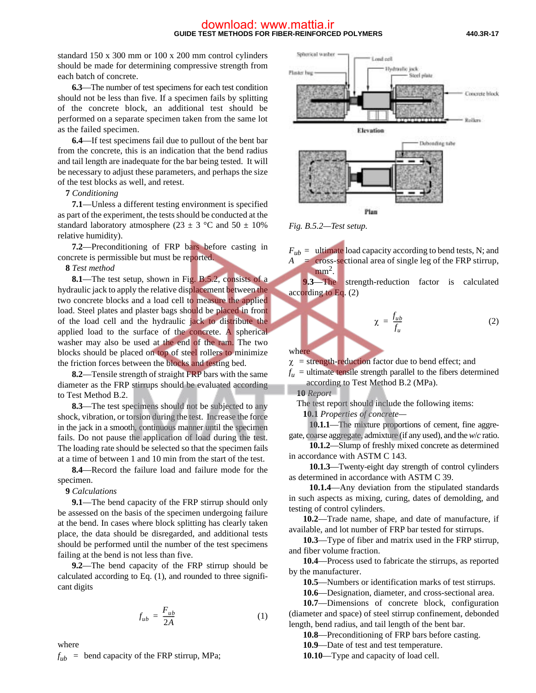standard 150 x 300 mm or 100 x 200 mm control cylinders should be made for determining compressive strength from each batch of concrete.

**6.3**—The number of test specimens for each test condition should not be less than five. If a specimen fails by splitting of the concrete block, an additional test should be performed on a separate specimen taken from the same lot as the failed specimen.

**6.4**—If test specimens fail due to pullout of the bent bar from the concrete, this is an indication that the bend radius and tail length are inadequate for the bar being tested. It will be necessary to adjust these parameters, and perhaps the size of the test blocks as well, and retest.

**7** *Conditioning*

**7.1**—Unless a different testing environment is specified as part of the experiment, the tests should be conducted at the standard laboratory atmosphere (23  $\pm$  3 °C and 50  $\pm$  10% relative humidity).

**7.2**—Preconditioning of FRP bars before casting in concrete is permissible but must be reported.

## **8** *Test method*

**8.1**—The test setup, shown in Fig. B.5.2, consists of a hydraulic jack to apply the relative displacement between the two concrete blocks and a load cell to measure the applied load. Steel plates and plaster bags should be placed in front of the load cell and the hydraulic jack to distribute the applied load to the surface of the concrete. A spherical washer may also be used at the end of the ram. The two blocks should be placed on top of steel rollers to minimize the friction forces between the blocks and testing bed.

**8.2**—Tensile strength of straight FRP bars with the same diameter as the FRP stirrups should be evaluated according to Test Method B.2.

**8.3**—The test specimens should not be subjected to any shock, vibration, or torsion during the test. Increase the force in the jack in a smooth, continuous manner until the specimen fails. Do not pause the application of load during the test. The loading rate should be selected so that the specimen fails at a time of between 1 and 10 min from the start of the test.

**8.4**—Record the failure load and failure mode for the specimen.

## **9** *Calculations*

**9.1**—The bend capacity of the FRP stirrup should only be assessed on the basis of the specimen undergoing failure at the bend. In cases where block splitting has clearly taken place, the data should be disregarded, and additional tests should be performed until the number of the test specimens failing at the bend is not less than five.

**9.2**—The bend capacity of the FRP stirrup should be calculated according to Eq. (1), and rounded to three significant digits

$$
f_{ub} = \frac{F_{ub}}{2A} \tag{1}
$$

where

 $f_{ub}$  = bend capacity of the FRP stirrup, MPa;





 $F_{uh}$  = ultimate load capacity according to bend tests, N; and *A* = cross-sectional area of single leg of the FRP stirrup,  $mm<sup>2</sup>$ .

Plan

**9.3—The strength-reduction factor is calculated** according to Eq. (2)

$$
\chi = \frac{f_{ub}}{f_u} \tag{2}
$$

 $\chi$  = strength-reduction factor due to bend effect; and

 $f_u$  = ultimate tensile strength parallel to the fibers determined according to Test Method B.2 (MPa).

**10** *Report*

where

The test report should include the following items:

**10.1** *Properties of concrete—*

10.1.1—The mixture proportions of cement, fine aggregate, coarse aggregate, admixture (if any used), and the *w*/*c* ratio.

**10.1.2**—Slump of freshly mixed concrete as determined in accordance with ASTM C 143.

**10.1.3**—Twenty-eight day strength of control cylinders as determined in accordance with ASTM C 39.

**10.1.4**—Any deviation from the stipulated standards in such aspects as mixing, curing, dates of demolding, and testing of control cylinders.

**10.2**—Trade name, shape, and date of manufacture, if available, and lot number of FRP bar tested for stirrups.

**10.3**—Type of fiber and matrix used in the FRP stirrup, and fiber volume fraction.

**10.4**—Process used to fabricate the stirrups, as reported by the manufacturer.

**10.5**—Numbers or identification marks of test stirrups.

**10.6**—Designation, diameter, and cross-sectional area.

**10.7**—Dimensions of concrete block, configuration (diameter and space) of steel stirrup confinement, debonded

length, bend radius, and tail length of the bent bar.

**10.8**—Preconditioning of FRP bars before casting.

**10.9**—Date of test and test temperature.

**10.10**—Type and capacity of load cell.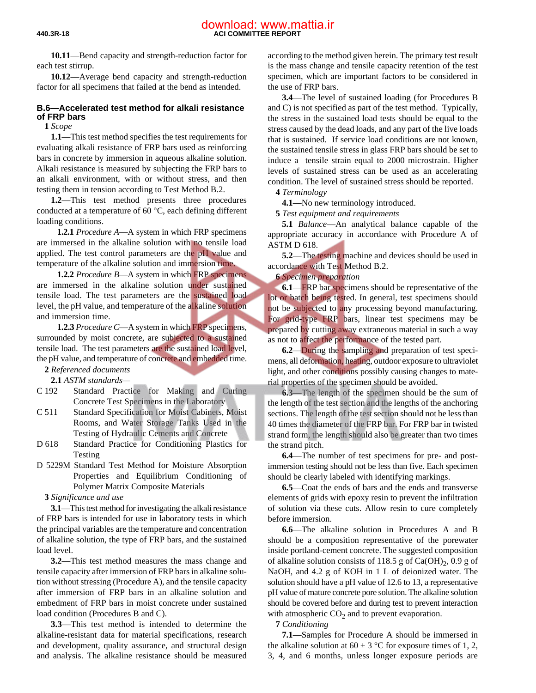**10.11**—Bend capacity and strength-reduction factor for each test stirrup.

**10.12**—Average bend capacity and strength-reduction factor for all specimens that failed at the bend as intended.

# **B.6—Accelerated test method for alkali resistance of FRP bars**

**1** *Scope*

**1.1**—This test method specifies the test requirements for evaluating alkali resistance of FRP bars used as reinforcing bars in concrete by immersion in aqueous alkaline solution. Alkali resistance is measured by subjecting the FRP bars to an alkali environment, with or without stress, and then testing them in tension according to Test Method B.2.

**1.2**—This test method presents three procedures conducted at a temperature of 60 °C, each defining different loading conditions.

**1.2.1** *Procedure A*—A system in which FRP specimens are immersed in the alkaline solution with no tensile load applied. The test control parameters are the pH value and temperature of the alkaline solution and immersion time.

**1.2.2** *Procedure B*—A system in which FRP specimens are immersed in the alkaline solution under sustained tensile load. The test parameters are the sustained load level, the pH value, and temperature of the alkaline solution and immersion time.

**1.2.3** *Procedure C*—A system in which FRP specimens, surrounded by moist concrete, are subjected to a sustained tensile load. The test parameters are the sustained load level, the pH value, and temperature of concrete and embedded time.

**2** *Referenced documents*

**2.1** *ASTM standards—*

- C 192 Standard Practice for Making and Curing Concrete Test Specimens in the Laboratory
- C 511 Standard Specification for Moist Cabinets, Moist Rooms, and Water Storage Tanks Used in the Testing of Hydraulic Cements and Concrete
- D 618 Standard Practice for Conditioning Plastics for Testing
- D 5229M Standard Test Method for Moisture Absorption Properties and Equilibrium Conditioning of Polymer Matrix Composite Materials

**3** *Significance and use*

**3.1**—This test method for investigating the alkali resistance of FRP bars is intended for use in laboratory tests in which the principal variables are the temperature and concentration of alkaline solution, the type of FRP bars, and the sustained load level.

**3.2**—This test method measures the mass change and tensile capacity after immersion of FRP bars in alkaline solution without stressing (Procedure A), and the tensile capacity after immersion of FRP bars in an alkaline solution and embedment of FRP bars in moist concrete under sustained load condition (Procedures B and C).

**3.3**—This test method is intended to determine the alkaline-resistant data for material specifications, research and development, quality assurance, and structural design and analysis. The alkaline resistance should be measured according to the method given herein. The primary test result is the mass change and tensile capacity retention of the test specimen, which are important factors to be considered in the use of FRP bars.

**3.4**—The level of sustained loading (for Procedures B and C) is not specified as part of the test method. Typically, the stress in the sustained load tests should be equal to the stress caused by the dead loads, and any part of the live loads that is sustained. If service load conditions are not known, the sustained tensile stress in glass FRP bars should be set to induce a tensile strain equal to 2000 microstrain. Higher levels of sustained stress can be used as an accelerating condition. The level of sustained stress should be reported.

**4** *Terminology*

**4.1**—No new terminology introduced.

**5** *Test equipment and requirements*

**5.1** *Balance*—An analytical balance capable of the appropriate accuracy in accordance with Procedure A of ASTM D 618.

**5.2**—The testing machine and devices should be used in accordance with Test Method B.2.

## **6** *Specimen preparation*

**6.1**—FRP bar specimens should be representative of the lot or batch being tested. In general, test specimens should not be subjected to any processing beyond manufacturing. For grid-type FRP bars, linear test specimens may be prepared by cutting away extraneous material in such a way as not to affect the performance of the tested part.

**6.2**—During the sampling and preparation of test specimens, all deformation, heating, outdoor exposure to ultraviolet light, and other conditions possibly causing changes to material properties of the specimen should be avoided.

**6.3**—The length of the specimen should be the sum of the length of the test section and the lengths of the anchoring sections. The length of the test section should not be less than 40 times the diameter of the FRP bar. For FRP bar in twisted strand form, the length should also be greater than two times the strand pitch.

**6.4**—The number of test specimens for pre- and postimmersion testing should not be less than five. Each specimen should be clearly labeled with identifying markings.

**6.5**—Coat the ends of bars and the ends and transverse elements of grids with epoxy resin to prevent the infiltration of solution via these cuts. Allow resin to cure completely before immersion.

**6.6**—The alkaline solution in Procedures A and B should be a composition representative of the porewater inside portland-cement concrete. The suggested composition of alkaline solution consists of 118.5 g of Ca(OH)<sub>2</sub>, 0.9 g of NaOH, and 4.2 g of KOH in 1 L of deionized water. The solution should have a pH value of 12.6 to 13, a representative pH value of mature concrete pore solution. The alkaline solution should be covered before and during test to prevent interaction with atmospheric  $CO<sub>2</sub>$  and to prevent evaporation.

## **7** *Conditioning*

**7.1**—Samples for Procedure A should be immersed in the alkaline solution at  $60 \pm 3$  °C for exposure times of 1, 2, 3, 4, and 6 months, unless longer exposure periods are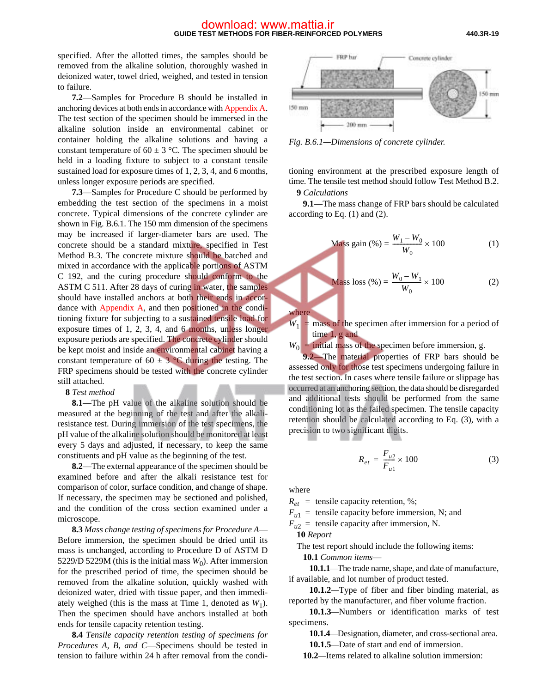specified. After the allotted times, the samples should be removed from the alkaline solution, thoroughly washed in deionized water, towel dried, weighed, and tested in tension to failure.

**7.2**—Samples for Procedure B should be installed in anchoring devices at both ends in accordance with [Appendix A.](#page-37-0) The test section of the specimen should be immersed in the alkaline solution inside an environmental cabinet or container holding the alkaline solutions and having a constant temperature of  $60 \pm 3$  °C. The specimen should be held in a loading fixture to subject to a constant tensile sustained load for exposure times of 1, 2, 3, 4, and 6 months, unless longer exposure periods are specified.

**7.3**—Samples for Procedure C should be performed by embedding the test section of the specimens in a moist concrete. Typical dimensions of the concrete cylinder are shown in Fig. B.6.1. The 150 mm dimension of the specimens may be increased if larger-diameter bars are used. The concrete should be a standard mixture, specified in Test Method B.3. The concrete mixture should be batched and mixed in accordance with the applicable portions of ASTM C 192, and the curing procedure should conform to the ASTM C 511. After 28 days of curing in water, the samples should have installed anchors at both their ends in accordance wit[h Appendix A,](#page-37-0) and then positioned in the conditioning fixture for subjecting to a sustained tensile load for exposure times of 1, 2, 3, 4, and 6 months, unless longer exposure periods are specified. The concrete cylinder should be kept moist and inside an environmental cabinet having a constant temperature of 60  $\pm$  3 °C during the testing. The FRP specimens should be tested with the concrete cylinder still attached.

#### **8** *Test method*

**8.1**—The pH value of the alkaline solution should be measured at the beginning of the test and after the alkaliresistance test. During immersion of the test specimens, the pH value of the alkaline solution should be monitored at least every 5 days and adjusted, if necessary, to keep the same constituents and pH value as the beginning of the test.

**8.2**—The external appearance of the specimen should be examined before and after the alkali resistance test for comparison of color, surface condition, and change of shape. If necessary, the specimen may be sectioned and polished, and the condition of the cross section examined under a microscope.

**8.3** *Mass change testing of specimens for Procedure A*— Before immersion, the specimen should be dried until its mass is unchanged, according to Procedure D of ASTM D 5229/D 5229M (this is the initial mass  $W_0$ ). After immersion for the prescribed period of time, the specimen should be removed from the alkaline solution, quickly washed with deionized water, dried with tissue paper, and then immediately weighed (this is the mass at Time 1, denoted as *W*1). Then the specimen should have anchors installed at both ends for tensile capacity retention testing.

**8.4** *Tensile capacity retention testing of specimens for Procedures A, B, and C*—Specimens should be tested in tension to failure within 24 h after removal from the condi-



*Fig. B.6.1—Dimensions of concrete cylinder.*

tioning environment at the prescribed exposure length of time. The tensile test method should follow Test Method B.2.

**9** *Calculations*

**9.1**—The mass change of FRP bars should be calculated according to Eq.  $(1)$  and  $(2)$ .

Mass gain (%) = 
$$
\frac{W_1 - W_0}{W_0} \times 100
$$
 (1)

Mass loss (
$$
\% = \frac{W_0 - W_1}{W_0} \times 100
$$
 (2)

where

 $W_1$  = mass of the specimen after immersion for a period of time 1, g and

 $W_0$  = initial mass of the specimen before immersion, g.

**9.2**—The material properties of FRP bars should be assessed only for those test specimens undergoing failure in the test section. In cases where tensile failure or slippage has occurred at an anchoring section, the data should be disregarded and additional tests should be performed from the same conditioning lot as the failed specimen. The tensile capacity retention should be calculated according to Eq. (3), with a precision to two significant digits.

$$
R_{et} = \frac{F_{u2}}{F_{u1}} \times 100
$$
 (3)

where

 $R_{et}$  = tensile capacity retention, %;

 $F_{u1}$  = tensile capacity before immersion, N; and

 $F_{u2}$  = tensile capacity after immersion, N.

**10** *Report*

The test report should include the following items:

**10.1** *Common items*—

**10.1.1***—*The trade name, shape, and date of manufacture, if available, and lot number of product tested.

**10.1.2***—*Type of fiber and fiber binding material, as reported by the manufacturer, and fiber volume fraction.

**10.1.3***—*Numbers or identification marks of test specimens.

**10.1.4***—*Designation, diameter, and cross-sectional area.

**10.1.5***—*Date of start and end of immersion.

**10.2***—*Items related to alkaline solution immersion: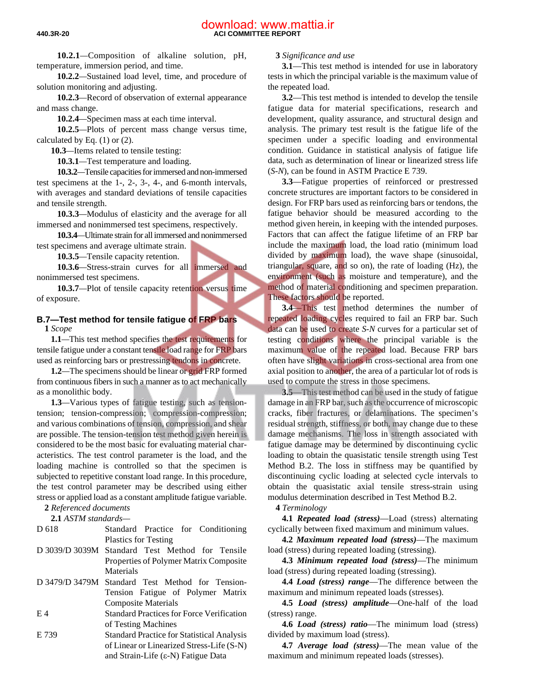**10.2.1***—*Composition of alkaline solution, pH, temperature, immersion period, and time.

**10.2.2***—*Sustained load level, time, and procedure of solution monitoring and adjusting.

**10.2.3***—*Record of observation of external appearance and mass change.

**10.2.4***—*Specimen mass at each time interval.

**10.2.5***—*Plots of percent mass change versus time, calculated by Eq.  $(1)$  or  $(2)$ .

**10.3***—*Items related to tensile testing:

**10.3.1***—*Test temperature and loading.

**10.3.2***—*Tensile capacities for immersed and non-immersed test specimens at the 1-, 2-, 3-, 4-, and 6-month intervals, with averages and standard deviations of tensile capacities and tensile strength.

**10.3.3***—*Modulus of elasticity and the average for all immersed and nonimmersed test specimens, respectively.

**10.3.4***—*Ultimate strain for all immersed and nonimmersed test specimens and average ultimate strain.

**10.3.5***—*Tensile capacity retention.

**10.3.6***—*Stress-strain curves for all immersed and nonimmersed test specimens.

**10.3.7***—*Plot of tensile capacity retention versus time of exposure.

# **B.7—Test method for tensile fatigue of FRP bars 1** *Scope*

**1.1***—*This test method specifies the test requirements for tensile fatigue under a constant tensile load range for FRP bars used as reinforcing bars or prestressing tendons in concrete.

**1.2***—*The specimens should be linear or grid FRP formed from continuous fibers in such a manner as to act mechanically as a monolithic body.

**1.3***—*Various types of fatigue testing, such as tensiontension; tension-compression; compression-compression; and various combinations of tension, compression, and shear are possible. The tension-tension test method given herein is considered to be the most basic for evaluating material characteristics. The test control parameter is the load, and the loading machine is controlled so that the specimen is subjected to repetitive constant load range. In this procedure, the test control parameter may be described using either stress or applied load as a constant amplitude fatigue variable.

**2** *Referenced documents*

**2.1** *ASTM standards—*

| D 618 | Standard Practice for Conditioning               |
|-------|--------------------------------------------------|
|       | <b>Plastics for Testing</b>                      |
|       | D 3039/D 3039M Standard Test Method for Tensile  |
|       | Properties of Polymer Matrix Composite           |
|       | Materials                                        |
|       | D 3479/D 3479M Standard Test Method for Tension- |
|       | Tension Fatigue of Polymer Matrix                |
|       | <b>Composite Materials</b>                       |
| E 4   | <b>Standard Practices for Force Verification</b> |
|       | of Testing Machines                              |

E 739 Standard Practice for Statistical Analysis of Linear or Linearized Stress-Life (S-N) and Strain-Life (ε-N) Fatigue Data

## **3** *Significance and use*

**3.1**—This test method is intended for use in laboratory tests in which the principal variable is the maximum value of the repeated load.

**3.2**—This test method is intended to develop the tensile fatigue data for material specifications, research and development, quality assurance, and structural design and analysis. The primary test result is the fatigue life of the specimen under a specific loading and environmental condition. Guidance in statistical analysis of fatigue life data, such as determination of linear or linearized stress life (*S-N*), can be found in ASTM Practice E 739.

**3.3**—Fatigue properties of reinforced or prestressed concrete structures are important factors to be considered in design. For FRP bars used as reinforcing bars or tendons, the fatigue behavior should be measured according to the method given herein, in keeping with the intended purposes. Factors that can affect the fatigue lifetime of an FRP bar include the maximum load, the load ratio (minimum load divided by maximum load), the wave shape (sinusoidal, triangular, square, and so on), the rate of loading (Hz), the environment (such as moisture and temperature), and the method of material conditioning and specimen preparation. These factors should be reported.

**3.4**—This test method determines the number of repeated loading cycles required to fail an FRP bar. Such data can be used to create *S-N* curves for a particular set of testing conditions where the principal variable is the maximum value of the repeated load. Because FRP bars often have slight variations in cross-sectional area from one axial position to another, the area of a particular lot of rods is used to compute the stress in those specimens.

**3.5**—This test method can be used in the study of fatigue damage in an FRP bar, such as the occurrence of microscopic cracks, fiber fractures, or delaminations. The specimen's residual strength, stiffness, or both, may change due to these damage mechanisms. The loss in strength associated with fatigue damage may be determined by discontinuing cyclic loading to obtain the quasistatic tensile strength using Test Method B.2. The loss in stiffness may be quantified by discontinuing cyclic loading at selected cycle intervals to obtain the quasistatic axial tensile stress-strain using modulus determination described in Test Method B.2.

**4** *Terminology*

**4.1** *Repeated load (stress)*—Load (stress) alternating cyclically between fixed maximum and minimum values.

**4.2** *Maximum repeated load (stress)*—The maximum load (stress) during repeated loading (stressing).

**4.3** *Minimum repeated load (stress)*—The minimum load (stress) during repeated loading (stressing).

**4.4** *Load (stress) range*—The difference between the maximum and minimum repeated loads (stresses).

**4.5** *Load (stress) amplitude*—One-half of the load (stress) range.

**4.6** *Load (stress) ratio*—The minimum load (stress) divided by maximum load (stress).

**4.7** *Average load (stress)*—The mean value of the maximum and minimum repeated loads (stresses).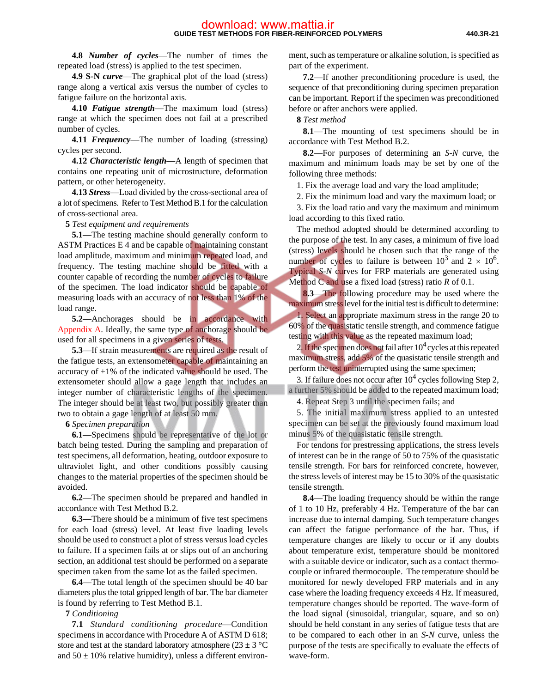**4.9 S-N** *curve*—The graphical plot of the load (stress) range along a vertical axis versus the number of cycles to fatigue failure on the horizontal axis.

**4.10** *Fatigue strength*—The maximum load (stress) range at which the specimen does not fail at a prescribed number of cycles.

**4.11** *Frequency*—The number of loading (stressing) cycles per second.

**4.12** *Characteristic length*—A length of specimen that contains one repeating unit of microstructure, deformation pattern, or other heterogeneity.

**4.13** *Stress*—Load divided by the cross-sectional area of a lot of specimens. Refer to Test Method B.1 for the calculation of cross-sectional area.

**5** *Test equipment and requirements*

**5.1**—The testing machine should generally conform to ASTM Practices E 4 and be capable of maintaining constant load amplitude, maximum and minimum repeated load, and frequency. The testing machine should be fitted with a counter capable of recording the number of cycles to failure of the specimen. The load indicator should be capable of measuring loads with an accuracy of not less than 1% of the load range.

**5.2**—Anchorages should be in accordance with [Appendix A. Id](#page-37-0)eally, the same type of anchorage should be used for all specimens in a given series of tests.

**5.3**—If strain measurements are required as the result of the fatigue tests, an extensometer capable of maintaining an accuracy of  $\pm 1\%$  of the indicated value should be used. The extensometer should allow a gage length that includes an integer number of characteristic lengths of the specimen. The integer should be at least two, but possibly greater than two to obtain a gage length of at least 50 mm.

**6** *Specimen preparation*

**6.1**—Specimens should be representative of the lot or batch being tested. During the sampling and preparation of test specimens, all deformation, heating, outdoor exposure to ultraviolet light, and other conditions possibly causing changes to the material properties of the specimen should be avoided.

**6.2**—The specimen should be prepared and handled in accordance with Test Method B.2.

**6.3**—There should be a minimum of five test specimens for each load (stress) level. At least five loading levels should be used to construct a plot of stress versus load cycles to failure. If a specimen fails at or slips out of an anchoring section, an additional test should be performed on a separate specimen taken from the same lot as the failed specimen.

**6.4**—The total length of the specimen should be 40 bar diameters plus the total gripped length of bar. The bar diameter is found by referring to Test Method B.1.

# **7** *Conditioning*

**7.1** *Standard conditioning procedure*—Condition specimens in accordance with Procedure A of ASTM D 618; store and test at the standard laboratory atmosphere  $(23 \pm 3 \degree C)$ and  $50 \pm 10\%$  relative humidity), unless a different environment, such as temperature or alkaline solution, is specified as part of the experiment.

**7.2**—If another preconditioning procedure is used, the sequence of that preconditioning during specimen preparation can be important. Report if the specimen was preconditioned before or after anchors were applied.

# **8** *Test method*

**8.1**—The mounting of test specimens should be in accordance with Test Method B.2.

**8.2**—For purposes of determining an *S-N* curve, the maximum and minimum loads may be set by one of the following three methods:

1. Fix the average load and vary the load amplitude;

2. Fix the minimum load and vary the maximum load; or

3. Fix the load ratio and vary the maximum and minimum load according to this fixed ratio.

The method adopted should be determined according to the purpose of the test. In any cases, a minimum of five load (stress) levels should be chosen such that the range of the number of cycles to failure is between  $10^3$  and  $2 \times 10^6$ . Typical *S-N* curves for FRP materials are generated using Method C and use a fixed load (stress) ratio *R* of 0.1.

**8.3**—The following procedure may be used where the maximum stress level for the initial test is difficult to determine: 1. Select an appropriate maximum stress in the range 20 to 60% of the quasistatic tensile strength, and commence fatigue testing with this value as the repeated maximum load;

2. If the specimen does not fail after  $10<sup>4</sup>$  cycles at this repeated maximum stress, add 5% of the quasistatic tensile strength and perform the test uninterrupted using the same specimen;

3. If failure does not occur after  $10^4$  cycles following Step 2, a further 5% should be added to the repeated maximum load;

4. Repeat Step 3 until the specimen fails; and

5. The initial maximum stress applied to an untested specimen can be set at the previously found maximum load minus 5% of the quasistatic tensile strength.

For tendons for prestressing applications, the stress levels of interest can be in the range of 50 to 75% of the quasistatic tensile strength. For bars for reinforced concrete, however, the stress levels of interest may be 15 to 30% of the quasistatic tensile strength.

**8.4**—The loading frequency should be within the range of 1 to 10 Hz, preferably 4 Hz. Temperature of the bar can increase due to internal damping. Such temperature changes can affect the fatigue performance of the bar. Thus, if temperature changes are likely to occur or if any doubts about temperature exist, temperature should be monitored with a suitable device or indicator, such as a contact thermocouple or infrared thermocouple. The temperature should be monitored for newly developed FRP materials and in any case where the loading frequency exceeds 4 Hz. If measured, temperature changes should be reported. The wave-form of the load signal (sinusoidal, triangular, square, and so on) should be held constant in any series of fatigue tests that are to be compared to each other in an *S-N* curve, unless the purpose of the tests are specifically to evaluate the effects of wave-form.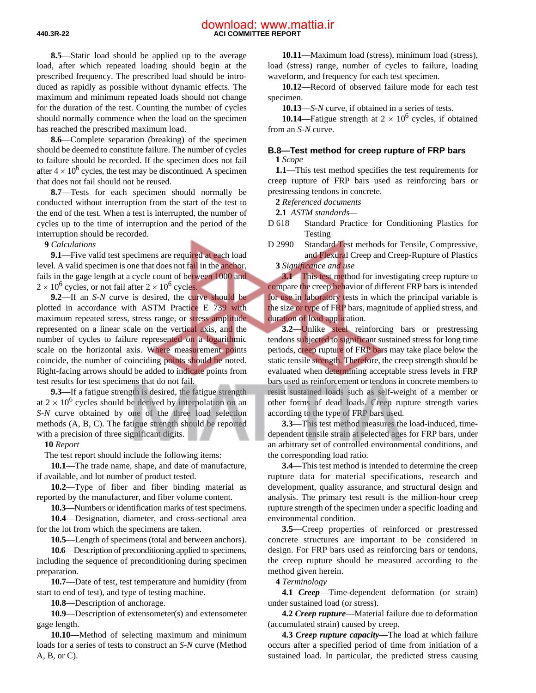**8.5**—Static load should be applied up to the average load, after which repeated loading should begin at the prescribed frequency. The prescribed load should be introduced as rapidly as possible without dynamic effects. The maximum and minimum repeated loads should not change for the duration of the test. Counting the number of cycles should normally commence when the load on the specimen has reached the prescribed maximum load.

**8.6**—Complete separation (breaking) of the specimen should be deemed to constitute failure. The number of cycles to failure should be recorded. If the specimen does not fail after  $4 \times 10^6$  cycles, the test may be discontinued. A specimen that does not fail should not be reused.

**8.7**—Tests for each specimen should normally be conducted without interruption from the start of the test to the end of the test. When a test is interrupted, the number of cycles up to the time of interruption and the period of the interruption should be recorded.

**9** *Calculations*

**9.1**—Five valid test specimens are required at each load level. A valid specimen is one that does not fail in the anchor, fails in the gage length at a cycle count of between 1000 and  $2 \times 10^6$  cycles, or not fail after  $2 \times 10^6$  cycles.

**9.2**—If an *S-N* curve is desired, the curve should be plotted in accordance with ASTM Practice E 739 with maximum repeated stress, stress range, or stress amplitude represented on a linear scale on the vertical axis, and the number of cycles to failure represented on a logarithmic scale on the horizontal axis. Where measurement points coincide, the number of coinciding points should be noted. Right-facing arrows should be added to indicate points from test results for test specimens that do not fail.

**9.3**—If a fatigue strength is desired, the fatigue strength at  $2 \times 10^6$  cycles should be derived by interpolation on an *S-N* curve obtained by one of the three load selection methods (A, B, C). The fatigue strength should be reported with a precision of three significant digits.

**10** *Report*

The test report should include the following items:

**10.1**—The trade name, shape, and date of manufacture, if available, and lot number of product tested.

**10.2**—Type of fiber and fiber binding material as reported by the manufacturer, and fiber volume content.

**10.3**—Numbers or identification marks of test specimens.

**10.4**—Designation, diameter, and cross-sectional area for the lot from which the specimens are taken.

**10.5**—Length of specimens (total and between anchors).

**10.6**—Description of preconditioning applied to specimens, including the sequence of preconditioning during specimen preparation.

**10.7**—Date of test, test temperature and humidity (from start to end of test), and type of testing machine.

**10.8**—Description of anchorage.

**10.9**—Description of extensometer(s) and extensometer gage length.

**10.10**—Method of selecting maximum and minimum loads for a series of tests to construct an *S-N* curve (Method A, B, or C).

**10.11**—Maximum load (stress), minimum load (stress), load (stress) range, number of cycles to failure, loading waveform, and frequency for each test specimen.

**10.12**—Record of observed failure mode for each test specimen.

**10.13**—*S-N* curve, if obtained in a series of tests.

**10.14**—Fatigue strength at  $2 \times 10^6$  cycles, if obtained from an *S-N* curve.

## **B.8—Test method for creep rupture of FRP bars 1** *Scope*

**1.1**—This test method specifies the test requirements for creep rupture of FRP bars used as reinforcing bars or prestressing tendons in concrete.

**2** *Referenced documents*

**2.1** *ASTM standards—*

- D 618 Standard Practice for Conditioning Plastics for Testing
- D 2990 Standard Test methods for Tensile, Compressive, and Flexural Creep and Creep-Rupture of Plastics **3** *Significance and use*

**3.1**—This test method for investigating creep rupture to compare the creep behavior of different FRP bars is intended for use in laboratory tests in which the principal variable is the size or type of FRP bars, magnitude of applied stress, and duration of load application.

**3.2**—Unlike steel reinforcing bars or prestressing tendons subjected to significant sustained stress for long time periods, creep rupture of FRP bars may take place below the static tensile strength. Therefore, the creep strength should be evaluated when determining acceptable stress levels in FRP bars used as reinforcement or tendons in concrete members to resist sustained loads such as self-weight of a member or other forms of dead loads. Creep rupture strength varies according to the type of FRP bars used.

**3.3**—This test method measures the load-induced, timedependent tensile strain at selected ages for FRP bars, under an arbitrary set of controlled environmental conditions, and the corresponding load ratio.

**3.4**—This test method is intended to determine the creep rupture data for material specifications, research and development, quality assurance, and structural design and analysis. The primary test result is the million-hour creep rupture strength of the specimen under a specific loading and environmental condition.

**3.5**—Creep properties of reinforced or prestressed concrete structures are important to be considered in design. For FRP bars used as reinforcing bars or tendons, the creep rupture should be measured according to the method given herein.

**4** *Terminology*

**4.1** *Creep*—Time-dependent deformation (or strain) under sustained load (or stress).

**4.2** *Creep rupture*—Material failure due to deformation (accumulated strain) caused by creep.

**4.3** *Creep rupture capacity*—The load at which failure occurs after a specified period of time from initiation of a sustained load. In particular, the predicted stress causing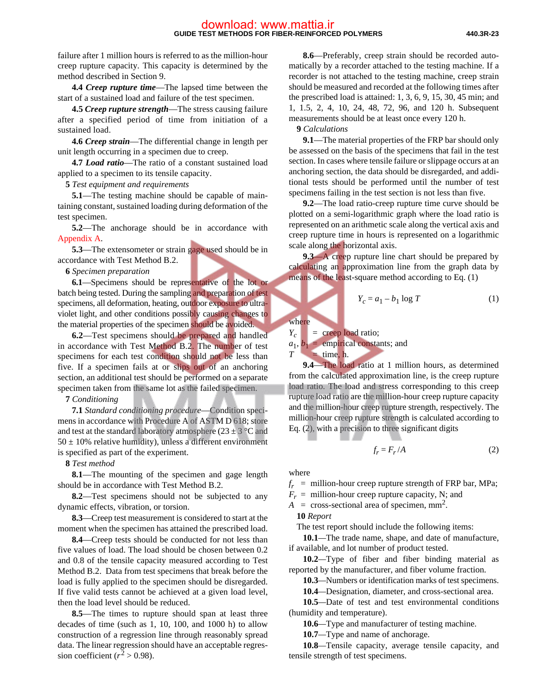failure after 1 million hours is referred to as the million-hour creep rupture capacity. This capacity is determined by the method described in Section 9.

**4.4** *Creep rupture time*—The lapsed time between the start of a sustained load and failure of the test specimen.

**4.5** *Creep rupture strength*—The stress causing failure after a specified period of time from initiation of a sustained load.

**4.6** *Creep strain*—The differential change in length per unit length occurring in a specimen due to creep.

**4.7** *Load ratio*—The ratio of a constant sustained load applied to a specimen to its tensile capacity.

**5** *Test equipment and requirements*

**5.1**—The testing machine should be capable of maintaining constant, sustained loading during deformation of the test specimen.

**5.2**—The anchorage should be in accordance with [Appendix A.](#page-37-0)

**5.3**—The extensometer or strain gage used should be in accordance with Test Method B.2.

**6** *Specimen preparation*

**6.1**—Specimens should be representative of the lot or batch being tested. During the sampling and preparation of test specimens, all deformation, heating, outdoor exposure to ultraviolet light, and other conditions possibly causing changes to the material properties of the specimen should be avoided.

**6.2**—Test specimens should be prepared and handled in accordance with Test Method B.2. The number of test specimens for each test condition should not be less than five. If a specimen fails at or slips out of an anchoring section, an additional test should be performed on a separate specimen taken from the same lot as the failed specimen.

### **7** *Conditioning*

**7.1** *Standard conditioning procedure*—Condition specimens in accordance with Procedure A of ASTM D 618; store and test at the standard laboratory atmosphere  $(23 \pm 3 \degree C \text{ and } 1)$  $50 \pm 10\%$  relative humidity), unless a different environment is specified as part of the experiment.

#### **8** *Test method*

**8.1**—The mounting of the specimen and gage length should be in accordance with Test Method B.2.

**8.2**—Test specimens should not be subjected to any dynamic effects, vibration, or torsion.

**8.3**—Creep test measurement is considered to start at the moment when the specimen has attained the prescribed load.

**8.4**—Creep tests should be conducted for not less than five values of load. The load should be chosen between 0.2 and 0.8 of the tensile capacity measured according to Test Method B.2. Data from test specimens that break before the load is fully applied to the specimen should be disregarded. If five valid tests cannot be achieved at a given load level, then the load level should be reduced.

**8.5**—The times to rupture should span at least three decades of time (such as 1, 10, 100, and 1000 h) to allow construction of a regression line through reasonably spread data. The linear regression should have an acceptable regression coefficient ( $r^2 > 0.98$ ).

**8.6**—Preferably, creep strain should be recorded automatically by a recorder attached to the testing machine. If a recorder is not attached to the testing machine, creep strain should be measured and recorded at the following times after the prescribed load is attained: 1, 3, 6, 9, 15, 30, 45 min; and 1, 1.5, 2, 4, 10, 24, 48, 72, 96, and 120 h. Subsequent measurements should be at least once every 120 h.

**9** *Calculations*

**9.1**—The material properties of the FRP bar should only be assessed on the basis of the specimens that fail in the test section. In cases where tensile failure or slippage occurs at an anchoring section, the data should be disregarded, and additional tests should be performed until the number of test specimens failing in the test section is not less than five.

**9.2**—The load ratio-creep rupture time curve should be plotted on a semi-logarithmic graph where the load ratio is represented on an arithmetic scale along the vertical axis and creep rupture time in hours is represented on a logarithmic scale along the horizontal axis.

**9.3**—A creep rupture line chart should be prepared by calculating an approximation line from the graph data by means of the least-square method according to Eq. (1)

$$
Y_c = a_1 - b_1 \log T \tag{1}
$$

where  $Y_c$  = creep load ratio;

 $a_1, b_1$  = empirical constants; and <br>*T* = time, h.

*T* = time, h.

**9.4**—The load ratio at 1 million hours, as determined from the calculated approximation line, is the creep rupture load ratio. The load and stress corresponding to this creep rupture load ratio are the million-hour creep rupture capacity and the million-hour creep rupture strength, respectively. The million-hour creep rupture strength is calculated according to Eq. (2), with a precision to three significant digits

$$
f_r = F_r / A \tag{2}
$$

where

 $f_r$  = million-hour creep rupture strength of FRP bar, MPa;

 $F_r$  = million-hour creep rupture capacity, N; and

 $A = \text{cross-sectional area of specimen, mm}^2$ .

**10** *Report*

The test report should include the following items:

**10.1***—*The trade name, shape, and date of manufacture, if available, and lot number of product tested.

**10.2***—*Type of fiber and fiber binding material as reported by the manufacturer, and fiber volume fraction.

**10.3***—*Numbers or identification marks of test specimens.

**10.4***—*Designation, diameter, and cross-sectional area.

**10.5***—*Date of test and test environmental conditions (humidity and temperature).

**10.6***—*Type and manufacturer of testing machine.

**10.7***—*Type and name of anchorage.

**10.8***—*Tensile capacity, average tensile capacity, and tensile strength of test specimens.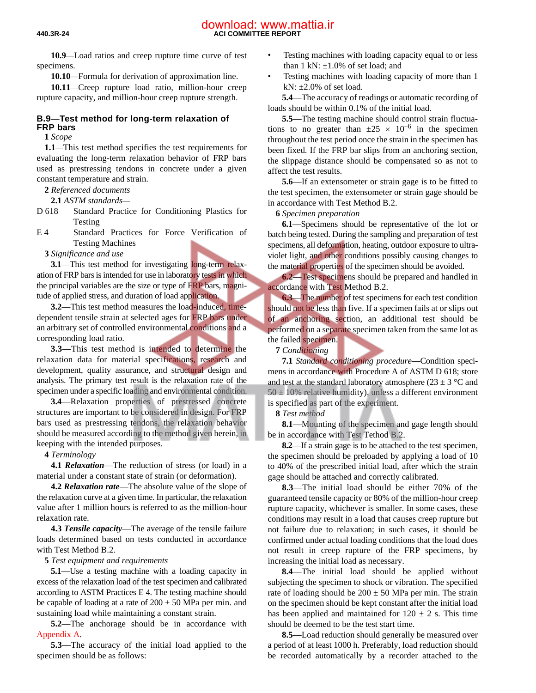# **440.3R-24 ACI COMMITTEE REPORT** download: [www.mattia.ir](http://www.mattia.ir)

**10.9***—*Load ratios and creep rupture time curve of test specimens.

**10.10***—*Formula for derivation of approximation line.

**10.11***—*Creep rupture load ratio, million-hour creep rupture capacity, and million-hour creep rupture strength.

# **B.9—Test method for long-term relaxation of FRP bars**

## **1** *Scope*

**1.1***—*This test method specifies the test requirements for evaluating the long-term relaxation behavior of FRP bars used as prestressing tendons in concrete under a given constant temperature and strain.

**2** *Referenced documents*

**2.1** *ASTM standards—*

D 618 Standard Practice for Conditioning Plastics for Testing

E 4 Standard Practices for Force Verification of Testing Machines

**3** *Significance and use*

**3.1—This test method for investigating long-term relax**ation of FRP bars is intended for use in laboratory tests in which the principal variables are the size or type of FRP bars, magnitude of applied stress, and duration of load application.

**3.2**—This test method measures the load-induced, timedependent tensile strain at selected ages for FRP bars under an arbitrary set of controlled environmental conditions and a corresponding load ratio.

**3.3**—This test method is intended to determine the relaxation data for material specifications, research and development, quality assurance, and structural design and analysis. The primary test result is the relaxation rate of the specimen under a specific loading and environmental condition.

**3.4**—Relaxation properties of prestressed concrete structures are important to be considered in design. For FRP bars used as prestressing tendons, the relaxation behavior should be measured according to the method given herein, in keeping with the intended purposes.

**4** *Terminology*

**4.1** *Relaxation*—The reduction of stress (or load) in a material under a constant state of strain (or deformation).

**4.2** *Relaxation rate*—The absolute value of the slope of the relaxation curve at a given time. In particular, the relaxation value after 1 million hours is referred to as the million-hour relaxation rate.

**4.3** *Tensile capacity*—The average of the tensile failure loads determined based on tests conducted in accordance with Test Method B.2.

## **5** *Test equipment and requirements*

**5.1**—Use a testing machine with a loading capacity in excess of the relaxation load of the test specimen and calibrated according to ASTM Practices E 4. The testing machine should be capable of loading at a rate of  $200 \pm 50$  MPa per min. and sustaining load while maintaining a constant strain.

**5.2**—The anchorage should be in accordance with [Appendix A.](#page-37-0)

**5.3**—The accuracy of the initial load applied to the specimen should be as follows:

- Testing machines with loading capacity equal to or less than  $1 \text{ kN: } \pm 1.0\%$  of set load; and
- Testing machines with loading capacity of more than 1  $kN: \pm 2.0\%$  of set load.

**5.4**—The accuracy of readings or automatic recording of loads should be within 0.1% of the initial load.

**5.5**—The testing machine should control strain fluctuations to no greater than  $\pm 25 \times 10^{-6}$  in the specimen throughout the test period once the strain in the specimen has been fixed. If the FRP bar slips from an anchoring section, the slippage distance should be compensated so as not to affect the test results.

**5.6**—If an extensometer or strain gage is to be fitted to the test specimen, the extensometer or strain gage should be in accordance with Test Method B.2.

**6** *Specimen preparation*

**6.1**—Specimens should be representative of the lot or batch being tested. During the sampling and preparation of test specimens, all deformation, heating, outdoor exposure to ultraviolet light, and other conditions possibly causing changes to the material properties of the specimen should be avoided.

**6.2**—Test specimens should be prepared and handled in accordance with Test Method B.2.

**6.3**—The number of test specimens for each test condition should not be less than five. If a specimen fails at or slips out of an anchoring section, an additional test should be performed on a separate specimen taken from the same lot as the failed specimen.

**7** *Conditioning*

**7.1** *Standard conditioning procedure*—Condition specimens in accordance with Procedure A of ASTM D 618; store and test at the standard laboratory atmosphere  $(23 \pm 3 \degree C \text{ and } 1)$  $50 \pm 10\%$  relative humidity), unless a different environment is specified as part of the experiment.

**8** *Test method*

**8.1**—Mounting of the specimen and gage length should be in accordance with Test Tethod B.2.

**8.2**—If a strain gage is to be attached to the test specimen, the specimen should be preloaded by applying a load of 10 to 40% of the prescribed initial load, after which the strain gage should be attached and correctly calibrated.

**8.3**—The initial load should be either 70% of the guaranteed tensile capacity or 80% of the million-hour creep rupture capacity, whichever is smaller. In some cases, these conditions may result in a load that causes creep rupture but not failure due to relaxation; in such cases, it should be confirmed under actual loading conditions that the load does not result in creep rupture of the FRP specimens, by increasing the initial load as necessary.

**8.4**—The initial load should be applied without subjecting the specimen to shock or vibration. The specified rate of loading should be  $200 \pm 50$  MPa per min. The strain on the specimen should be kept constant after the initial load has been applied and maintained for  $120 \pm 2$  s. This time should be deemed to be the test start time.

**8.5**—Load reduction should generally be measured over a period of at least 1000 h. Preferably, load reduction should be recorded automatically by a recorder attached to the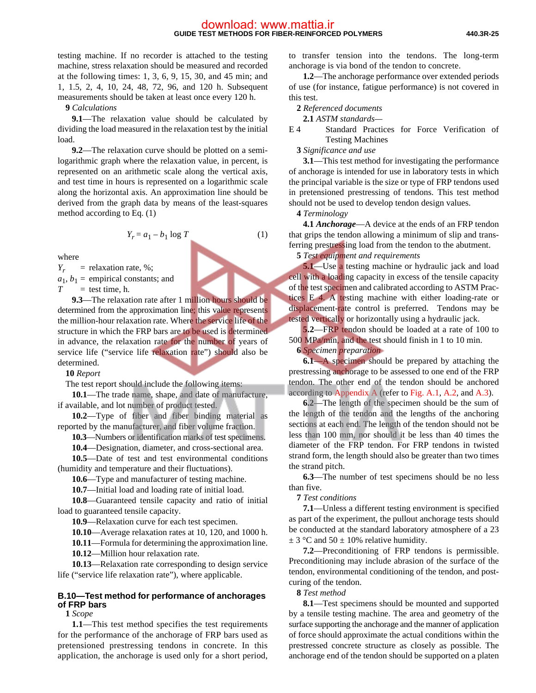testing machine. If no recorder is attached to the testing machine, stress relaxation should be measured and recorded at the following times: 1, 3, 6, 9, 15, 30, and 45 min; and 1, 1.5, 2, 4, 10, 24, 48, 72, 96, and 120 h. Subsequent measurements should be taken at least once every 120 h.

**9** *Calculations*

**9.1**—The relaxation value should be calculated by dividing the load measured in the relaxation test by the initial load.

**9.2**—The relaxation curve should be plotted on a semilogarithmic graph where the relaxation value, in percent, is represented on an arithmetic scale along the vertical axis, and test time in hours is represented on a logarithmic scale along the horizontal axis. An approximation line should be derived from the graph data by means of the least-squares method according to Eq. (1)

$$
Y_r = a_1 - b_1 \log T \tag{1}
$$

where

 $Y_r$  = relaxation rate, %;  $a_1, b_1$  = empirical constants; and  $=$  test time, h.

**9.3**—The relaxation rate after 1 million hours should be determined from the approximation line; this value represents the million-hour relaxation rate. Where the service life of the structure in which the FRP bars are to be used is determined in advance, the relaxation rate for the number of years of service life ("service life relaxation rate") should also be determined.

**10** *Report*

The test report should include the following items:

**10.1**—The trade name, shape, and date of manufacture, if available, and lot number of product tested.

**10.2**—Type of fiber and fiber binding material as reported by the manufacturer, and fiber volume fraction.

**10.3**—Numbers or identification marks of test specimens.

**10.4**—Designation, diameter, and cross-sectional area.

**10.5**—Date of test and test environmental conditions (humidity and temperature and their fluctuations).

**10.6**—Type and manufacturer of testing machine.

**10.7**—Initial load and loading rate of initial load.

**10.8**—Guaranteed tensile capacity and ratio of initial load to guaranteed tensile capacity.

**10.9**—Relaxation curve for each test specimen.

**10.10**—Average relaxation rates at 10, 120, and 1000 h.

**10.11**—Formula for determining the approximation line.

**10.12**—Million hour relaxation rate.

**10.13**—Relaxation rate corresponding to design service life ("service life relaxation rate"), where applicable.

## **B.10—Test method for performance of anchorages of FRP bars**

**1** *Scope*

**1.1**—This test method specifies the test requirements for the performance of the anchorage of FRP bars used as pretensioned prestressing tendons in concrete. In this application, the anchorage is used only for a short period,

to transfer tension into the tendons. The long-term anchorage is via bond of the tendon to concrete.

**1.2**—The anchorage performance over extended periods of use (for instance, fatigue performance) is not covered in this test.

**2** *Referenced documents*

**2.1** *ASTM standards—*

E 4 Standard Practices for Force Verification of Testing Machines

**3** *Significance and use*

**3.1**—This test method for investigating the performance of anchorage is intended for use in laboratory tests in which the principal variable is the size or type of FRP tendons used in pretensioned prestressing of tendons. This test method should not be used to develop tendon design values.

**4** *Terminology*

**4.1** *Anchorage*—A device at the ends of an FRP tendon that grips the tendon allowing a minimum of slip and transferring prestressing load from the tendon to the abutment.

**5** *Test equipment and requirements*

**5.1**—Use a testing machine or hydraulic jack and load cell with a loading capacity in excess of the tensile capacity of the test specimen and calibrated according to ASTM Practices E 4. A testing machine with either loading-rate or displacement-rate control is preferred. Tendons may be tested vertically or horizontally using a hydraulic jack.

**5.2**—FRP tendon should be loaded at a rate of 100 to 500 MPa/min, and the test should finish in 1 to 10 min.

**6** *Specimen preparation*

**6.1**—A specimen should be prepared by attaching the prestressing anchorage to be assessed to one end of the FRP tendon. The other end of the tendon should be anchored according t[o Appendix A \(](#page-37-0)refer t[o Fig. A.1, A.2,](#page-37-1) an[d A.3\).](#page-38-1)

**6.2**—The length of the specimen should be the sum of the length of the tendon and the lengths of the anchoring sections at each end. The length of the tendon should not be less than 100 mm, nor should it be less than 40 times the diameter of the FRP tendon. For FRP tendons in twisted strand form, the length should also be greater than two times the strand pitch.

**6.3**—The number of test specimens should be no less than five.

**7** *Test conditions*

**7.1**—Unless a different testing environment is specified as part of the experiment, the pullout anchorage tests should be conducted at the standard laboratory atmosphere of a 23  $\pm$  3 °C and 50  $\pm$  10% relative humidity.

**7.2**—Preconditioning of FRP tendons is permissible. Preconditioning may include abrasion of the surface of the tendon, environmental conditioning of the tendon, and postcuring of the tendon.

## **8** *Test method*

**8.1**—Test specimens should be mounted and supported by a tensile testing machine. The area and geometry of the surface supporting the anchorage and the manner of application of force should approximate the actual conditions within the prestressed concrete structure as closely as possible. The anchorage end of the tendon should be supported on a platen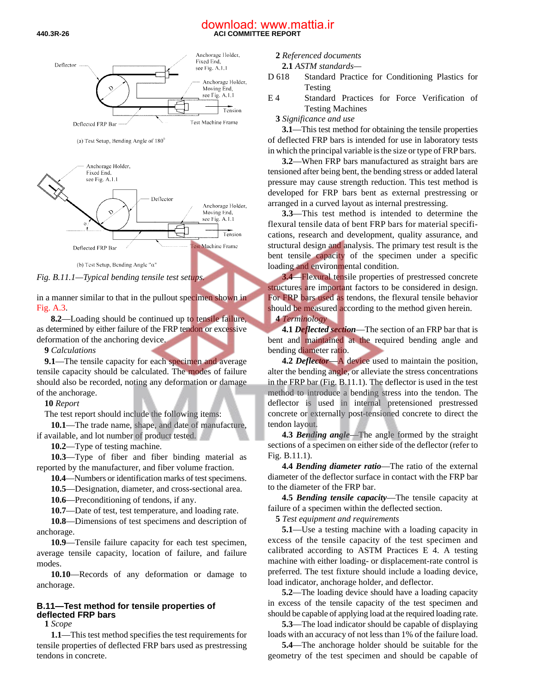# **440.3R-26 ACI COMMITTEE REPORT** download: [www.mattia.ir](http://www.mattia.ir)

<span id="page-25-0"></span>

(a) Test Setup, Bending Angle of 180



# *Fig. B.11.1—Typical bending tensile test setups.*

in a manner similar to that in the pullout specimen shown in [Fig. A.3.](#page-38-2)

**8.2**—Loading should be continued up to tensile failure, as determined by either failure of the FRP tendon or excessive deformation of the anchoring device.

**9** *Calculations*

**9.1**—The tensile capacity for each specimen and average tensile capacity should be calculated. The modes of failure should also be recorded, noting any deformation or damage of the anchorage.

## **10** *Report*

The test report should include the following items:

**10.1**—The trade name, shape, and date of manufacture, if available, and lot number of product tested.

**10.2**—Type of testing machine.

**10.3**—Type of fiber and fiber binding material as reported by the manufacturer, and fiber volume fraction.

**10.4**—Numbers or identification marks of test specimens.

**10.5**—Designation, diameter, and cross-sectional area.

**10.6**—Preconditioning of tendons, if any.

**10.7**—Date of test, test temperature, and loading rate.

**10.8**—Dimensions of test specimens and description of anchorage.

**10.9**—Tensile failure capacity for each test specimen, average tensile capacity, location of failure, and failure modes.

**10.10**—Records of any deformation or damage to anchorage.

# **B.11—Test method for tensile properties of deflected FRP bars**

**1** *Scope*

**1.1**—This test method specifies the test requirements for tensile properties of deflected FRP bars used as prestressing tendons in concrete.

**2** *Referenced documents*

**2.1** *ASTM standards—*

- D 618 Standard Practice for Conditioning Plastics for Testing
- E 4 Standard Practices for Force Verification of Testing Machines
	- **3** *Significance and use*

**3.1**—This test method for obtaining the tensile properties of deflected FRP bars is intended for use in laboratory tests in which the principal variable is the size or type of FRP bars.

**3.2**—When FRP bars manufactured as straight bars are tensioned after being bent, the bending stress or added lateral pressure may cause strength reduction. This test method is developed for FRP bars bent as external prestressing or arranged in a curved layout as internal prestressing.

**3.3**—This test method is intended to determine the flexural tensile data of bent FRP bars for material specifications, research and development, quality assurance, and structural design and analysis. The primary test result is the bent tensile capacity of the specimen under a specific loading and environmental condition.

**3.4**—Flexural tensile properties of prestressed concrete structures are important factors to be considered in design. For FRP bars used as tendons, the flexural tensile behavior should be measured according to the method given herein. **4** *Terminology*

**4.1** *Deflected section*—The section of an FRP bar that is bent and maintained at the required bending angle and bending diameter ratio.

**4.2** *Deflector*—A device used to maintain the position, alter the bending angle, or alleviate the stress concentrations in the FRP bar (Fig. B.11.1). The deflector is used in the test method to introduce a bending stress into the tendon. The deflector is used in internal pretensioned prestressed concrete or externally post-tensioned concrete to direct the tendon layout.

**4.3** *Bending angle*—The angle formed by the straight sections of a specimen on either side of the deflector (refer to Fig. B.11.1).

**4.4** *Bending diameter ratio*—The ratio of the external diameter of the deflector surface in contact with the FRP bar to the diameter of the FRP bar.

**4.5** *Bending tensile capacity*—The tensile capacity at failure of a specimen within the deflected section.

**5** *Test equipment and requirements*

**5.1**—Use a testing machine with a loading capacity in excess of the tensile capacity of the test specimen and calibrated according to ASTM Practices E 4. A testing machine with either loading- or displacement-rate control is preferred. The test fixture should include a loading device, load indicator, anchorage holder, and deflector.

**5.2**—The loading device should have a loading capacity in excess of the tensile capacity of the test specimen and should be capable of applying load at the required loading rate.

**5.3**—The load indicator should be capable of displaying loads with an accuracy of not less than 1% of the failure load.

**5.4**—The anchorage holder should be suitable for the geometry of the test specimen and should be capable of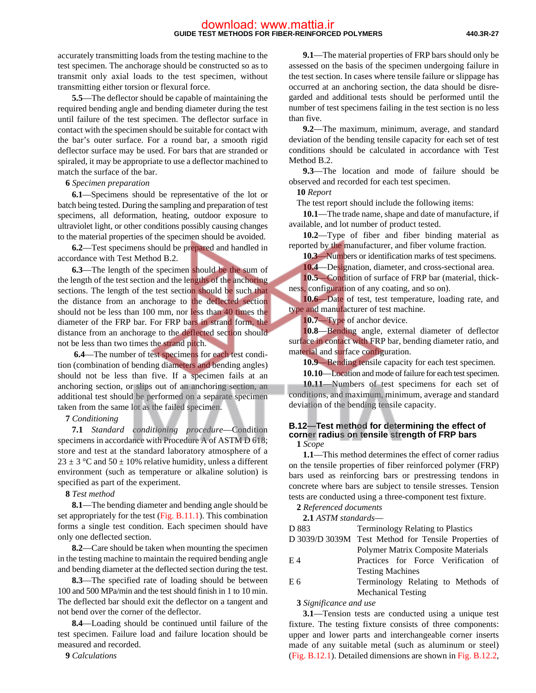accurately transmitting loads from the testing machine to the test specimen. The anchorage should be constructed so as to transmit only axial loads to the test specimen, without transmitting either torsion or flexural force.

**5.5**—The deflector should be capable of maintaining the required bending angle and bending diameter during the test until failure of the test specimen. The deflector surface in contact with the specimen should be suitable for contact with the bar's outer surface. For a round bar, a smooth rigid deflector surface may be used. For bars that are stranded or spiraled, it may be appropriate to use a deflector machined to match the surface of the bar.

# **6** *Specimen preparation*

**6.1**—Specimens should be representative of the lot or batch being tested. During the sampling and preparation of test specimens, all deformation, heating, outdoor exposure to ultraviolet light, or other conditions possibly causing changes to the material properties of the specimen should be avoided.

**6.2**—Test specimens should be prepared and handled in accordance with Test Method B.2.

**6.3**—The length of the specimen should be the sum of the length of the test section and the lengths of the anchoring sections. The length of the test section should be such that the distance from an anchorage to the deflected section should not be less than 100 mm, nor less than 40 times the diameter of the FRP bar. For FRP bars in strand form, the distance from an anchorage to the deflected section should not be less than two times the strand pitch.

**6.4**—The number of test specimens for each test condition (combination of bending diameters and bending angles) should not be less than five. If a specimen fails at an anchoring section, or slips out of an anchoring section, an additional test should be performed on a separate specimen taken from the same lot as the failed specimen.

## **7** *Conditioning*

**7.1** *Standard conditioning procedure*—Condition specimens in accordance with Procedure A of ASTM D 618; store and test at the standard laboratory atmosphere of a  $23 \pm 3$  °C and  $50 \pm 10$ % relative humidity, unless a different environment (such as temperature or alkaline solution) is specified as part of the experiment.

#### **8** *Test method*

**8.1**—The bending diameter and bending angle should be set appropriately for the test [\(Fig. B.11.1\). T](#page-25-0)his combination forms a single test condition. Each specimen should have only one deflected section.

**8.2**—Care should be taken when mounting the specimen in the testing machine to maintain the required bending angle and bending diameter at the deflected section during the test.

**8.3**—The specified rate of loading should be between 100 and 500 MPa/min and the test should finish in 1 to 10 min. The deflected bar should exit the deflector on a tangent and not bend over the corner of the deflector.

**8.4**—Loading should be continued until failure of the test specimen. Failure load and failure location should be measured and recorded.

**9** *Calculations*

**9.1**—The material properties of FRP bars should only be assessed on the basis of the specimen undergoing failure in the test section. In cases where tensile failure or slippage has occurred at an anchoring section, the data should be disregarded and additional tests should be performed until the number of test specimens failing in the test section is no less than five.

**9.2**—The maximum, minimum, average, and standard deviation of the bending tensile capacity for each set of test conditions should be calculated in accordance with Test Method B.2.

**9.3**—The location and mode of failure should be observed and recorded for each test specimen.

## **10** *Report*

The test report should include the following items:

**10.1**—The trade name, shape and date of manufacture, if available, and lot number of product tested.

**10.2**—Type of fiber and fiber binding material as reported by the manufacturer, and fiber volume fraction.

**10.3**—Numbers or identification marks of test specimens. **10.4**—Designation, diameter, and cross-sectional area.

**10.5**—Condition of surface of FRP bar (material, thickness, configuration of any coating, and so on).

**10.6**—Date of test, test temperature, loading rate, and type and manufacturer of test machine.

**10.7**—Type of anchor device.

**10.8**—Bending angle, external diameter of deflector surface in contact with FRP bar, bending diameter ratio, and material and surface configuration.

**10.9**—Bending tensile capacity for each test specimen.

**10.10**—Location and mode of failure for each test specimen. **10.11**—Numbers of test specimens for each set of

conditions, and maximum, minimum, average and standard deviation of the bending tensile capacity.

## **B.12—Test method for determining the effect of corner radius on tensile strength of FRP bars 1** *Scope*

**1.1**—This method determines the effect of corner radius on the tensile properties of fiber reinforced polymer (FRP) bars used as reinforcing bars or prestressing tendons in concrete where bars are subject to tensile stresses. Tension tests are conducted using a three-component test fixture.

**2** *Referenced documents*

| $2.1$ ASTM standards— |                                                      |  |  |  |
|-----------------------|------------------------------------------------------|--|--|--|
| D 883                 | <b>Terminology Relating to Plastics</b>              |  |  |  |
|                       | D 3039/D 3039M Test Method for Tensile Properties of |  |  |  |
|                       | Polymer Matrix Composite Materials                   |  |  |  |
| E 4                   | Practices for Force Verification of                  |  |  |  |
|                       | <b>Testing Machines</b>                              |  |  |  |
| E 6                   | Terminology Relating to Methods of                   |  |  |  |

Mechanical Testing

## **3** *Significance and use*

**3.1**—Tension tests are conducted using a unique test fixture. The testing fixture consists of three components: upper and lower parts and interchangeable corner inserts made of any suitable metal (such as aluminum or steel) (Fig. [B.12.1\).](#page-27-0) Detailed dimensions are shown i[n Fig. B.12.2,](#page-27-1)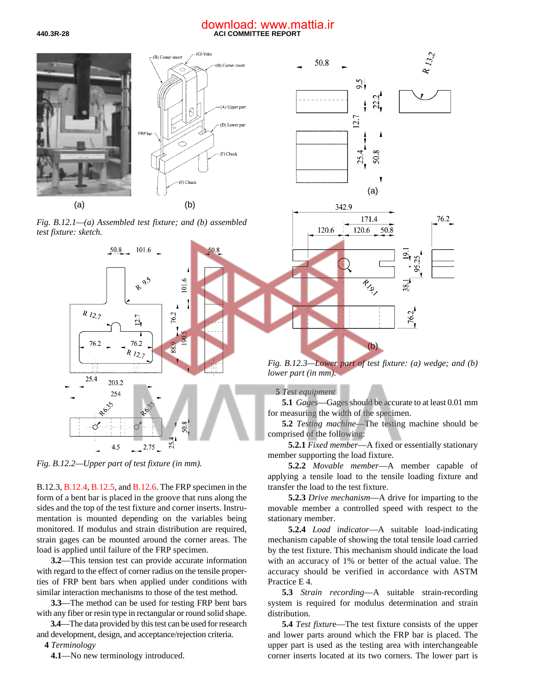# <span id="page-27-0"></span>**440.3R-28 ACI COMMITTEE REPORT** download: [www.mattia.ir](http://www.mattia.ir)

(G) Yoke

(B) Corner inser

A) Upper part

(D) Lower par

(F) Chuck

(B) Corner insert

<span id="page-27-3"></span> $\beta$ (F) Chucl (a) (b)

<span id="page-27-2"></span><span id="page-27-1"></span>*Fig. B.12.1—(a) Assembled test fixture; and (b) assembled test fixture: sketch.*



*Fig. B.12.2—Upper part of test fixture (in mm).*

B.12.3[, B.12.4,](#page-28-0) [B.12.5,](#page-28-1) and [B.12.6. T](#page-29-1)he FRP specimen in the form of a bent bar is placed in the groove that runs along the sides and the top of the test fixture and corner inserts. Instrumentation is mounted depending on the variables being monitored. If modulus and strain distribution are required, strain gages can be mounted around the corner areas. The load is applied until failure of the FRP specimen.

**3.2**—This tension test can provide accurate information with regard to the effect of corner radius on the tensile properties of FRP bent bars when applied under conditions with similar interaction mechanisms to those of the test method.

**3.3**—The method can be used for testing FRP bent bars with any fiber or resin type in rectangular or round solid shape.

**3.4**—The data provided by this test can be used for research and development, design, and acceptance/rejection criteria.

**4** *Terminology*

**4.1**—No new terminology introduced.



*Fig. B.12.3—Lower part of test fixture: (a) wedge; and (b) lower part (in mm).*

**5** *Test equipment*

**5.1** *Gages*—Gages should be accurate to at least 0.01 mm for measuring the width of the specimen.

**5.2** *Testing machine*—The testing machine should be comprised of the following:

**5.2.1** *Fixed member*—A fixed or essentially stationary member supporting the load fixture.

**5.2.2** *Movable member*—A member capable of applying a tensile load to the tensile loading fixture and transfer the load to the test fixture.

**5.2.3** *Drive mechanism*—A drive for imparting to the movable member a controlled speed with respect to the stationary member.

**5.2.4** *Load indicator*—A suitable load-indicating mechanism capable of showing the total tensile load carried by the test fixture. This mechanism should indicate the load with an accuracy of 1% or better of the actual value. The accuracy should be verified in accordance with ASTM Practice E 4.

**5.3** *Strain recording*—A suitable strain-recording system is required for modulus determination and strain distribution.

**5.4** *Test fixtur*e—The test fixture consists of the upper and lower parts around which the FRP bar is placed. The upper part is used as the testing area with interchangeable corner inserts located at its two corners. The lower part is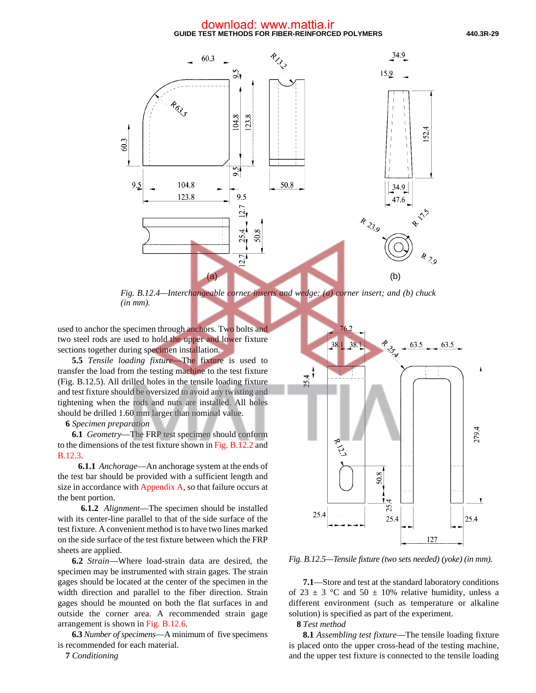## **GUIDE TEST METHODS FOR FIBER-REINFORCED POLYMERS 440.3R-29** download: [www.mattia.ir](http://www.mattia.ir)

<span id="page-28-0"></span>

*Fig. B.12.4—Interchangeable corner inserts and wedge: (a) corner insert; and (b) chuck (in mm).*

<span id="page-28-1"></span>used to anchor the specimen through anchors. Two bolts and two steel rods are used to hold the upper and lower fixture sections together during specimen installation.

**5.5** *Tensile loading fixture*—The fixture is used to transfer the load from the testing machine to the test fixture (Fig. B.12.5). All drilled holes in the tensile loading fixture and test fixture should be oversized to avoid any twisting and tightening when the rods and nuts are installed. All holes should be drilled 1.60 mm larger than nominal value.

**6** *Specimen preparation*

**6.1** *Geometry*—The FRP test specimen should conform to the dimensions of the test fixture shown i[n Fig. B.12.2 a](#page-27-2)nd [B.12.3.](#page-27-3)

**6.1.1** *Anchorage*—An anchorage system at the ends of the test bar should be provided with a sufficient length and size in accordance with [Appendix A, s](#page-37-0)o that failure occurs at the bent portion.

**6.1.2** *Alignment*—The specimen should be installed with its center-line parallel to that of the side surface of the test fixture. A convenient method is to have two lines marked on the side surface of the test fixture between which the FRP sheets are applied.

**6.2** *Strain*—Where load-strain data are desired, the specimen may be instrumented with strain gages. The strain gages should be located at the center of the specimen in the width direction and parallel to the fiber direction. Strain gages should be mounted on both the flat surfaces in and outside the corner area. A recommended strain gage arrangement is shown i[n Fig. B.12.6.](#page-29-2)

**6.3** *Number of specimens*—A minimum of five specimens is recommended for each material.



*Fig. B.12.5—Tensile fixture (two sets needed) (yoke) (in mm).*

**7.1**—Store and test at the standard laboratory conditions of 23  $\pm$  3 °C and 50  $\pm$  10% relative humidity, unless a different environment (such as temperature or alkaline solution) is specified as part of the experiment.

#### **8** *Test method*

**8.1** *Assembling test fixture*—The tensile loading fixture is placed onto the upper cross-head of the testing machine, and the upper test fixture is connected to the tensile loading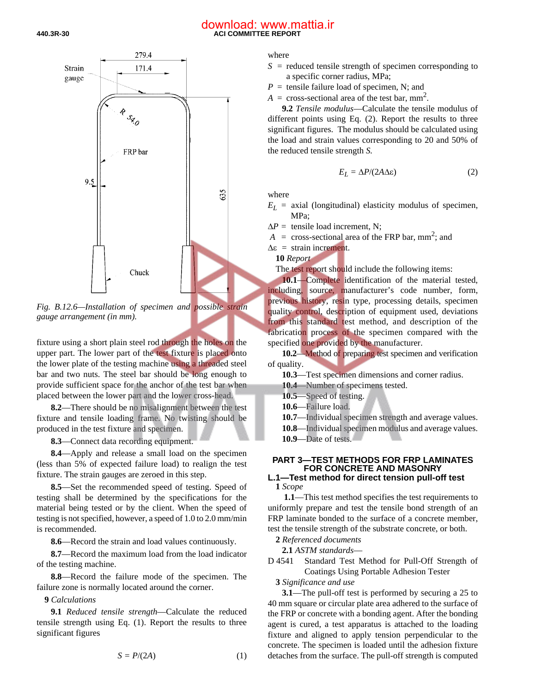## <span id="page-29-2"></span><span id="page-29-1"></span>**440.3R-30 ACI COMMITTEE REPORT** download: [www.mattia.ir](http://www.mattia.ir)



*Fig. B.12.6—Installation of specimen and possible strain gauge arrangement (in mm).*

fixture using a short plain steel rod through the holes on the upper part. The lower part of the test fixture is placed onto the lower plate of the testing machine using a threaded steel bar and two nuts. The steel bar should be long enough to provide sufficient space for the anchor of the test bar when placed between the lower part and the lower cross-head.

<span id="page-29-0"></span>**8.2**—There should be no misalignment between the test fixture and tensile loading frame. No twisting should be produced in the test fixture and specimen.

**8.3**—Connect data recording equipment.

**8.4**—Apply and release a small load on the specimen (less than 5% of expected failure load) to realign the test fixture. The strain gauges are zeroed in this step.

**8.5**—Set the recommended speed of testing. Speed of testing shall be determined by the specifications for the material being tested or by the client. When the speed of testing is not specified, however, a speed of 1.0 to 2.0 mm/min is recommended.

**8.6**—Record the strain and load values continuously.

**8.7**—Record the maximum load from the load indicator of the testing machine.

**8.8**—Record the failure mode of the specimen. The failure zone is normally located around the corner.

**9** *Calculations*

**9.1** *Reduced tensile strength*—Calculate the reduced tensile strength using Eq. (1). Report the results to three significant figures

$$
S = P/(2A) \tag{1}
$$

where

- $S =$  reduced tensile strength of specimen corresponding to a specific corner radius, MPa;
- $P =$  tensile failure load of specimen, N; and
- $A = \text{cross-sectional area of the test bar, mm}^2$ .

**9.2** *Tensile modulus*—Calculate the tensile modulus of different points using Eq. (2). Report the results to three significant figures. The modulus should be calculated using the load and strain values corresponding to 20 and 50% of the reduced tensile strength *S.*

$$
E_L = \Delta P / (2A\Delta \varepsilon) \tag{2}
$$

where

 $E_L$  = axial (longitudinal) elasticity modulus of specimen, MPa;

 $\Delta P =$  tensile load increment, N;

 $A = \text{cross-sectional area of the FRP bar, \text{mm}^2$ ; and

∆ε *=* strain increment.

**10** *Report*

The test report should include the following items:

**10.1**—Complete identification of the material tested, including, source, manufacturer's code number, form, previous history, resin type, processing details, specimen quality control, description of equipment used, deviations from this standard test method, and description of the fabrication process of the specimen compared with the specified one provided by the manufacturer.

**10.2**—Method of preparing test specimen and verification of quality.

**10.3**—Test specimen dimensions and corner radius.

**10.4**—Number of specimens tested.

**10.5**—Speed of testing.

**10.6**—Failure load.

**10.7**—Individual specimen strength and average values.

**10.8**—Individual specimen modulus and average values.

**10.9**—Date of tests.

# **PART 3—TEST METHODS FOR FRP LAMINATES FOR CONCRETE AND MASONRY**

# **L.1—Test method for direct tension pull-off test 1** *Scope*

**1.1**—This test method specifies the test requirements to uniformly prepare and test the tensile bond strength of an FRP laminate bonded to the surface of a concrete member, test the tensile strength of the substrate concrete, or both.

**2** *Referenced documents*

**2.1** *ASTM standards*—

D 4541 Standard Test Method for Pull-Off Strength of Coatings Using Portable Adhesion Tester

**3** *Significance and use*

**3.1—The pull-off test is performed by securing a 25 to** 40 mm square or circular plate area adhered to the surface of the FRP or concrete with a bonding agent. After the bonding agent is cured, a test apparatus is attached to the loading fixture and aligned to apply tension perpendicular to the concrete. The specimen is loaded until the adhesion fixture detaches from the surface. The pull-off strength is computed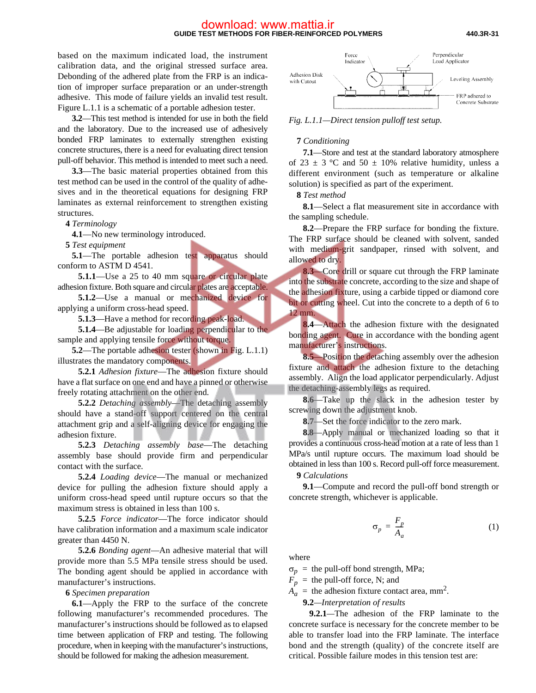## **GUIDE TEST METHODS FOR FIBER-REINFORCED POLYMERS 440.3R-31** download: [www.mattia.ir](http://www.mattia.ir)

**3.2**—This test method is intended for use in both the field and the laboratory. Due to the increased use of adhesively bonded FRP laminates to externally strengthen existing concrete structures, there is a need for evaluating direct tension pull-off behavior. This method is intended to meet such a need.

<span id="page-30-0"></span>**3.3**—The basic material properties obtained from this test method can be used in the control of the quality of adhesives and in the theoretical equations for designing FRP laminates as external reinforcement to strengthen existing structures.

**4** *Terminology*

**4.1**—No new terminology introduced.

**5** *Test equipment*

**5.1—The portable adhesion test apparatus should** conform to ASTM D 4541.

**5.1.1**—Use a 25 to 40 mm square or circular plate adhesion fixture. Both square and circular plates are acceptable.

**5.1.2**—Use a manual or mechanized device for applying a uniform cross-head speed.

**5.1.3**—Have a method for recording peak-load.

**5.1.4—Be adjustable for loading perpendicular to the** sample and applying tensile force without torque.

**5.2**—The portable adhesion tester (shown in Fig. L.1.1) illustrates the mandatory components.

**5.2.1** *Adhesion fixture*—The adhesion fixture should have a flat surface on one end and have a pinned or otherwise freely rotating attachment on the other end.

**5.2.2** *Detaching assembly*—The detaching assembly should have a stand-off support centered on the central attachment grip and a self-aligning device for engaging the adhesion fixture.

**5.2.3** *Detaching assembly base*—The detaching assembly base should provide firm and perpendicular contact with the surface.

**5.2.4** *Loading device*—The manual or mechanized device for pulling the adhesion fixture should apply a uniform cross-head speed until rupture occurs so that the maximum stress is obtained in less than 100 s.

**5.2.5** *Force indicator*—The force indicator should have calibration information and a maximum scale indicator greater than 4450 N.

**5.2.6** *Bonding agent*—An adhesive material that will provide more than 5.5 MPa tensile stress should be used. The bonding agent should be applied in accordance with manufacturer's instructions.

## **6** *Specimen preparation*

**6.1**—Apply the FRP to the surface of the concrete following manufacturer's recommended procedures. The manufacturer's instructions should be followed as to elapsed time between application of FRP and testing. The following procedure, when in keeping with the manufacturer's instructions, should be followed for making the adhesion measurement.



*Fig. L.1.1—Direct tension pulloff test setup.*

## **7** *Conditioning*

**7.1**—Store and test at the standard laboratory atmosphere of 23  $\pm$  3 °C and 50  $\pm$  10% relative humidity, unless a different environment (such as temperature or alkaline solution) is specified as part of the experiment.

**8** *Test method*

**8.1**—Select a flat measurement site in accordance with the sampling schedule.

**8.2**—Prepare the FRP surface for bonding the fixture. The FRP surface should be cleaned with solvent, sanded with medium-grit sandpaper, rinsed with solvent, and allowed to dry.

**8.3**—Core drill or square cut through the FRP laminate into the substrate concrete, according to the size and shape of the adhesion fixture, using a carbide tipped or diamond core bit or cutting wheel. Cut into the concrete to a depth of 6 to 12 mm.

**8.4**—Attach the adhesion fixture with the designated bonding agent. Cure in accordance with the bonding agent manufacturer's instructions.

**8.5**—Position the detaching assembly over the adhesion fixture and attach the adhesion fixture to the detaching assembly. Align the load applicator perpendicularly. Adjust the detaching-assembly legs as required.

**8.6**—Take up the slack in the adhesion tester by screwing down the adjustment knob.

**8.7**—Set the force indicator to the zero mark.

**8.8**—Apply manual or mechanized loading so that it provides a continuous cross-head motion at a rate of less than 1 MPa/s until rupture occurs. The maximum load should be obtained in less than 100 s. Record pull-off force measurement.

**9** *Calculations*

**9.1**—Compute and record the pull-off bond strength or concrete strength, whichever is applicable.

$$
\sigma_p = \frac{F_p}{A_a} \tag{1}
$$

where

 $\sigma_p$  = the pull-off bond strength, MPa;

 $F_p$  = the pull-off force, N; and

 $A_{a}^{r}$  = the adhesion fixture contact area, mm<sup>2</sup>.

**9.2***—Interpretation of results*

**9.2.1***—*The adhesion of the FRP laminate to the concrete surface is necessary for the concrete member to be able to transfer load into the FRP laminate. The interface bond and the strength (quality) of the concrete itself are critical. Possible failure modes in this tension test are: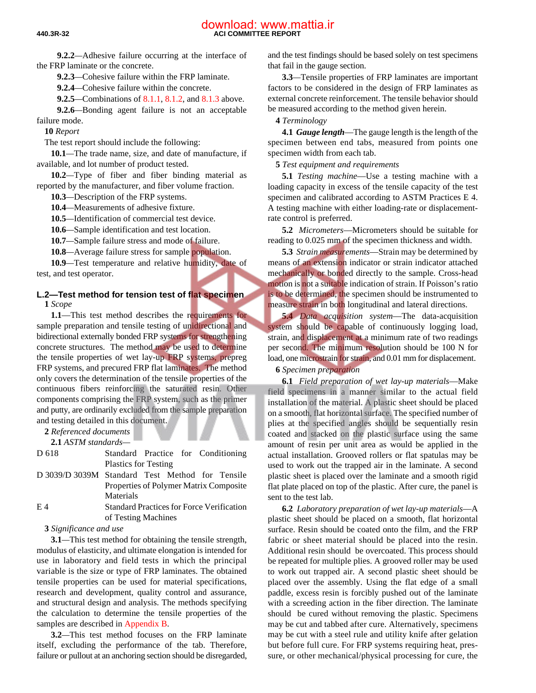# **440.3R-32 ACI COMMITTEE REPORT** download: [www.mattia.ir](http://www.mattia.ir)

**9.2.2***—*Adhesive failure occurring at the interface of the FRP laminate or the concrete.

**9.2.3***—*Cohesive failure within the FRP laminate.

**9.2.4***—*Cohesive failure within the concrete.

**9.2.5***—*Combinations o[f 8.1.1, 8.1.2, and 8.1.3 a](#page-30-0)bove. **9.2.6***—*Bonding agent failure is not an acceptable failure mode.

**10** *Report*

The test report should include the following:

**10.1***—*The trade name, size, and date of manufacture, if available, and lot number of product tested.

**10.2***—*Type of fiber and fiber binding material as reported by the manufacturer, and fiber volume fraction.

**10.3***—*Description of the FRP systems.

**10.4***—*Measurements of adhesive fixture.

**10.5***—*Identification of commercial test device.

**10.6***—*Sample identification and test location.

**10.7***—*Sample failure stress and mode of failure.

**10.8***—*Average failure stress for sample population.

**10.9***—*Test temperature and relative humidity, date of test, and test operator.

# **L.2—Test method for tension test of flat specimen 1** *Scope*

**1.1**—This test method describes the requirements for sample preparation and tensile testing of unidirectional and bidirectional externally bonded FRP systems for strengthening concrete structures. The method may be used to determine the tensile properties of wet lay-up FRP systems, prepreg FRP systems, and precured FRP flat laminates. The method only covers the determination of the tensile properties of the continuous fibers reinforcing the saturated resin. Other components comprising the FRP system, such as the primer and putty, are ordinarily excluded from the sample preparation and testing detailed in this document.

**2** *Referenced documents*

**2.1** *ASTM standards—*

| D 618                                           | Standard Practice for Conditioning |  |  |
|-------------------------------------------------|------------------------------------|--|--|
|                                                 | Plastics for Testing               |  |  |
| D 3039/D 3039M Standard Test Method for Tensile |                                    |  |  |

- Properties of Polymer Matrix Composite **Materials**
- E 4 Standard Practices for Force Verification of Testing Machines

# **3** *Significance and use*

**3.1***—*This test method for obtaining the tensile strength, modulus of elasticity, and ultimate elongation is intended for use in laboratory and field tests in which the principal variable is the size or type of FRP laminates. The obtained tensile properties can be used for material specifications, research and development, quality control and assurance, and structural design and analysis. The methods specifying the calculation to determine the tensile properties of the samples are described in [Appendix B.](#page-38-0)

**3.2***—*This test method focuses on the FRP laminate itself, excluding the performance of the tab. Therefore, failure or pullout at an anchoring section should be disregarded, and the test findings should be based solely on test specimens that fail in the gauge section.

**3.3***—*Tensile properties of FRP laminates are important factors to be considered in the design of FRP laminates as external concrete reinforcement. The tensile behavior should be measured according to the method given herein.

**4** *Terminology*

**4.1** *Gauge length*—The gauge length is the length of the specimen between end tabs, measured from points one specimen width from each tab.

**5** *Test equipment and requirements*

**5.1** *Testing machine*—Use a testing machine with a loading capacity in excess of the tensile capacity of the test specimen and calibrated according to ASTM Practices E 4. A testing machine with either loading-rate or displacementrate control is preferred.

**5.2** *Micrometers*—Micrometers should be suitable for reading to 0.025 mm of the specimen thickness and width.

**5.3** *Strain measurements*—Strain may be determined by means of an extension indicator or strain indicator attached mechanically or bonded directly to the sample. Cross-head motion is not a suitable indication of strain. If Poisson's ratio is to be determined, the specimen should be instrumented to measure strain in both longitudinal and lateral directions.

**5.4** *Data acquisition system*—The data-acquisition system should be capable of continuously logging load, strain, and displacement at a minimum rate of two readings per second. The minimum resolution should be 100 N for load, one microstrain for strain, and 0.01 mm for displacement.

**6** *Specimen preparation*

**6.1** *Field preparation of wet lay-up materials*—Make field specimens in a manner similar to the actual field installation of the material. A plastic sheet should be placed on a smooth, flat horizontal surface. The specified number of plies at the specified angles should be sequentially resin coated and stacked on the plastic surface using the same amount of resin per unit area as would be applied in the actual installation. Grooved rollers or flat spatulas may be used to work out the trapped air in the laminate. A second plastic sheet is placed over the laminate and a smooth rigid flat plate placed on top of the plastic. After cure, the panel is sent to the test lab.

**6.2** *Laboratory preparation of wet lay-up materials*—A plastic sheet should be placed on a smooth, flat horizontal surface. Resin should be coated onto the film, and the FRP fabric or sheet material should be placed into the resin. Additional resin should be overcoated. This process should be repeated for multiple plies. A grooved roller may be used to work out trapped air. A second plastic sheet should be placed over the assembly. Using the flat edge of a small paddle, excess resin is forcibly pushed out of the laminate with a screeding action in the fiber direction. The laminate should be cured without removing the plastic. Specimens may be cut and tabbed after cure. Alternatively, specimens may be cut with a steel rule and utility knife after gelation but before full cure. For FRP systems requiring heat, pressure, or other mechanical/physical processing for cure, the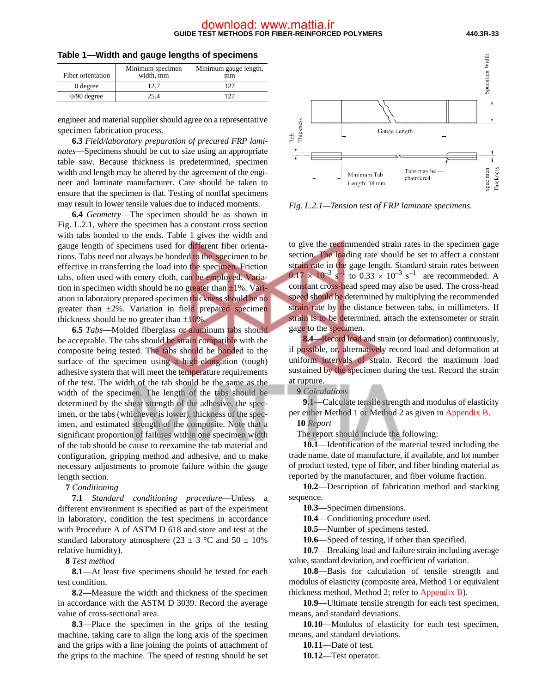## **GUIDE TEST METHODS FOR FIBER-REINFORCED POLYMERS 440.3R-33** download: [www.mattia.ir](http://www.mattia.ir)

| 440.3R-33 |  |  |
|-----------|--|--|
|-----------|--|--|

| Fiber orientation | Minimum specimen<br>width, mm | Minimum gauge length,<br>mm |
|-------------------|-------------------------------|-----------------------------|
| $0$ degree        | 12.7                          | 127                         |
| $0/90$ degree     | 25.4                          | 125                         |

## **Table 1—Width and gauge lengths of specimens**

engineer and material supplier should agree on a representative specimen fabrication process.

**6.3** *Field/laboratory preparation of precured FRP laminates*—Specimens should be cut to size using an appropriate table saw. Because thickness is predetermined, specimen width and length may be altered by the agreement of the engineer and laminate manufacturer. Care should be taken to ensure that the specimen is flat. Testing of nonflat specimens may result in lower tensile values due to induced moments.

**6.4** *Geometry*—The specimen should be as shown in Fig. L.2.1, where the specimen has a constant cross section with tabs bonded to the ends. Table 1 gives the width and gauge length of specimens used for different fiber orientations. Tabs need not always be bonded to the specimen to be effective in transferring the load into the specimen. Friction tabs, often used with emery cloth, can be employed. Variation in specimen width should be no greater than  $\pm 1\%$ . Variation in laboratory prepared specimen thickness should be no greater than ±2%. Variation in field prepared specimen thickness should be no greater than  $\pm 10\%$ .

**6.5** *Tabs*—Molded fiberglass or aluminum tabs should be acceptable. The tabs should be strain compatible with the composite being tested. The tabs should be bonded to the surface of the specimen using a high-elongation (tough) adhesive system that will meet the temperature requirements of the test. The width of the tab should be the same as the width of the specimen. The length of the tabs should be determined by the shear strength of the adhesive, the specimen, or the tabs (whichever is lower), thickness of the specimen, and estimated strength of the composite. Note that a significant proportion of failures within one specimen width of the tab should be cause to reexamine the tab material and configuration, gripping method and adhesive, and to make necessary adjustments to promote failure within the gauge length section.

## **7** *Conditioning*

**7.1** *Standard conditioning procedure*—Unless a different environment is specified as part of the experiment in laboratory, condition the test specimens in accordance with Procedure A of ASTM D 618 and store and test at the standard laboratory atmosphere (23  $\pm$  3 °C and 50  $\pm$  10% relative humidity).

## **8** *Test method*

**8.1**—At least five specimens should be tested for each test condition.

**8.2**—Measure the width and thickness of the specimen in accordance with the ASTM D 3039. Record the average value of cross-sectional area.

**8.3**—Place the specimen in the grips of the testing machine, taking care to align the long axis of the specimen and the grips with a line joining the points of attachment of the grips to the machine. The speed of testing should be set



*Fig. L.2.1—Tension test of FRP laminate specimens.*

to give the recommended strain rates in the specimen gage section. The loading rate should be set to affect a constant strain rate in the gage length. Standard strain rates between  $0.17 \times 10^{-3} \text{ s}^{-1}$  to  $0.33 \times 10^{-3} \text{ s}^{-1}$  are recommended. A constant cross-head speed may also be used. The cross-head speed should be determined by multiplying the recommended strain rate by the distance between tabs, in millimeters. If strain is to be determined, attach the extensometer or strain gage to the specimen.

**8.4**—Record load and strain (or deformation) continuously, if possible, or, alternatively record load and deformation at uniform intervals of strain. Record the maximum load sustained by the specimen during the test. Record the strain at rupture.

**9** *Calculations*

**9.1**—Calculate tensile strength and modulus of elasticity per either Method 1 or Method 2 as given in [Appendix B.](#page-38-0)

# **10** *Report*

The report should include the following:

**10.1**—Identification of the material tested including the trade name, date of manufacture, if available, and lot number of product tested, type of fiber, and fiber binding material as reported by the manufacturer, and fiber volume fraction.

**10.2**—Description of fabrication method and stacking sequence.

**10.3**—Specimen dimensions.

**10.4**—Conditioning procedure used.

**10.5**—Number of specimens tested.

**10.6**—Speed of testing, if other than specified.

**10.7**—Breaking load and failure strain including average value, standard deviation, and coefficient of variation.

**10.8**—Basis for calculation of tensile strength and modulus of elasticity (composite area, Method 1 or equivalent thickness method, Method 2; refer t[o Appendix B\).](#page-38-0)

**10.9**—Ultimate tensile strength for each test specimen, means, and standard deviations.

**10.10**—Modulus of elasticity for each test specimen, means, and standard deviations.

**10.11**—Date of test.

**10.12**—Test operator.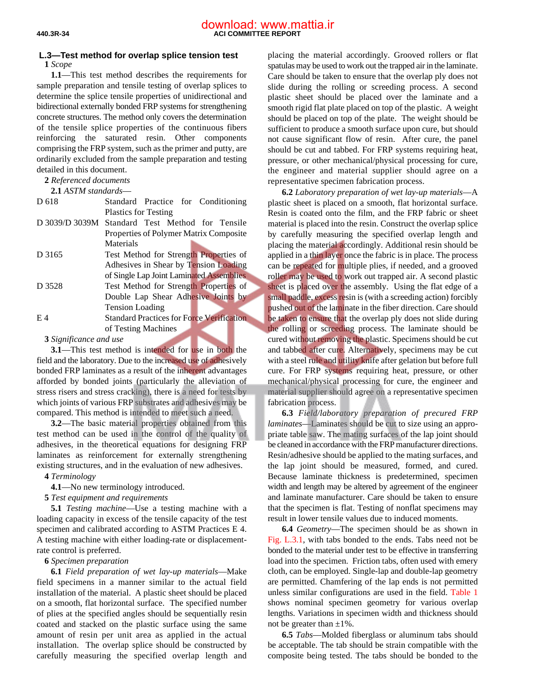# **440.3R-34 ACI COMMITTEE REPORT** download: [www.mattia.ir](http://www.mattia.ir)

# **L.3—Test method for overlap splice tension test 1** *Scope*

**1.1**—This test method describes the requirements for sample preparation and tensile testing of overlap splices to determine the splice tensile properties of unidirectional and bidirectional externally bonded FRP systems for strengthening concrete structures. The method only covers the determination of the tensile splice properties of the continuous fibers reinforcing the saturated resin. Other components comprising the FRP system, such as the primer and putty, are ordinarily excluded from the sample preparation and testing detailed in this document.

**2** *Referenced documents*

**2.1** *ASTM standards*—

D 618 Standard Practice for Conditioning Plastics for Testing D 3039/D 3039M Standard Test Method for Tensile Properties of Polymer Matrix Composite Materials D 3165 Test Method for Strength Properties of Adhesives in Shear by Tension Loading of Single Lap Joint Laminated Assemblies D 3528 Test Method for Strength Properties of Double Lap Shear Adhesive Joints by Tension Loading E 4 Standard Practices for Force Verification of Testing Machines

**3** *Significance and use*

**3.1**—This test method is intended for use in both the field and the laboratory. Due to the increased use of adhesively bonded FRP laminates as a result of the inherent advantages afforded by bonded joints (particularly the alleviation of stress risers and stress cracking), there is a need for tests by which joints of various FRP substrates and adhesives may be compared. This method is intended to meet such a need.

**3.2**—The basic material properties obtained from this test method can be used in the control of the quality of adhesives, in the theoretical equations for designing FRP laminates as reinforcement for externally strengthening existing structures, and in the evaluation of new adhesives.

**4** *Terminology*

**4.1**—No new terminology introduced.

**5** *Test equipment and requirements*

**5.1** *Testing machine*—Use a testing machine with a loading capacity in excess of the tensile capacity of the test specimen and calibrated according to ASTM Practices E 4. A testing machine with either loading-rate or displacementrate control is preferred.

# **6** *Specimen preparation*

**6.1** *Field preparation of wet lay-up materials*—Make field specimens in a manner similar to the actual field installation of the material. A plastic sheet should be placed on a smooth, flat horizontal surface. The specified number of plies at the specified angles should be sequentially resin coated and stacked on the plastic surface using the same amount of resin per unit area as applied in the actual installation. The overlap splice should be constructed by carefully measuring the specified overlap length and

placing the material accordingly. Grooved rollers or flat spatulas may be used to work out the trapped air in the laminate. Care should be taken to ensure that the overlap ply does not slide during the rolling or screeding process. A second plastic sheet should be placed over the laminate and a smooth rigid flat plate placed on top of the plastic. A weight should be placed on top of the plate. The weight should be sufficient to produce a smooth surface upon cure, but should not cause significant flow of resin. After cure, the panel should be cut and tabbed. For FRP systems requiring heat, pressure, or other mechanical/physical processing for cure, the engineer and material supplier should agree on a representative specimen fabrication process.

**6.2** *Laboratory preparation of wet lay-up materials*—A plastic sheet is placed on a smooth, flat horizontal surface. Resin is coated onto the film, and the FRP fabric or sheet material is placed into the resin. Construct the overlap splice by carefully measuring the specified overlap length and placing the material accordingly. Additional resin should be applied in a thin layer once the fabric is in place. The process can be repeated for multiple plies, if needed, and a grooved roller may be used to work out trapped air. A second plastic sheet is placed over the assembly. Using the flat edge of a small paddle, excess resin is (with a screeding action) forcibly pushed out of the laminate in the fiber direction. Care should be taken to ensure that the overlap ply does not slide during the rolling or screeding process. The laminate should be cured without removing the plastic. Specimens should be cut and tabbed after cure. Alternatively, specimens may be cut with a steel rule and utility knife after gelation but before full cure. For FRP systems requiring heat, pressure, or other mechanical/physical processing for cure, the engineer and material supplier should agree on a representative specimen fabrication process.

**6.3** *Field/laboratory preparation of precured FRP laminates*—Laminates should be cut to size using an appropriate table saw. The mating surfaces of the lap joint should be cleaned in accordance with the FRP manufacturer directions. Resin/adhesive should be applied to the mating surfaces, and the lap joint should be measured, formed, and cured. Because laminate thickness is predetermined, specimen width and length may be altered by agreement of the engineer and laminate manufacturer. Care should be taken to ensure that the specimen is flat. Testing of nonflat specimens may result in lower tensile values due to induced moments.

**6.4** *Geometry*—The specimen should be as shown in [Fig. L.3.1, w](#page-34-0)ith tabs bonded to the ends. Tabs need not be bonded to the material under test to be effective in transferring load into the specimen. Friction tabs, often used with emery cloth, can be employed. Single-lap and double-lap geometry are permitted. Chamfering of the lap ends is not permitted unless similar configurations are used in the field. [Table 1](#page-34-1) shows nominal specimen geometry for various overlap lengths. Variations in specimen width and thickness should not be greater than  $\pm 1\%$ .

**6.5** *Tabs*—Molded fiberglass or aluminum tabs should be acceptable. The tab should be strain compatible with the composite being tested. The tabs should be bonded to the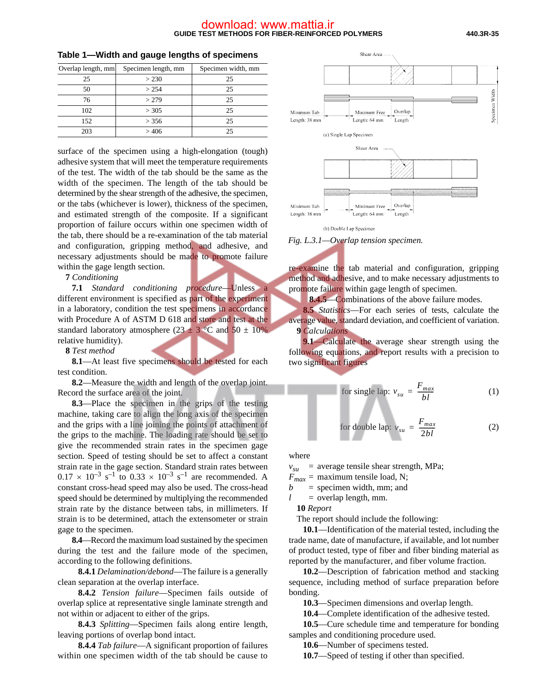# **GUIDE TEST METHODS FOR FIBER-REINFORCED POLYMERS 440.3R-35** download: [www.mattia.ir](http://www.mattia.ir)

<span id="page-34-0"></span>

| Overlap length, mm | Specimen length, mm | Specimen width, mm |
|--------------------|---------------------|--------------------|
| 25                 | > 230               | 25                 |
| 50                 | > 254               | 25                 |
| 76                 | > 279               | 25                 |
| 102                | > 305               | 25                 |
| 152                | > 356               | 25                 |
| 203                | >406                | 25                 |

## <span id="page-34-1"></span>**Table 1—Width and gauge lengths of specimens**

surface of the specimen using a high-elongation (tough) adhesive system that will meet the temperature requirements of the test. The width of the tab should be the same as the width of the specimen. The length of the tab should be determined by the shear strength of the adhesive, the specimen, or the tabs (whichever is lower), thickness of the specimen, and estimated strength of the composite. If a significant proportion of failure occurs within one specimen width of the tab, there should be a re-examination of the tab material and configuration, gripping method, and adhesive, and necessary adjustments should be made to promote failure within the gage length section.

## **7** *Conditioning*

**7.1** *Standard conditioning procedure*—Unless a different environment is specified as part of the experiment in a laboratory, condition the test specimens in accordance with Procedure A of ASTM D 618 and store and test at the standard laboratory atmosphere (23  $\pm$  3 °C and 50  $\pm$  10% relative humidity).

**8** *Test method*

**8.1**—At least five specimens should be tested for each test condition.

**8.2**—Measure the width and length of the overlap joint. Record the surface area of the joint.

**8.3**—Place the specimen in the grips of the testing machine, taking care to align the long axis of the specimen and the grips with a line joining the points of attachment of the grips to the machine. The loading rate should be set to give the recommended strain rates in the specimen gage section. Speed of testing should be set to affect a constant strain rate in the gage section. Standard strain rates between  $0.17 \times 10^{-3}$  s<sup>-1</sup> to  $0.33 \times 10^{-3}$  s<sup>-1</sup> are recommended. A constant cross-head speed may also be used. The cross-head speed should be determined by multiplying the recommended strain rate by the distance between tabs, in millimeters. If strain is to be determined, attach the extensometer or strain gage to the specimen.

**8.4**—Record the maximum load sustained by the specimen during the test and the failure mode of the specimen, according to the following definitions.

**8.4.1** *Delamination/debond*—The failure is a generally clean separation at the overlap interface.

**8.4.2** *Tension failure*—Specimen fails outside of overlap splice at representative single laminate strength and not within or adjacent to either of the grips.

**8.4.3** *Splitting*—Specimen fails along entire length, leaving portions of overlap bond intact.

**8.4.4** *Tab failure*—A significant proportion of failures within one specimen width of the tab should be cause to



(b) Double Lap Specimen

*Fig. L.3.1—Overlap tension specimen.*

re-examine the tab material and configuration, gripping method and adhesive, and to make necessary adjustments to promote failure within gage length of specimen.

**8.4.5**—Combinations of the above failure modes.

**8.5** *Statistics*—For each series of tests, calculate the average value, standard deviation, and coefficient of variation. **9** *Calculations*

**9.1—Calculate the average shear strength using the** following equations, and report results with a precision to two significant figures

for single lap: 
$$
v_{su} = \frac{F_{max}}{bl}
$$
 (1)

for double lap: 
$$
v_{su} = \frac{F_{max}}{2bl}
$$
 (2)

where

 $v_{\text{su}}$  = average tensile shear strength, MPa;

 $F_{max}$  = maximum tensile load, N;

 $b =$  specimen width, mm; and

 $l =$  overlap length, mm.

**10** *Report*

The report should include the following:

**10.1**—Identification of the material tested, including the trade name, date of manufacture, if available, and lot number of product tested, type of fiber and fiber binding material as reported by the manufacturer, and fiber volume fraction.

**10.2**—Description of fabrication method and stacking sequence, including method of surface preparation before bonding.

**10.3**—Specimen dimensions and overlap length.

**10.4**—Complete identification of the adhesive tested.

**10.5**—Cure schedule time and temperature for bonding samples and conditioning procedure used.

**10.6**—Number of specimens tested.

**10.7**—Speed of testing if other than specified.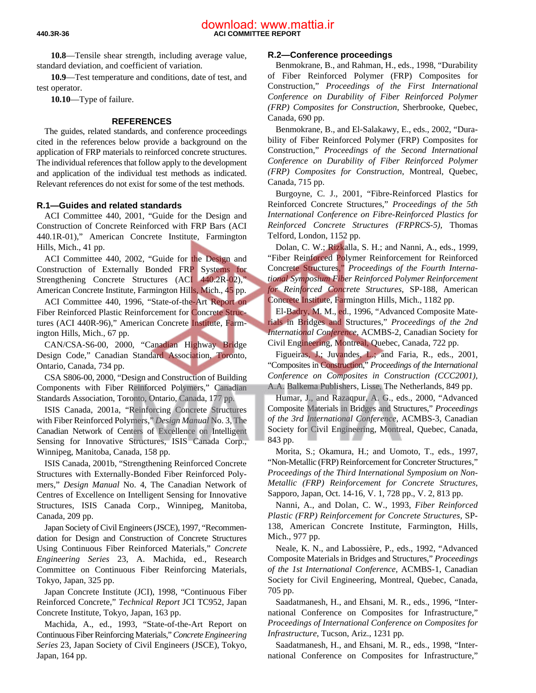**10.8**—Tensile shear strength, including average value, standard deviation, and coefficient of variation.

**10.9**—Test temperature and conditions, date of test, and test operator.

**10.10**—Type of failure.

# **REFERENCES**

<span id="page-35-0"></span>The guides, related standards, and conference proceedings cited in the references below provide a background on the application of FRP materials to reinforced concrete structures. The individual references that follow apply to the development and application of the individual test methods as indicated. Relevant references do not exist for some of the test methods.

## **R.1—Guides and related standards**

ACI Committee 440, 2001, "Guide for the Design and Construction of Concrete Reinforced with FRP Bars (ACI 440.1R-01)," American Concrete Institute, Farmington Hills, Mich., 41 pp.

ACI Committee 440, 2002, "Guide for the Design and Construction of Externally Bonded FRP Systems for Strengthening Concrete Structures (ACI 440.2R-02), American Concrete Institute, Farmington Hills, Mich., 45 pp.

ACI Committee 440, 1996, "State-of-the-Art Report on Fiber Reinforced Plastic Reinforcement for Concrete Structures (ACI 440R-96)," American Concrete Institute, Farmington Hills, Mich., 67 pp.

CAN/CSA-S6-00, 2000, "Canadian Highway Bridge Design Code," Canadian Standard Association, Toronto, Ontario, Canada, 734 pp.

CSA S806-00, 2000, "Design and Construction of Building Components with Fiber Reinforced Polymers," Canadian Standards Association, Toronto, Ontario, Canada, 177 pp.

ISIS Canada, 2001a, "Reinforcing Concrete Structures with Fiber Reinforced Polymers," *Design Manual* No. 3, The Canadian Network of Centers of Excellence on Intelligent Sensing for Innovative Structures, ISIS Canada Corp., Winnipeg, Manitoba, Canada, 158 pp.

ISIS Canada, 2001b, "Strengthening Reinforced Concrete Structures with Externally-Bonded Fiber Reinforced Polymers," *Design Manual* No. 4, The Canadian Network of Centres of Excellence on Intelligent Sensing for Innovative Structures, ISIS Canada Corp., Winnipeg, Manitoba, Canada, 209 pp.

Japan Society of Civil Engineers (JSCE), 1997, "Recommendation for Design and Construction of Concrete Structures Using Continuous Fiber Reinforced Materials," *Concrete Engineering Series* 23, A. Machida, ed., Research Committee on Continuous Fiber Reinforcing Materials, Tokyo, Japan, 325 pp.

Japan Concrete Institute (JCI), 1998, "Continuous Fiber Reinforced Concrete," *Technical Report* JCI TC952, Japan Concrete Institute, Tokyo, Japan, 163 pp.

Machida, A., ed., 1993, "State-of-the-Art Report on Continuous Fiber Reinforcing Materials," *Concrete Engineering Series* 23, Japan Society of Civil Engineers (JSCE), Tokyo, Japan, 164 pp.

# **R.2—Conference proceedings**

Benmokrane, B., and Rahman, H., eds., 1998, "Durability of Fiber Reinforced Polymer (FRP) Composites for Construction," *Proceedings of the First International Conference on Durability of Fiber Reinforced Polymer (FRP) Composites for Construction*, Sherbrooke, Quebec, Canada, 690 pp.

Benmokrane, B., and El-Salakawy, E., eds., 2002, "Durability of Fiber Reinforced Polymer (FRP) Composites for Construction," *Proceedings of the Second International Conference on Durability of Fiber Reinforced Polymer (FRP) Composites for Construction*, Montreal, Quebec, Canada, 715 pp.

Burgoyne, C. J., 2001, "Fibre-Reinforced Plastics for Reinforced Concrete Structures," *Proceedings of the 5th International Conference on Fibre-Reinforced Plastics for Reinforced Concrete Structures (FRPRCS-5)*, Thomas Telford, London, 1152 pp.

Dolan, C. W.; Rizkalla, S. H.; and Nanni, A., eds., 1999, "Fiber Reinforced Polymer Reinforcement for Reinforced Concrete Structures," *Proceedings of the Fourth International Symposium Fiber Reinforced Polymer Reinforcement for Reinforced Concrete Structures*, SP-188, American Concrete Institute, Farmington Hills, Mich., 1182 pp.

El-Badry, M. M., ed., 1996, "Advanced Composite Materials in Bridges and Structures," *Proceedings of the 2nd International Conference,* ACMBS-2, Canadian Society for Civil Engineering, Montreal, Quebec, Canada, 722 pp.

Figueiras, J.; Juvandes, L.; and Faria, R., eds., 2001, "Composites in Construction," *Proceedings of the International Conference on Composites in Construction (CCC2001)*, A.A. Balkema Publishers, Lisse, The Netherlands, 849 pp.

Humar, J., and Razaqpur, A. G., eds., 2000, "Advanced Composite Materials in Bridges and Structures," *Proceedings of the 3rd International Conference,* ACMBS-3, Canadian Society for Civil Engineering, Montreal, Quebec, Canada, 843 pp.

Morita, S.; Okamura, H.; and Uomoto, T., eds., 1997, "Non-Metallic (FRP) Reinforcement for Concreter Structures," *Proceedings of the Third International Symposium on Non-Metallic (FRP) Reinforcement for Concrete Structures*, Sapporo, Japan, Oct. 14-16, V. 1, 728 pp., V. 2, 813 pp.

Nanni, A., and Dolan, C. W., 1993, *Fiber Reinforced Plastic (FRP) Reinforcement for Concrete Structures*, SP-138, American Concrete Institute, Farmington, Hills, Mich., 977 pp.

Neale, K. N., and Labossière, P., eds., 1992, "Advanced Composite Materials in Bridges and Structures," *Proceedings of the 1st International Conference,* ACMBS-1, Canadian Society for Civil Engineering, Montreal, Quebec, Canada, 705 pp.

Saadatmanesh, H., and Ehsani, M. R., eds., 1996, "International Conference on Composites for Infrastructure," *Proceedings of International Conference on Composites for Infrastructure*, Tucson, Ariz., 1231 pp.

Saadatmanesh, H., and Ehsani, M. R., eds., 1998, "International Conference on Composites for Infrastructure,"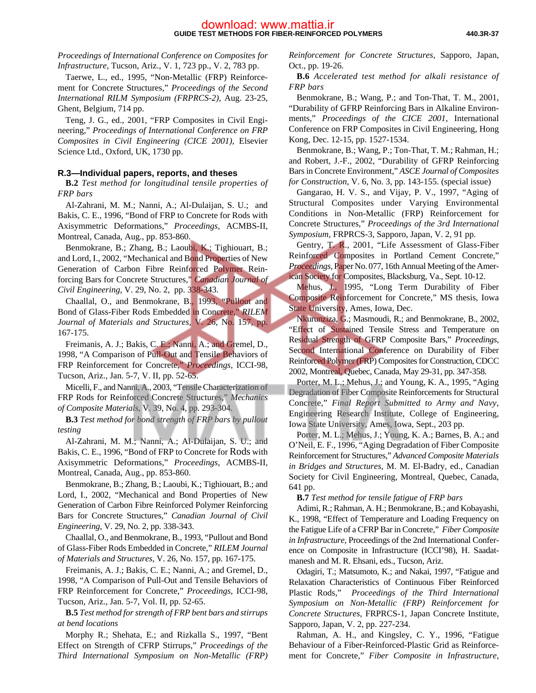*Proceedings of International Conference on Composites for Infrastructure*, Tucson, Ariz., V. 1, 723 pp., V. 2, 783 pp.

Taerwe, L., ed., 1995, "Non-Metallic (FRP) Reinforcement for Concrete Structures," *Proceedings of the Second International RILM Symposium (FRPRCS-2)*, Aug. 23-25, Ghent, Belgium, 714 pp.

Teng, J. G., ed., 2001, "FRP Composites in Civil Engineering," *Proceedings of International Conference on FRP Composites in Civil Engineering (CICE 2001)*, Elsevier Science Ltd., Oxford, UK, 1730 pp.

## **R.3—Individual papers, reports, and theses**

**B.2** *Test method for longitudinal tensile properties of FRP bars*

Al-Zahrani, M. M.; Nanni, A.; Al-Dulaijan, S. U.; and Bakis, C. E., 1996, "Bond of FRP to Concrete for Rods with Axisymmetric Deformations," *Proceedings*, ACMBS-II, Montreal, Canada, Aug., pp. 853-860.

Benmokrane, B.; Zhang, B.; Laoubi, K.; Tighiouart, B.; and Lord, I., 2002, "Mechanical and Bond Properties of New Generation of Carbon Fibre Reinforced Polymer Reinforcing Bars for Concrete Structures," *Canadian Journal of Civil Engineering*, V. 29, No. 2, pp. 338-343.

Chaallal, O., and Benmokrane, B., 1993, "Pullout and Bond of Glass-Fiber Rods Embedded in Concrete," *RILEM Journal of Materials and Structures*, V. 26, No. 157, pp. 167-175.

Freimanis, A. J.; Bakis, C. E.; Nanni, A.; and Gremel, D., 1998, "A Comparison of Pull-Out and Tensile Behaviors of FRP Reinforcement for Concrete," *Proceedings*, ICCI-98, Tucson, Ariz., Jan. 5-7, V. II, pp. 52-65.

Micelli, F., and Nanni, A., 2003, "Tensile Characterization of FRP Rods for Reinforced Concrete Structures," *Mechanics of Composite Materials*, V. 39, No. 4, pp. 293-304.

**B.3** *Test method for bond strength of FRP bars by pullout testing*

Al-Zahrani, M. M.; Nanni, A.; Al-Dulaijan, S. U.; and Bakis, C. E., 1996, "Bond of FRP to Concrete for Rods with Axisymmetric Deformations," *Proceedings*, ACMBS-II, Montreal, Canada, Aug., pp. 853-860.

Benmokrane, B.; Zhang, B.; Laoubi, K.; Tighiouart, B.; and Lord, I., 2002, "Mechanical and Bond Properties of New Generation of Carbon Fibre Reinforced Polymer Reinforcing Bars for Concrete Structures," *Canadian Journal of Civil Engineering*, V. 29, No. 2, pp. 338-343.

Chaallal, O., and Benmokrane, B., 1993, "Pullout and Bond of Glass-Fiber Rods Embedded in Concrete," *RILEM Journal of Materials and Structures*, V. 26, No. 157, pp. 167-175.

Freimanis, A. J.; Bakis, C. E.; Nanni, A.; and Gremel, D., 1998, "A Comparison of Pull-Out and Tensile Behaviors of FRP Reinforcement for Concrete," *Proceedings*, ICCI-98, Tucson, Ariz., Jan. 5-7, Vol. II, pp. 52-65.

**B.5** *Test method for strength of FRP bent bars and stirrups at bend locations*

Morphy R.; Shehata, E.; and Rizkalla S., 1997, "Bent Effect on Strength of CFRP Stirrups," *Proceedings of the Third International Symposium on Non-Metallic (FRP)* *Reinforcement for Concrete Structures*, Sapporo, Japan, Oct., pp. 19-26.

**B.6** *Accelerated test method for alkali resistance of FRP bars*

Benmokrane, B.; Wang, P.; and Ton-That, T. M., 2001, "Durability of GFRP Reinforcing Bars in Alkaline Environments," *Proceedings of the CICE 2001*, International Conference on FRP Composites in Civil Engineering, Hong Kong, Dec. 12-15, pp. 1527-1534.

Benmokrane, B.; Wang, P.; Ton-That, T. M.; Rahman, H.; and Robert, J.-F., 2002, "Durability of GFRP Reinforcing Bars in Concrete Environment," *ASCE Journal of Composites for Construction*, V. 6, No. 3, pp. 143-155. (special issue)

Gangarao, H. V. S., and Vijay, P. V., 1997, "Aging of Structural Composites under Varying Environmental Conditions in Non-Metallic (FRP) Reinforcement for Concrete Structures," *Proceedings of the 3rd International Symposium*, FRPRCS-3, Sapporo, Japan, V. 2, 91 pp.

Gentry, T. R., 2001, "Life Assessment of Glass-Fiber Reinforced Composites in Portland Cement Concrete," *Proceedings*, Paper No. 077, 16th Annual Meeting of the American Society for Composites, Blacksburg, Va., Sept. 10-12.

Mehus, J., 1995, "Long Term Durability of Fiber Composite Reinforcement for Concrete," MS thesis, Iowa State University, Ames, Iowa, Dec.

Nkurunziza, G.; Masmoudi, R.; and Benmokrane, B., 2002, "Effect of Sustained Tensile Stress and Temperature on Residual Strength of GFRP Composite Bars," *Proceedings*, Second International Conference on Durability of Fiber Reinforced Polymer (FRP) Composites for Construction, CDCC 2002, Montreal, Quebec, Canada, May 29-31, pp. 347-358.

Porter, M. L.; Mehus, J.; and Young, K. A., 1995, "Aging Degradation of Fiber Composite Reinforcements for Structural Concrete," *Final Report Submitted to Army and Navy*, Engineering Research Institute, College of Engineering, Iowa State University, Ames, Iowa, Sept., 203 pp.

Porter, M. L.; Mehus, J.; Young, K. A.; Barnes, B. A.; and O'Neil, E. F., 1996, "Aging Degradation of Fiber Composite Reinforcement for Structures," *Advanced Composite Materials in Bridges and Structures*, M. M. El-Badry, ed., Canadian Society for Civil Engineering, Montreal, Quebec, Canada, 641 pp.

**B.7** *Test method for tensile fatigue of FRP bars*

Adimi, R.; Rahman, A. H.; Benmokrane, B.; and Kobayashi, K., 1998, "Effect of Temperature and Loading Frequency on the Fatigue Life of a CFRP Bar in Concrete," *Fiber Composite in Infrastructure*, Proceedings of the 2nd International Conference on Composite in Infrastructure (ICCI'98), H. Saadatmanesh and M. R. Ehsani, eds., Tucson, Ariz.

Odagiri, T.; Matsumoto, K.; and Nakai, 1997, "Fatigue and Relaxation Characteristics of Continuous Fiber Reinforced Plastic Rods," *Proceedings of the Third International Symposium on Non-Metallic (FRP) Reinforcement for Concrete Structures*, FRPRCS-1, Japan Concrete Institute, Sapporo, Japan, V. 2, pp. 227-234.

Rahman, A. H., and Kingsley, C. Y., 1996, "Fatigue Behaviour of a Fiber-Reinforced-Plastic Grid as Reinforcement for Concrete," *Fiber Composite in Infrastructure*,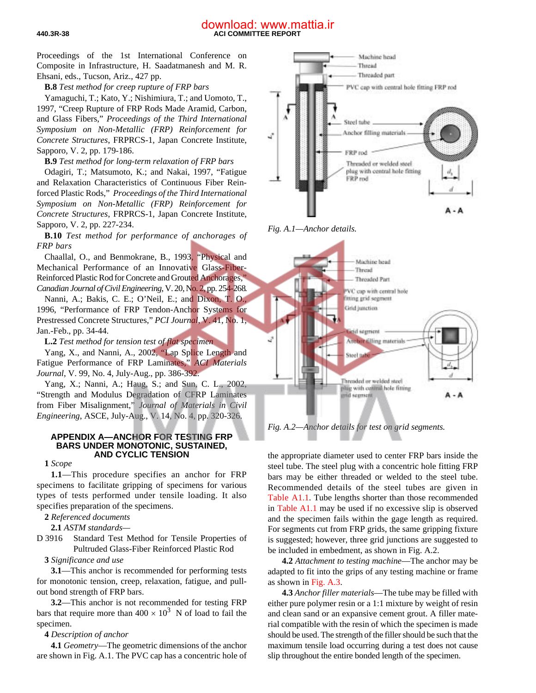## **440.3R-38 ACI COMMITTEE REPORT** download: [www.mattia.ir](http://www.mattia.ir)

Proceedings of the 1st International Conference on Composite in Infrastructure, H. Saadatmanesh and M. R. Ehsani, eds., Tucson, Ariz., 427 pp.

**B.8** *Test method for creep rupture of FRP bars*

<span id="page-37-1"></span>Yamaguchi, T.; Kato, Y.; Nishimiura, T.; and Uomoto, T., 1997, "Creep Rupture of FRP Rods Made Aramid, Carbon, and Glass Fibers," *Proceedings of the Third International Symposium on Non-Metallic (FRP) Reinforcement for Concrete Structures*, FRPRCS-1, Japan Concrete Institute, Sapporo, V. 2, pp. 179-186.

**B.9** *Test method for long-term relaxation of FRP bars*

Odagiri, T.; Matsumoto, K.; and Nakai, 1997, "Fatigue and Relaxation Characteristics of Continuous Fiber Reinforced Plastic Rods," *Proceedings of the Third International Symposium on Non-Metallic (FRP) Reinforcement for Concrete Structures*, FRPRCS-1, Japan Concrete Institute, Sapporo, V. 2, pp. 227-234.

**B.10** *Test method for performance of anchorages of FRP bars*

Chaallal, O., and Benmokrane, B., 1993, "Physical and Mechanical Performance of an Innovative Glass-Fiber-Reinforced Plastic Rod for Concrete and Grouted Anchorages," *Canadian Journal of Civil Engineering*, V. 20, No. 2, pp. 254-268*.*

Nanni, A.; Bakis, C. E.; O'Neil, E.; and Dixon, T. O., 1996, "Performance of FRP Tendon-Anchor Systems for Prestressed Concrete Structures," *PCI Journal*, V. 41, No. 1, Jan.-Feb., pp. 34-44.

**L.2** *Test method for tension test of flat specimen*

Yang, X., and Nanni, A., 2002, "Lap Splice Length and Fatigue Performance of FRP Laminates," *ACI Materials Journal*, V. 99, No. 4, July-Aug., pp. 386-392.

<span id="page-37-0"></span>Yang, X.; Nanni, A.; Haug, S.; and Sun, C. L., 2002, "Strength and Modulus Degradation of CFRP Laminates from Fiber Misalignment," *Journal of Materials in Civil Engineering*, ASCE, July-Aug., V. 14, No. 4, pp. 320-326.

## **APPENDIX A—ANCHOR FOR TESTING FRP BARS UNDER MONOTONIC, SUSTAINED, AND CYCLIC TENSION**

**1** *Scope*

**1.1**—This procedure specifies an anchor for FRP specimens to facilitate gripping of specimens for various types of tests performed under tensile loading. It also specifies preparation of the specimens.

**2** *Referenced documents*

**2.1** *ASTM standards—*

D 3916 Standard Test Method for Tensile Properties of Pultruded Glass-Fiber Reinforced Plastic Rod

**3** *Significance and use*

**3.1**—This anchor is recommended for performing tests for monotonic tension, creep, relaxation, fatigue, and pullout bond strength of FRP bars.

**3.2**—This anchor is not recommended for testing FRP bars that require more than  $400 \times 10^3$  N of load to fail the specimen.

**4** *Description of anchor*

**4.1** *Geometry*—The geometric dimensions of the anchor are shown in Fig. A.1. The PVC cap has a concentric hole of



*Fig. A.1—Anchor details.*



*Fig. A.2—Anchor details for test on grid segments.*

the appropriate diameter used to center FRP bars inside the steel tube. The steel plug with a concentric hole fitting FRP bars may be either threaded or welded to the steel tube. Recommended details of the steel tubes are given in Table A1.1. Tube lengths shorter than those recommended [in Table A1.1 m](#page-38-3)ay be used if no excessive slip is observed and the specimen fails within the gage length as required. For segments cut from FRP grids, the same gripping fixture is suggested; however, three grid junctions are suggested to be included in embedment, as shown in Fig. A.2.

**4.2** *Attachment to testing machine*—The anchor may be adapted to fit into the grips of any testing machine or frame as shown i[n Fig. A.3.](#page-38-3)

**4.3** *Anchor filler materials*—The tube may be filled with either pure polymer resin or a 1:1 mixture by weight of resin and clean sand or an expansive cement grout. A filler material compatible with the resin of which the specimen is made should be used. The strength of the filler should be such that the maximum tensile load occurring during a test does not cause slip throughout the entire bonded length of the specimen.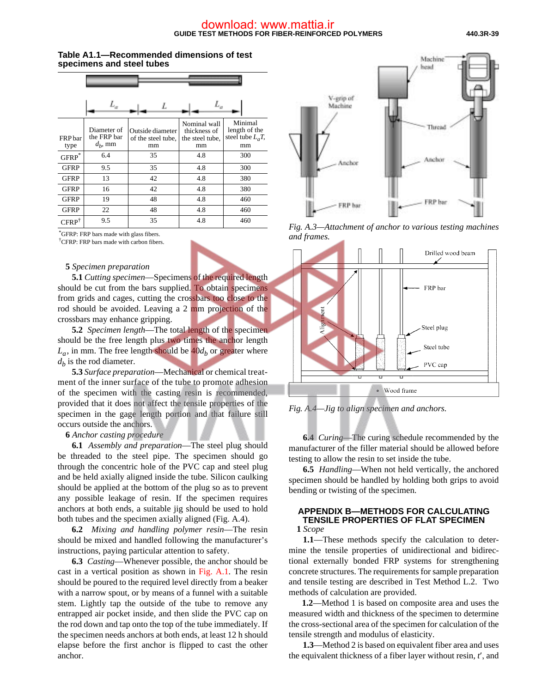## **GUIDE TEST METHODS FOR FIBER-REINFORCED POLYMERS 440.3R-39** download: [www.mattia.ir](http://www.mattia.ir)

<span id="page-38-3"></span><span id="page-38-1"></span>**Table A1.1—Recommended dimensions of test specimens and steel tubes**

<span id="page-38-2"></span>

|                        | L <sub>a</sub>                           |                                              | L,                                                    |                                                       |
|------------------------|------------------------------------------|----------------------------------------------|-------------------------------------------------------|-------------------------------------------------------|
| <b>FRP</b> bar<br>type | Diameter of<br>the FRP bar<br>$d_h$ , mm | Outside diameter<br>of the steel tube,<br>mm | Nominal wall<br>thickness of<br>the steel tube.<br>mm | Minimal<br>length of the<br>steel tube $L_aT$ ,<br>mm |
| $GFRP^*$               | 6.4                                      | 35                                           | 4.8                                                   | 300                                                   |
| <b>GFRP</b>            | 9.5                                      | 35                                           | 4.8                                                   | 300                                                   |
| <b>GFRP</b>            | 13                                       | 42                                           | 4.8                                                   | 380                                                   |
| <b>GFRP</b>            | 16                                       | 42                                           | 4.8                                                   | 380                                                   |
| <b>GFRP</b>            | 19                                       | 48                                           | 4.8                                                   | 460                                                   |
| <b>GFRP</b>            | 22                                       | 48                                           | 4.8                                                   | 460                                                   |
| $CFRP^{\dagger}$       | 9.5                                      | 35                                           | 4.8                                                   | 460                                                   |

\* GFRP: FRP bars made with glass fibers.

† CFRP: FRP bars made with carbon fibers.

## **5** *Specimen preparation*

**5.1** *Cutting specimen*—Specimens of the required length should be cut from the bars supplied. To obtain specimens from grids and cages, cutting the crossbars too close to the rod should be avoided. Leaving a 2 mm projection of the crossbars may enhance gripping.

**5.2** *Specimen length*—The total length of the specimen should be the free length plus two times the anchor length  $L_a$ , in mm. The free length should be  $40d_b$  or greater where  $d<sub>b</sub>$  is the rod diameter.

<span id="page-38-0"></span>**5.3** *Surface preparation*—Mechanical or chemical treatment of the inner surface of the tube to promote adhesion of the specimen with the casting resin is recommended, provided that it does not affect the tensile properties of the specimen in the gage length portion and that failure still occurs outside the anchors.

#### **6** *Anchor casting procedure*

**6.1** *Assembly and preparation*—The steel plug should be threaded to the steel pipe. The specimen should go through the concentric hole of the PVC cap and steel plug and be held axially aligned inside the tube. Silicon caulking should be applied at the bottom of the plug so as to prevent any possible leakage of resin. If the specimen requires anchors at both ends, a suitable jig should be used to hold both tubes and the specimen axially aligned (Fig. A.4).

**6.2** *Mixing and handling polymer resin*—The resin should be mixed and handled following the manufacturer's instructions, paying particular attention to safety.

**6.3** *Casting*—Whenever possible, the anchor should be cast in a vertical position as shown in Fig. A.1. The resin should be poured to the required level directly from a beaker with a narrow spout, or by means of a funnel with a suitable stem. Lightly tap the outside of the tube to remove any entrapped air pocket inside, and then slide the PVC cap on the rod down and tap onto the top of the tube immediately. If the specimen needs anchors at both ends, at least 12 h should elapse before the first anchor is flipped to cast the other anchor.



*Fig. A.3—Attachment of anchor to various testing machines and frames.*





**6.4** *Curing*—The curing schedule recommended by the manufacturer of the filler material should be allowed before testing to allow the resin to set inside the tube.

**6.5** *Handling*—When not held vertically, the anchored specimen should be handled by holding both grips to avoid bending or twisting of the specimen.

## **APPENDIX B—METHODS FOR CALCULATING TENSILE PROPERTIES OF FLAT SPECIMEN 1** *Scope*

**1.1**—These methods specify the calculation to determine the tensile properties of unidirectional and bidirectional externally bonded FRP systems for strengthening concrete structures. The requirements for sample preparation and tensile testing are described in Test Method L.2. Two methods of calculation are provided.

**1.2**—Method 1 is based on composite area and uses the measured width and thickness of the specimen to determine the cross-sectional area of the specimen for calculation of the tensile strength and modulus of elasticity.

**1.3**—Method 2 is based on equivalent fiber area and uses the equivalent thickness of a fiber layer without resin, *t*′, and